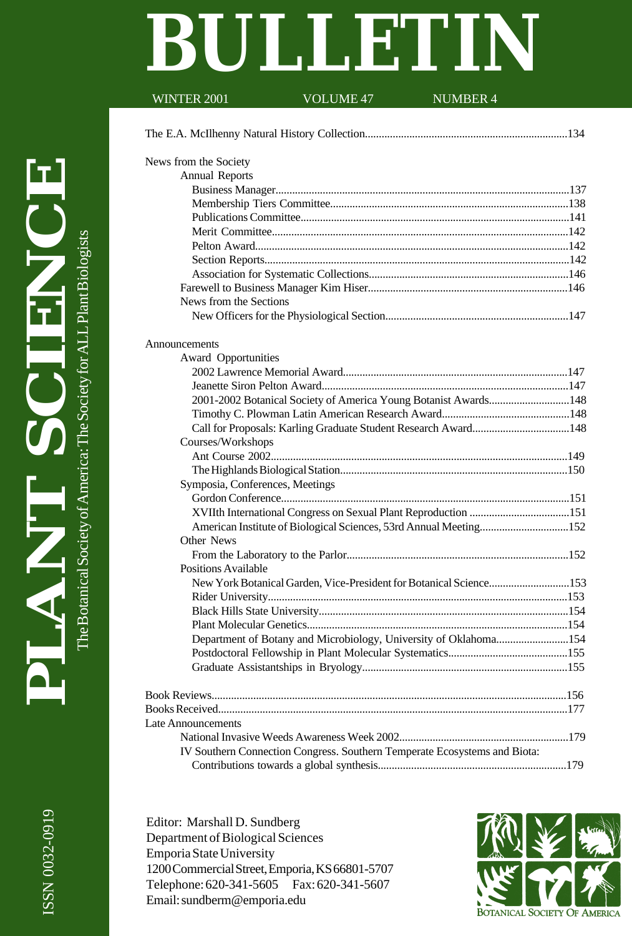# **BULLETIN**<br>WINTER 2001 VOLUME 47 NUMBER 4

# VOLUME 47

| News from the Society                                                     |  |
|---------------------------------------------------------------------------|--|
| <b>Annual Reports</b>                                                     |  |
|                                                                           |  |
|                                                                           |  |
|                                                                           |  |
|                                                                           |  |
|                                                                           |  |
|                                                                           |  |
|                                                                           |  |
|                                                                           |  |
| News from the Sections                                                    |  |
|                                                                           |  |
| Announcements                                                             |  |
| Award Opportunities                                                       |  |
|                                                                           |  |
|                                                                           |  |
| 2001-2002 Botanical Society of America Young Botanist Awards148           |  |
|                                                                           |  |
| Call for Proposals: Karling Graduate Student Research Award148            |  |
| Courses/Workshops                                                         |  |
|                                                                           |  |
|                                                                           |  |
| Symposia, Conferences, Meetings                                           |  |
|                                                                           |  |
|                                                                           |  |
| American Institute of Biological Sciences, 53rd Annual Meeting152         |  |
| Other News                                                                |  |
|                                                                           |  |
| <b>Positions Available</b>                                                |  |
| New York Botanical Garden, Vice-President for Botanical Science153        |  |
|                                                                           |  |
|                                                                           |  |
|                                                                           |  |
| Department of Botany and Microbiology, University of Oklahoma154          |  |
|                                                                           |  |
|                                                                           |  |
|                                                                           |  |
|                                                                           |  |
| Late Announcements                                                        |  |
|                                                                           |  |
| IV Southern Connection Congress. Southern Temperate Ecosystems and Biota: |  |
|                                                                           |  |
|                                                                           |  |

Editor: Marshall D. Sundberg Department of Biological Sciences Emporia State University 1200 Commercial Street, Emporia, KS 66801-5707 Telephone: 620-341-5605 Fax: 620-341-5607 Email: sundberm@emporia.edu

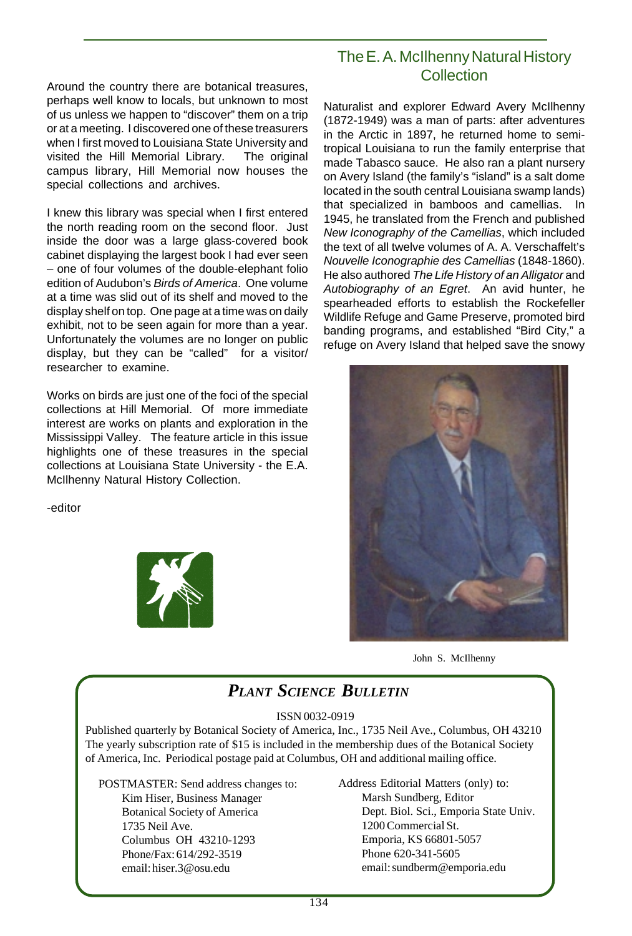Around the country there are botanical treasures, perhaps well know to locals, but unknown to most of us unless we happen to "discover" them on a trip or at a meeting. I discovered one of these treasurers when I first moved to Louisiana State University and visited the Hill Memorial Library. The original campus library, Hill Memorial now houses the special collections and archives.

I knew this library was special when I first entered the north reading room on the second floor. Just inside the door was a large glass-covered book cabinet displaying the largest book I had ever seen – one of four volumes of the double-elephant folio edition of Audubon's Birds of America. One volume at a time was slid out of its shelf and moved to the display shelf on top. One page at a time was on daily exhibit, not to be seen again for more than a year. Unfortunately the volumes are no longer on public display, but they can be "called" for a visitor/ researcher to examine.

Works on birds are just one of the foci of the special collections at Hill Memorial. Of more immediate interest are works on plants and exploration in the Mississippi Valley. The feature article in this issue highlights one of these treasures in the special collections at Louisiana State University - the E.A. McIlhenny Natural History Collection.

-editor



# The E. A. McIlhenny Natural History **Collection**

Naturalist and explorer Edward Avery McIlhenny (1872-1949) was a man of parts: after adventures in the Arctic in 1897, he returned home to semitropical Louisiana to run the family enterprise that made Tabasco sauce. He also ran a plant nursery on Avery Island (the family's "island" is a salt dome located in the south central Louisiana swamp lands) that specialized in bamboos and camellias. In 1945, he translated from the French and published New Iconography of the Camellias, which included the text of all twelve volumes of A. A. Verschaffelt's Nouvelle Iconographie des Camellias (1848-1860). He also authored The Life History of an Alligator and Autobiography of an Egret. An avid hunter, he spearheaded efforts to establish the Rockefeller Wildlife Refuge and Game Preserve, promoted bird banding programs, and established "Bird City," a refuge on Avery Island that helped save the snowy





# *PLANT SCIENCE BULLETIN*

#### ISSN 0032-0919

Published quarterly by Botanical Society of America, Inc., 1735 Neil Ave., Columbus, OH 43210 The yearly subscription rate of \$15 is included in the membership dues of the Botanical Society of America, Inc. Periodical postage paid at Columbus, OH and additional mailing office.

POSTMASTER: Send address changes to: Kim Hiser, Business Manager

Botanical Society of America 1735 Neil Ave. Columbus OH 43210-1293 Phone/Fax: 614/292-3519 email: hiser.3@osu.edu

Address Editorial Matters (only) to: Marsh Sundberg, Editor Dept. Biol. Sci., Emporia State Univ. 1200 Commercial St. Emporia, KS 66801-5057 Phone 620-341-5605 email: sundberm@emporia.edu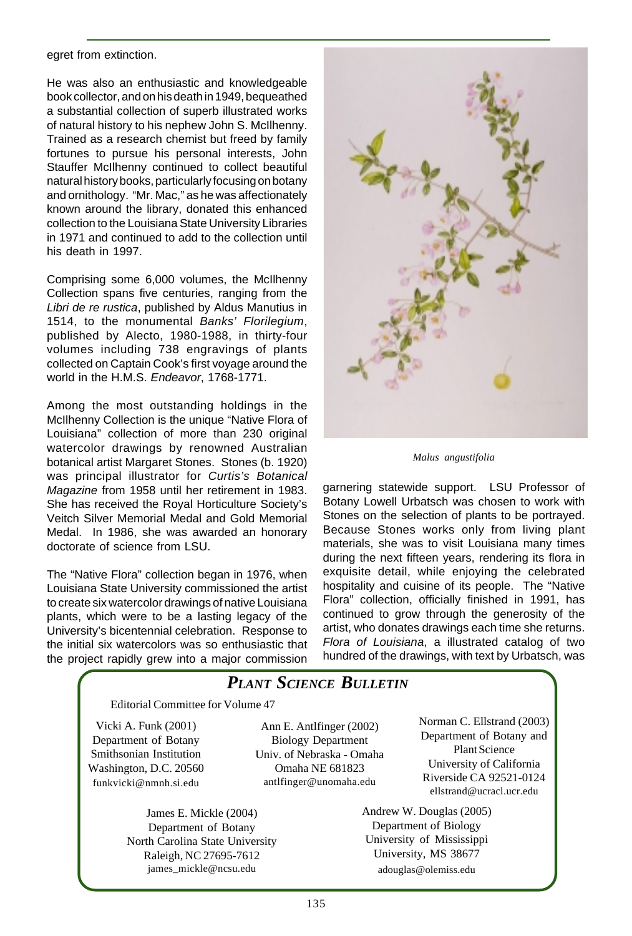egret from extinction.

He was also an enthusiastic and knowledgeable book collector, and on his death in 1949, bequeathed a substantial collection of superb illustrated works of natural history to his nephew John S. McIlhenny. Trained as a research chemist but freed by family fortunes to pursue his personal interests, John Stauffer McIlhenny continued to collect beautiful natural history books, particularly focusing on botany and ornithology. "Mr. Mac," as he was affectionately known around the library, donated this enhanced collection to the Louisiana State University Libraries in 1971 and continued to add to the collection until his death in 1997.

Comprising some 6,000 volumes, the McIlhenny Collection spans five centuries, ranging from the Libri de re rustica, published by Aldus Manutius in 1514, to the monumental Banks' Florilegium, published by Alecto, 1980-1988, in thirty-four volumes including 738 engravings of plants collected on Captain Cook's first voyage around the world in the H.M.S. Endeavor, 1768-1771.

Among the most outstanding holdings in the McIlhenny Collection is the unique "Native Flora of Louisiana" collection of more than 230 original watercolor drawings by renowned Australian botanical artist Margaret Stones. Stones (b. 1920) was principal illustrator for Curtis's Botanical Magazine from 1958 until her retirement in 1983. She has received the Royal Horticulture Society's Veitch Silver Memorial Medal and Gold Memorial Medal. In 1986, she was awarded an honorary doctorate of science from LSU.

The "Native Flora" collection began in 1976, when Louisiana State University commissioned the artist to create six watercolor drawings of native Louisiana plants, which were to be a lasting legacy of the University's bicentennial celebration. Response to the initial six watercolors was so enthusiastic that the project rapidly grew into a major commission



*Malus angustifolia*

garnering statewide support. LSU Professor of Botany Lowell Urbatsch was chosen to work with Stones on the selection of plants to be portrayed. Because Stones works only from living plant materials, she was to visit Louisiana many times during the next fifteen years, rendering its flora in exquisite detail, while enjoying the celebrated hospitality and cuisine of its people. The "Native Flora" collection, officially finished in 1991, has continued to grow through the generosity of the artist, who donates drawings each time she returns. Flora of Louisiana, a illustrated catalog of two hundred of the drawings, with text by Urbatsch, was

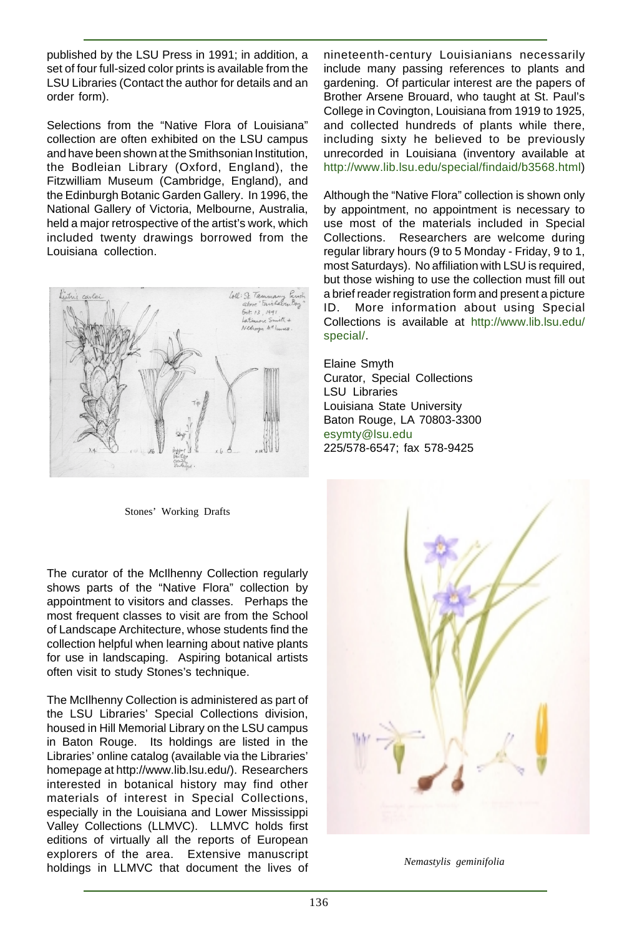published by the LSU Press in 1991; in addition, a set of four full-sized color prints is available from the LSU Libraries (Contact the author for details and an order form).

Selections from the "Native Flora of Louisiana" collection are often exhibited on the LSU campus and have been shown at the Smithsonian Institution, the Bodleian Library (Oxford, England), the Fitzwilliam Museum (Cambridge, England), and the Edinburgh Botanic Garden Gallery. In 1996, the National Gallery of Victoria, Melbourne, Australia, held a major retrospective of the artist's work, which included twenty drawings borrowed from the Louisiana collection.



Stones' Working Drafts

The curator of the McIlhenny Collection regularly shows parts of the "Native Flora" collection by appointment to visitors and classes. Perhaps the most frequent classes to visit are from the School of Landscape Architecture, whose students find the collection helpful when learning about native plants for use in landscaping. Aspiring botanical artists often visit to study Stones's technique.

The McIlhenny Collection is administered as part of the LSU Libraries' Special Collections division, housed in Hill Memorial Library on the LSU campus in Baton Rouge. Its holdings are listed in the Libraries' online catalog (available via the Libraries' homepage at http://www.lib.lsu.edu/). Researchers interested in botanical history may find other materials of interest in Special Collections, especially in the Louisiana and Lower Mississippi Valley Collections (LLMVC). LLMVC holds first editions of virtually all the reports of European explorers of the area. Extensive manuscript holdings in LLMVC that document the lives of

nineteenth-century Louisianians necessarily include many passing references to plants and gardening. Of particular interest are the papers of Brother Arsene Brouard, who taught at St. Paul's College in Covington, Louisiana from 1919 to 1925, and collected hundreds of plants while there, including sixty he believed to be previously unrecorded in Louisiana (inventory available at http://www.lib.lsu.edu/special/findaid/b3568.html)

Although the "Native Flora" collection is shown only by appointment, no appointment is necessary to use most of the materials included in Special Collections. Researchers are welcome during regular library hours (9 to 5 Monday - Friday, 9 to 1, most Saturdays). No affiliation with LSU is required, but those wishing to use the collection must fill out a brief reader registration form and present a picture ID. More information about using Special Collections is available at http://www.lib.lsu.edu/ special/.

Elaine Smyth Curator, Special Collections LSU Libraries Louisiana State University Baton Rouge, LA 70803-3300 esymty@lsu.edu 225/578-6547; fax 578-9425



*Nemastylis geminifolia*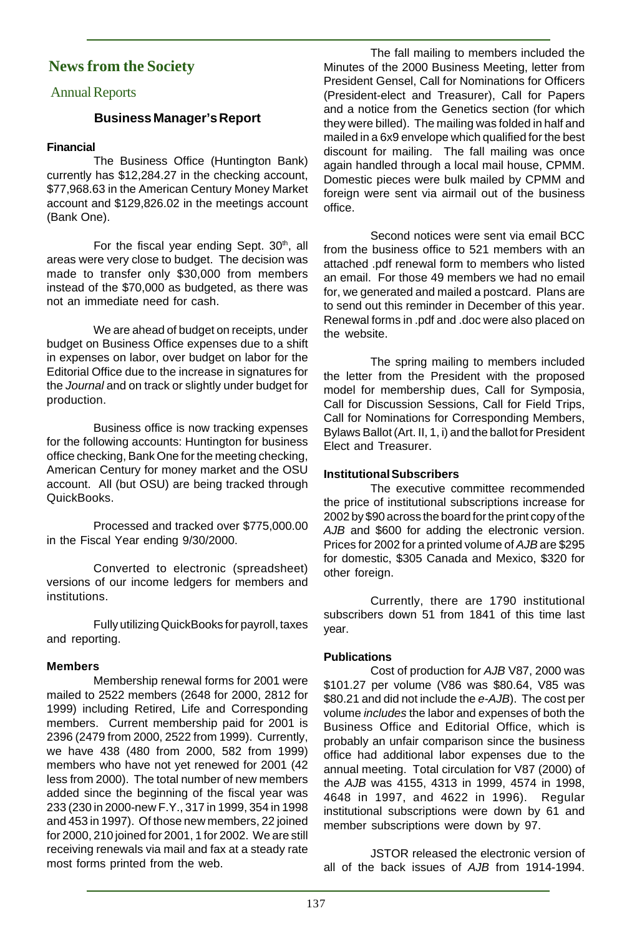# **News from the Society**

#### Annual Reports

#### **Business Manager's Report**

#### **Financial**

The Business Office (Huntington Bank) currently has \$12,284.27 in the checking account, \$77,968.63 in the American Century Money Market account and \$129,826.02 in the meetings account (Bank One).

For the fiscal year ending Sept. 30<sup>th</sup>, all areas were very close to budget. The decision was made to transfer only \$30,000 from members instead of the \$70,000 as budgeted, as there was not an immediate need for cash.

We are ahead of budget on receipts, under budget on Business Office expenses due to a shift in expenses on labor, over budget on labor for the Editorial Office due to the increase in signatures for the Journal and on track or slightly under budget for production.

Business office is now tracking expenses for the following accounts: Huntington for business office checking, Bank One for the meeting checking, American Century for money market and the OSU account. All (but OSU) are being tracked through QuickBooks.

Processed and tracked over \$775,000.00 in the Fiscal Year ending 9/30/2000.

Converted to electronic (spreadsheet) versions of our income ledgers for members and institutions.

Fully utilizing QuickBooks for payroll, taxes and reporting.

#### **Members**

Membership renewal forms for 2001 were mailed to 2522 members (2648 for 2000, 2812 for 1999) including Retired, Life and Corresponding members. Current membership paid for 2001 is 2396 (2479 from 2000, 2522 from 1999). Currently, we have 438 (480 from 2000, 582 from 1999) members who have not yet renewed for 2001 (42 less from 2000). The total number of new members added since the beginning of the fiscal year was 233 (230 in 2000-new F.Y., 317 in 1999, 354 in 1998 and 453 in 1997). Of those new members, 22 joined for 2000, 210 joined for 2001, 1 for 2002. We are still receiving renewals via mail and fax at a steady rate most forms printed from the web.

The fall mailing to members included the Minutes of the 2000 Business Meeting, letter from President Gensel, Call for Nominations for Officers (President-elect and Treasurer), Call for Papers and a notice from the Genetics section (for which they were billed). The mailing was folded in half and mailed in a 6x9 envelope which qualified for the best discount for mailing. The fall mailing was once again handled through a local mail house, CPMM. Domestic pieces were bulk mailed by CPMM and foreign were sent via airmail out of the business office.

Second notices were sent via email BCC from the business office to 521 members with an attached .pdf renewal form to members who listed an email. For those 49 members we had no email for, we generated and mailed a postcard. Plans are to send out this reminder in December of this year. Renewal forms in .pdf and .doc were also placed on the website.

The spring mailing to members included the letter from the President with the proposed model for membership dues, Call for Symposia, Call for Discussion Sessions, Call for Field Trips, Call for Nominations for Corresponding Members, Bylaws Ballot (Art. II, 1, i) and the ballot for President Elect and Treasurer.

#### **Institutional Subscribers**

The executive committee recommended the price of institutional subscriptions increase for 2002 by \$90 across the board for the print copy of the AJB and \$600 for adding the electronic version. Prices for 2002 for a printed volume of AJB are \$295 for domestic, \$305 Canada and Mexico, \$320 for other foreign.

Currently, there are 1790 institutional subscribers down 51 from 1841 of this time last year.

#### **Publications**

Cost of production for AJB V87, 2000 was \$101.27 per volume (V86 was \$80.64, V85 was \$80.21 and did not include the e-AJB). The cost per volume includes the labor and expenses of both the Business Office and Editorial Office, which is probably an unfair comparison since the business office had additional labor expenses due to the annual meeting. Total circulation for V87 (2000) of the AJB was 4155, 4313 in 1999, 4574 in 1998, 4648 in 1997, and 4622 in 1996). Regular institutional subscriptions were down by 61 and member subscriptions were down by 97.

JSTOR released the electronic version of all of the back issues of AJB from 1914-1994.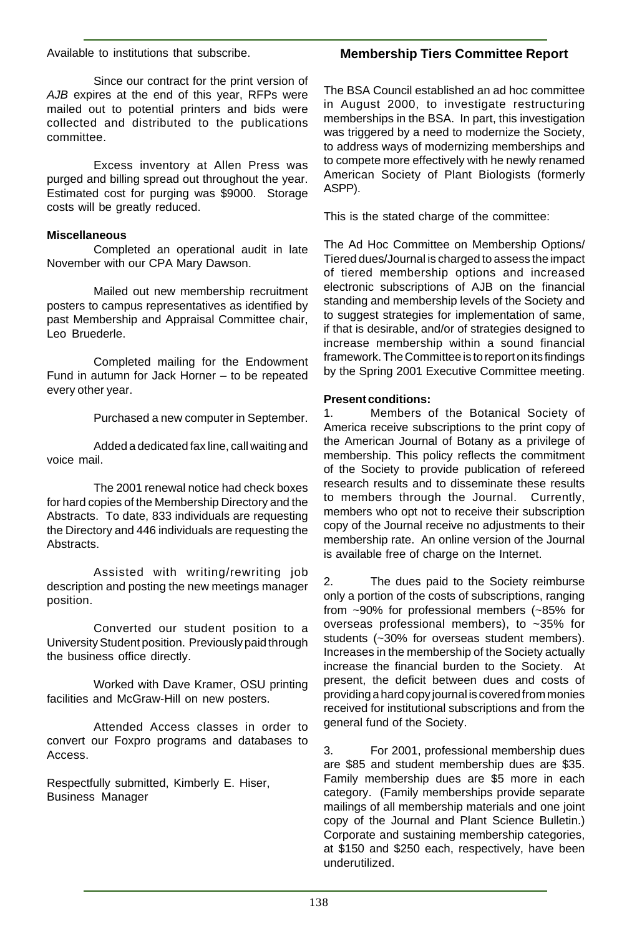Available to institutions that subscribe.

# **Membership Tiers Committee Report**

Since our contract for the print version of AJB expires at the end of this year, RFPs were mailed out to potential printers and bids were collected and distributed to the publications committee.

Excess inventory at Allen Press was purged and billing spread out throughout the year. Estimated cost for purging was \$9000. Storage costs will be greatly reduced.

#### **Miscellaneous**

Completed an operational audit in late November with our CPA Mary Dawson.

Mailed out new membership recruitment posters to campus representatives as identified by past Membership and Appraisal Committee chair, Leo Bruederle.

Completed mailing for the Endowment Fund in autumn for Jack Horner – to be repeated every other year.

Purchased a new computer in September.

Added a dedicated fax line, call waiting and voice mail.

The 2001 renewal notice had check boxes for hard copies of the Membership Directory and the Abstracts. To date, 833 individuals are requesting the Directory and 446 individuals are requesting the Abstracts.

Assisted with writing/rewriting job description and posting the new meetings manager position.

Converted our student position to a University Student position. Previously paid through the business office directly.

Worked with Dave Kramer, OSU printing facilities and McGraw-Hill on new posters.

Attended Access classes in order to convert our Foxpro programs and databases to Access.

Respectfully submitted, Kimberly E. Hiser, Business Manager

The BSA Council established an ad hoc committee in August 2000, to investigate restructuring memberships in the BSA. In part, this investigation was triggered by a need to modernize the Society, to address ways of modernizing memberships and to compete more effectively with he newly renamed American Society of Plant Biologists (formerly ASPP).

This is the stated charge of the committee:

The Ad Hoc Committee on Membership Options/ Tiered dues/Journal is charged to assess the impact of tiered membership options and increased electronic subscriptions of AJB on the financial standing and membership levels of the Society and to suggest strategies for implementation of same, if that is desirable, and/or of strategies designed to increase membership within a sound financial framework. The Committee is to report on its findings by the Spring 2001 Executive Committee meeting.

#### **Present conditions:**

1. Members of the Botanical Society of America receive subscriptions to the print copy of the American Journal of Botany as a privilege of membership. This policy reflects the commitment of the Society to provide publication of refereed research results and to disseminate these results to members through the Journal. Currently, members who opt not to receive their subscription copy of the Journal receive no adjustments to their membership rate. An online version of the Journal is available free of charge on the Internet.

2. The dues paid to the Society reimburse only a portion of the costs of subscriptions, ranging from ~90% for professional members (~85% for overseas professional members), to ~35% for students (~30% for overseas student members). Increases in the membership of the Society actually increase the financial burden to the Society. At present, the deficit between dues and costs of providing a hard copy journal is covered from monies received for institutional subscriptions and from the general fund of the Society.

3. For 2001, professional membership dues are \$85 and student membership dues are \$35. Family membership dues are \$5 more in each category. (Family memberships provide separate mailings of all membership materials and one joint copy of the Journal and Plant Science Bulletin.) Corporate and sustaining membership categories, at \$150 and \$250 each, respectively, have been underutilized.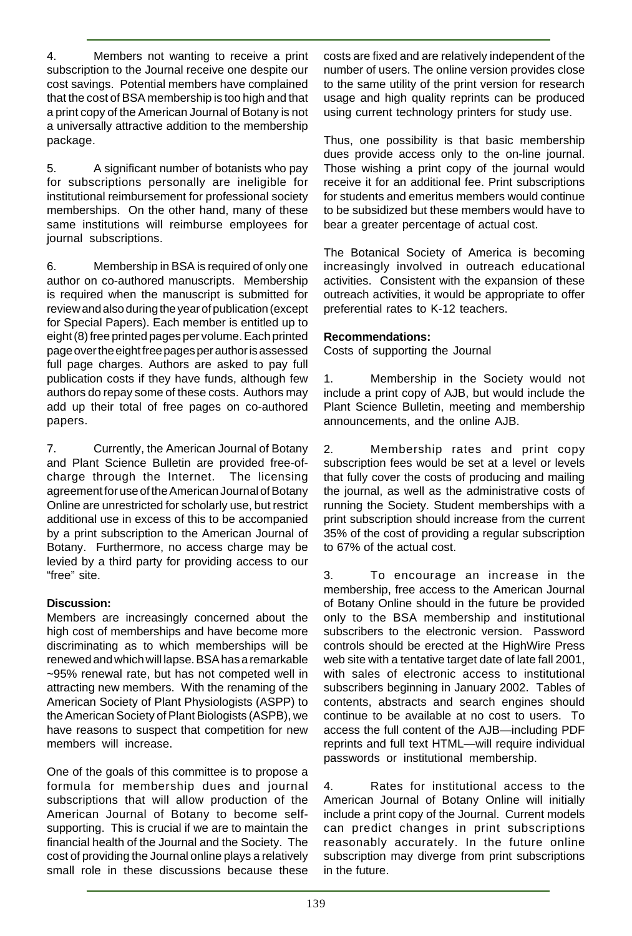4. Members not wanting to receive a print subscription to the Journal receive one despite our cost savings. Potential members have complained that the cost of BSA membership is too high and that a print copy of the American Journal of Botany is not a universally attractive addition to the membership package.

5. A significant number of botanists who pay for subscriptions personally are ineligible for institutional reimbursement for professional society memberships. On the other hand, many of these same institutions will reimburse employees for journal subscriptions.

6. Membership in BSA is required of only one author on co-authored manuscripts. Membership is required when the manuscript is submitted for review and also during the year of publication (except for Special Papers). Each member is entitled up to eight (8) free printed pages per volume. Each printed page over the eight free pages per author is assessed full page charges. Authors are asked to pay full publication costs if they have funds, although few authors do repay some of these costs. Authors may add up their total of free pages on co-authored papers.

7. Currently, the American Journal of Botany and Plant Science Bulletin are provided free-ofcharge through the Internet. The licensing agreement for use of the American Journal of Botany Online are unrestricted for scholarly use, but restrict additional use in excess of this to be accompanied by a print subscription to the American Journal of Botany. Furthermore, no access charge may be levied by a third party for providing access to our "free" site.

#### **Discussion:**

Members are increasingly concerned about the high cost of memberships and have become more discriminating as to which memberships will be renewed and which will lapse. BSA has a remarkable ~95% renewal rate, but has not competed well in attracting new members. With the renaming of the American Society of Plant Physiologists (ASPP) to the American Society of Plant Biologists (ASPB), we have reasons to suspect that competition for new members will increase.

One of the goals of this committee is to propose a formula for membership dues and journal subscriptions that will allow production of the American Journal of Botany to become selfsupporting. This is crucial if we are to maintain the financial health of the Journal and the Society. The cost of providing the Journal online plays a relatively small role in these discussions because these

costs are fixed and are relatively independent of the number of users. The online version provides close to the same utility of the print version for research usage and high quality reprints can be produced using current technology printers for study use.

Thus, one possibility is that basic membership dues provide access only to the on-line journal. Those wishing a print copy of the journal would receive it for an additional fee. Print subscriptions for students and emeritus members would continue to be subsidized but these members would have to bear a greater percentage of actual cost.

The Botanical Society of America is becoming increasingly involved in outreach educational activities. Consistent with the expansion of these outreach activities, it would be appropriate to offer preferential rates to K-12 teachers.

#### **Recommendations:**

Costs of supporting the Journal

1. Membership in the Society would not include a print copy of AJB, but would include the Plant Science Bulletin, meeting and membership announcements, and the online AJB.

2. Membership rates and print copy subscription fees would be set at a level or levels that fully cover the costs of producing and mailing the journal, as well as the administrative costs of running the Society. Student memberships with a print subscription should increase from the current 35% of the cost of providing a regular subscription to 67% of the actual cost.

3. To encourage an increase in the membership, free access to the American Journal of Botany Online should in the future be provided only to the BSA membership and institutional subscribers to the electronic version. Password controls should be erected at the HighWire Press web site with a tentative target date of late fall 2001, with sales of electronic access to institutional subscribers beginning in January 2002. Tables of contents, abstracts and search engines should continue to be available at no cost to users. To access the full content of the AJB—including PDF reprints and full text HTML—will require individual passwords or institutional membership.

4. Rates for institutional access to the American Journal of Botany Online will initially include a print copy of the Journal. Current models can predict changes in print subscriptions reasonably accurately. In the future online subscription may diverge from print subscriptions in the future.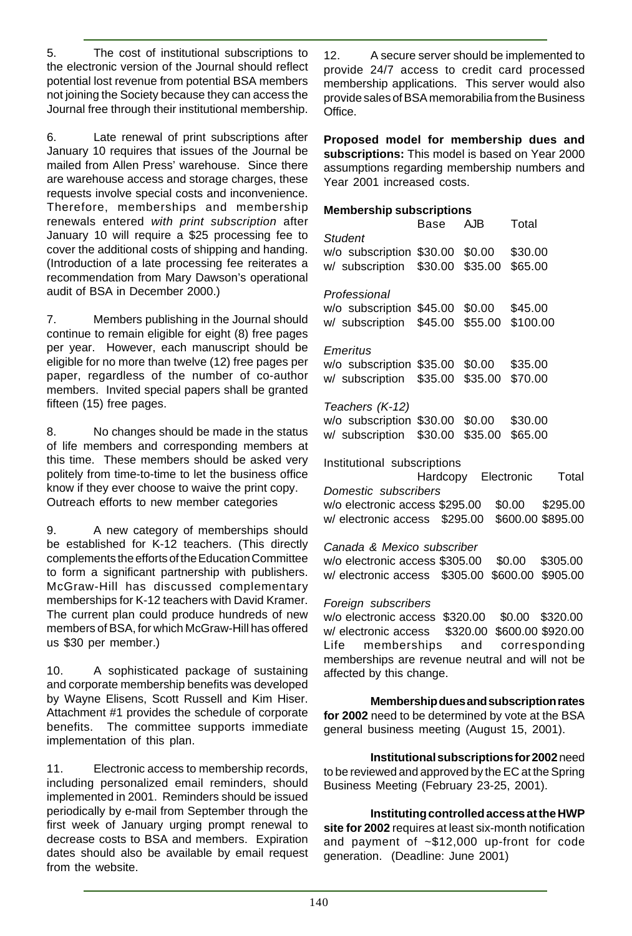5. The cost of institutional subscriptions to the electronic version of the Journal should reflect potential lost revenue from potential BSA members not joining the Society because they can access the Journal free through their institutional membership.

6. Late renewal of print subscriptions after January 10 requires that issues of the Journal be mailed from Allen Press' warehouse. Since there are warehouse access and storage charges, these requests involve special costs and inconvenience. Therefore, memberships and membership renewals entered with print subscription after January 10 will require a \$25 processing fee to cover the additional costs of shipping and handing. (Introduction of a late processing fee reiterates a recommendation from Mary Dawson's operational audit of BSA in December 2000.)

7. Members publishing in the Journal should continue to remain eligible for eight (8) free pages per year. However, each manuscript should be eligible for no more than twelve (12) free pages per paper, regardless of the number of co-author members. Invited special papers shall be granted fifteen (15) free pages.

8. No changes should be made in the status of life members and corresponding members at this time. These members should be asked very politely from time-to-time to let the business office know if they ever choose to waive the print copy. Outreach efforts to new member categories

9. A new category of memberships should be established for K-12 teachers. (This directly complements the efforts of the Education Committee to form a significant partnership with publishers. McGraw-Hill has discussed complementary memberships for K-12 teachers with David Kramer. The current plan could produce hundreds of new members of BSA, for which McGraw-Hill has offered us \$30 per member.)

10. A sophisticated package of sustaining and corporate membership benefits was developed by Wayne Elisens, Scott Russell and Kim Hiser. Attachment #1 provides the schedule of corporate benefits. The committee supports immediate implementation of this plan.

11. Electronic access to membership records, including personalized email reminders, should implemented in 2001. Reminders should be issued periodically by e-mail from September through the first week of January urging prompt renewal to decrease costs to BSA and members. Expiration dates should also be available by email request from the website.

12. A secure server should be implemented to provide 24/7 access to credit card processed membership applications. This server would also provide sales of BSA memorabilia from the Business Office.

**Proposed model for membership dues and subscriptions:** This model is based on Year 2000 assumptions regarding membership numbers and Year 2001 increased costs.

#### **Membership subscriptions**

|                                                                              | Base AJB |                     | Total |
|------------------------------------------------------------------------------|----------|---------------------|-------|
| <b>Student</b>                                                               |          |                     |       |
| w/o subscription \$30.00 \$0.00 \$30.00                                      |          |                     |       |
| w/ subscription \$30.00 \$35.00 \$65.00                                      |          |                     |       |
|                                                                              |          |                     |       |
| Professional                                                                 |          |                     |       |
|                                                                              |          |                     |       |
| w/o subscription \$45.00 \$0.00 \$45.00                                      |          |                     |       |
| w/ subscription \$45.00 \$55.00 \$100.00                                     |          |                     |       |
|                                                                              |          |                     |       |
| Emeritus                                                                     |          |                     |       |
| w/o subscription \$35.00 \$0.00 \$35.00                                      |          |                     |       |
| w/ subscription \$35.00 \$35.00 \$70.00                                      |          |                     |       |
|                                                                              |          |                     |       |
| Teachers (K-12)                                                              |          |                     |       |
| w/o subscription \$30.00 \$0.00 \$30.00                                      |          |                     |       |
| w/ subscription \$30.00 \$35.00 \$65.00                                      |          |                     |       |
|                                                                              |          |                     |       |
|                                                                              |          |                     |       |
| Institutional subscriptions                                                  |          |                     |       |
|                                                                              |          | Hardcopy Electronic | Total |
| Domestic subscribers                                                         |          |                     |       |
| w/o electronic access \$295.00 \$0.00 \$295.00                               |          |                     |       |
| w/ electronic access \$295.00 \$600.00 \$895.00                              |          |                     |       |
|                                                                              |          |                     |       |
| Canada & Mexico subscriber                                                   |          |                     |       |
|                                                                              |          |                     |       |
| w/o electronic access \$305.00 \$0.00 \$305.00                               |          |                     |       |
| w/ electronic access \$305.00 \$600.00 \$905.00                              |          |                     |       |
|                                                                              |          |                     |       |
| Foreign subscribers                                                          |          |                     |       |
| w/o electronic access \$320.00 \$0.00 \$320.00                               |          |                     |       |
| $w/$ electronic access $\left( 220.00 \right)$ can be seen by the second $0$ |          |                     |       |

w/ electronic access \$320.00 \$600.00 \$920.00 Life memberships and corresponding memberships are revenue neutral and will not be affected by this change.

**Membership dues and subscription rates for 2002** need to be determined by vote at the BSA general business meeting (August 15, 2001).

**Institutional subscriptions for 2002** need to be reviewed and approved by the EC at the Spring Business Meeting (February 23-25, 2001).

#### **Instituting controlled access at the HWP**

**site for 2002** requires at least six-month notification and payment of ~\$12,000 up-front for code generation. (Deadline: June 2001)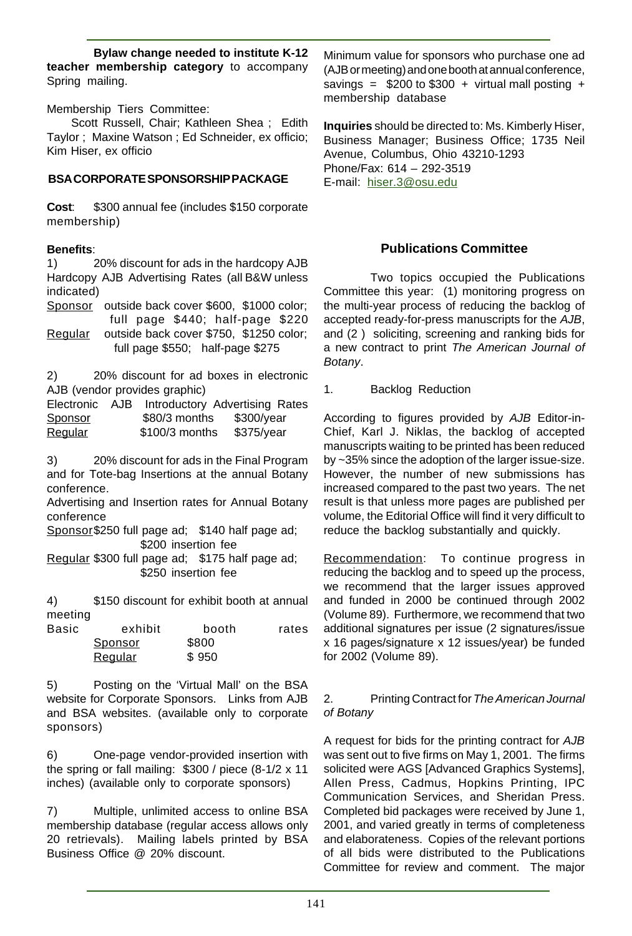**Bylaw change needed to institute K-12 teacher membership category** to accompany Spring mailing.

Membership Tiers Committee:

 Scott Russell, Chair; Kathleen Shea ; Edith Taylor ; Maxine Watson ; Ed Schneider, ex officio; Kim Hiser, ex officio

#### **BSA CORPORATE SPONSORSHIP PACKAGE**

**Cost**: \$300 annual fee (includes \$150 corporate membership)

#### **Benefits**:

1) 20% discount for ads in the hardcopy AJB Hardcopy AJB Advertising Rates (all B&W unless indicated)

Sponsor outside back cover \$600, \$1000 color; full page \$440; half-page \$220

Regular outside back cover \$750, \$1250 color; full page \$550; half-page \$275

2) 20% discount for ad boxes in electronic AJB (vendor provides graphic)

| Electronic | AJB. | Introductory Advertising Rates |            |  |
|------------|------|--------------------------------|------------|--|
| Sponsor    |      | \$80/3 months                  | \$300/year |  |
| Regular    |      | \$100/3 months                 | \$375/year |  |

3) 20% discount for ads in the Final Program and for Tote-bag Insertions at the annual Botany conference.

Advertising and Insertion rates for Annual Botany conference

Sponsor\$250 full page ad; \$140 half page ad; \$200 insertion fee

Regular \$300 full page ad; \$175 half page ad; \$250 insertion fee

4) \$150 discount for exhibit booth at annual meeting

| Basic | exhibit        | booth | rates |
|-------|----------------|-------|-------|
|       | Sponsor        | \$800 |       |
|       | <b>Regular</b> | \$950 |       |

5) Posting on the 'Virtual Mall' on the BSA website for Corporate Sponsors. Links from AJB and BSA websites. (available only to corporate sponsors)

6) One-page vendor-provided insertion with the spring or fall mailing: \$300 / piece (8-1/2 x 11 inches) (available only to corporate sponsors)

7) Multiple, unlimited access to online BSA membership database (regular access allows only 20 retrievals). Mailing labels printed by BSA Business Office @ 20% discount.

Minimum value for sponsors who purchase one ad (AJB or meeting) and one booth at annual conference, savings =  $$200$  to  $$300 + virtual$  mall posting + membership database

**Inquiries** should be directed to: Ms. Kimberly Hiser, Business Manager; Business Office; 1735 Neil Avenue, Columbus, Ohio 43210-1293 Phone/Fax: 614 – 292-3519 E-mail: hiser.3@osu.edu

#### **Publications Committee**

Two topics occupied the Publications Committee this year: (1) monitoring progress on the multi-year process of reducing the backlog of accepted ready-for-press manuscripts for the AJB, and (2 ) soliciting, screening and ranking bids for a new contract to print The American Journal of Botany.

1. Backlog Reduction

According to figures provided by AJB Editor-in-Chief, Karl J. Niklas, the backlog of accepted manuscripts waiting to be printed has been reduced by ~35% since the adoption of the larger issue-size. However, the number of new submissions has increased compared to the past two years. The net result is that unless more pages are published per volume, the Editorial Office will find it very difficult to reduce the backlog substantially and quickly.

Recommendation: To continue progress in reducing the backlog and to speed up the process, we recommend that the larger issues approved and funded in 2000 be continued through 2002 (Volume 89). Furthermore, we recommend that two additional signatures per issue (2 signatures/issue x 16 pages/signature x 12 issues/year) be funded for 2002 (Volume 89).

#### 2. Printing Contract for The American Journal of Botany

A request for bids for the printing contract for AJB was sent out to five firms on May 1, 2001. The firms solicited were AGS [Advanced Graphics Systems], Allen Press, Cadmus, Hopkins Printing, IPC Communication Services, and Sheridan Press. Completed bid packages were received by June 1, 2001, and varied greatly in terms of completeness and elaborateness. Copies of the relevant portions of all bids were distributed to the Publications Committee for review and comment. The major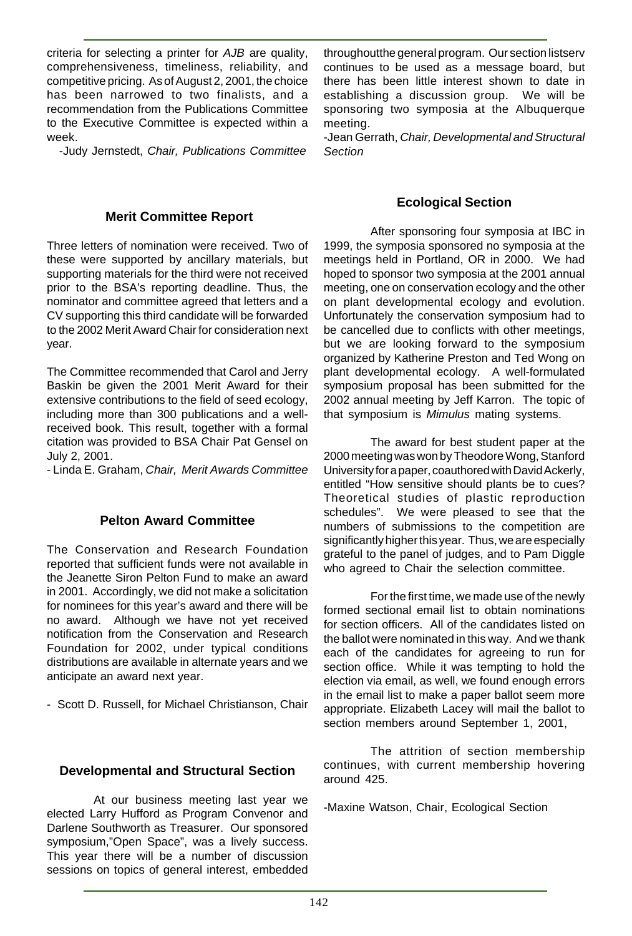criteria for selecting a printer for AJB are quality, comprehensiveness, timeliness, reliability, and competitive pricing. As of August 2, 2001, the choice has been narrowed to two finalists, and a recommendation from the Publications Committee to the Executive Committee is expected within a week.

-Judy Jernstedt, Chair, Publications Committee

#### **Merit Committee Report**

Three letters of nomination were received. Two of these were supported by ancillary materials, but supporting materials for the third were not received prior to the BSA's reporting deadline. Thus, the nominator and committee agreed that letters and a CV supporting this third candidate will be forwarded to the 2002 Merit Award Chair for consideration next year.

The Committee recommended that Carol and Jerry Baskin be given the 2001 Merit Award for their extensive contributions to the field of seed ecology, including more than 300 publications and a wellreceived book. This result, together with a formal citation was provided to BSA Chair Pat Gensel on July 2, 2001.

- Linda E. Graham, Chair, Merit Awards Committee

#### **Pelton Award Committee**

The Conservation and Research Foundation reported that sufficient funds were not available in the Jeanette Siron Pelton Fund to make an award in 2001. Accordingly, we did not make a solicitation for nominees for this year's award and there will be no award. Although we have not yet received notification from the Conservation and Research Foundation for 2002, under typical conditions distributions are available in alternate years and we anticipate an award next year.

- Scott D. Russell, for Michael Christianson, Chair

#### **Developmental and Structural Section**

At our business meeting last year we elected Larry Hufford as Program Convenor and Darlene Southworth as Treasurer. Our sponsored symposium,"Open Space", was a lively success. This year there will be a number of discussion sessions on topics of general interest, embedded throughoutthe general program. Our section listserv continues to be used as a message board, but there has been little interest shown to date in establishing a discussion group. We will be sponsoring two symposia at the Albuquerque meeting.

-Jean Gerrath, Chair, Developmental and Structural Section

#### **Ecological Section**

After sponsoring four symposia at IBC in 1999, the symposia sponsored no symposia at the meetings held in Portland, OR in 2000. We had hoped to sponsor two symposia at the 2001 annual meeting, one on conservation ecology and the other on plant developmental ecology and evolution. Unfortunately the conservation symposium had to be cancelled due to conflicts with other meetings, but we are looking forward to the symposium organized by Katherine Preston and Ted Wong on plant developmental ecology. A well-formulated symposium proposal has been submitted for the 2002 annual meeting by Jeff Karron. The topic of that symposium is Mimulus mating systems.

The award for best student paper at the 2000 meeting was won by Theodore Wong, Stanford University for a paper, coauthored with David Ackerly, entitled "How sensitive should plants be to cues? Theoretical studies of plastic reproduction schedules". We were pleased to see that the numbers of submissions to the competition are significantly higher this year. Thus, we are especially grateful to the panel of judges, and to Pam Diggle who agreed to Chair the selection committee.

For the first time, we made use of the newly formed sectional email list to obtain nominations for section officers. All of the candidates listed on the ballot were nominated in this way. And we thank each of the candidates for agreeing to run for section office. While it was tempting to hold the election via email, as well, we found enough errors in the email list to make a paper ballot seem more appropriate. Elizabeth Lacey will mail the ballot to section members around September 1, 2001,

The attrition of section membership continues, with current membership hovering around 425.

-Maxine Watson, Chair, Ecological Section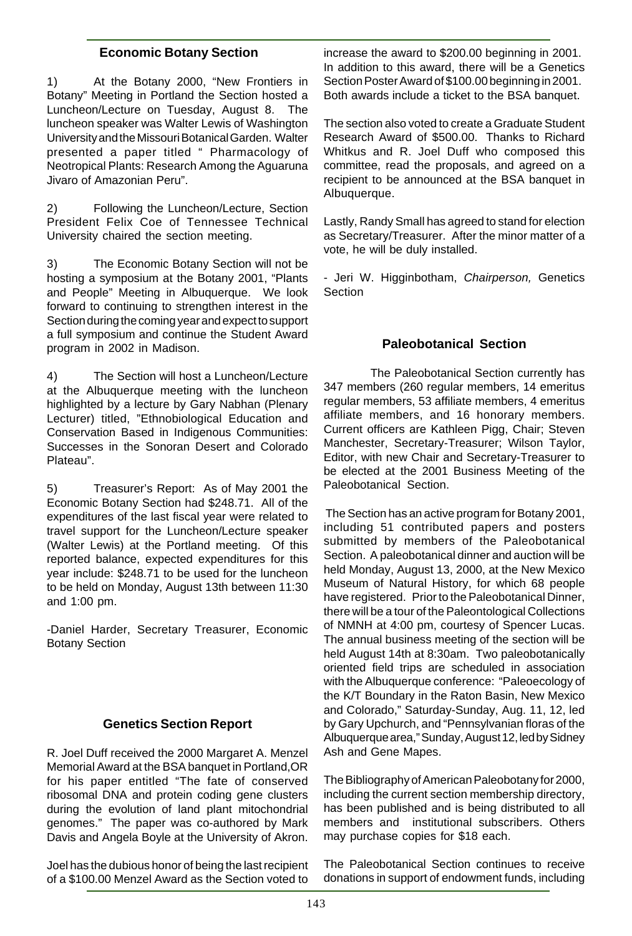#### **Economic Botany Section**

1) At the Botany 2000, "New Frontiers in Botany" Meeting in Portland the Section hosted a Luncheon/Lecture on Tuesday, August 8. The luncheon speaker was Walter Lewis of Washington University and the Missouri Botanical Garden. Walter presented a paper titled " Pharmacology of Neotropical Plants: Research Among the Aguaruna Jivaro of Amazonian Peru".

2) Following the Luncheon/Lecture, Section President Felix Coe of Tennessee Technical University chaired the section meeting.

3) The Economic Botany Section will not be hosting a symposium at the Botany 2001, "Plants and People" Meeting in Albuquerque. We look forward to continuing to strengthen interest in the Section during the coming year and expect to support a full symposium and continue the Student Award program in 2002 in Madison.

4) The Section will host a Luncheon/Lecture at the Albuquerque meeting with the luncheon highlighted by a lecture by Gary Nabhan (Plenary Lecturer) titled, "Ethnobiological Education and Conservation Based in Indigenous Communities: Successes in the Sonoran Desert and Colorado Plateau".

5) Treasurer's Report: As of May 2001 the Economic Botany Section had \$248.71. All of the expenditures of the last fiscal year were related to travel support for the Luncheon/Lecture speaker (Walter Lewis) at the Portland meeting. Of this reported balance, expected expenditures for this year include: \$248.71 to be used for the luncheon to be held on Monday, August 13th between 11:30 and 1:00 pm.

-Daniel Harder, Secretary Treasurer, Economic Botany Section

#### **Genetics Section Report**

R. Joel Duff received the 2000 Margaret A. Menzel Memorial Award at the BSA banquet in Portland,OR for his paper entitled "The fate of conserved ribosomal DNA and protein coding gene clusters during the evolution of land plant mitochondrial genomes." The paper was co-authored by Mark Davis and Angela Boyle at the University of Akron.

Joel has the dubious honor of being the last recipient of a \$100.00 Menzel Award as the Section voted to increase the award to \$200.00 beginning in 2001. In addition to this award, there will be a Genetics Section Poster Award of \$100.00 beginning in 2001. Both awards include a ticket to the BSA banquet.

The section also voted to create a Graduate Student Research Award of \$500.00. Thanks to Richard Whitkus and R. Joel Duff who composed this committee, read the proposals, and agreed on a recipient to be announced at the BSA banquet in Albuquerque.

Lastly, Randy Small has agreed to stand for election as Secretary/Treasurer. After the minor matter of a vote, he will be duly installed.

- Jeri W. Higginbotham, Chairperson, Genetics **Section** 

#### **Paleobotanical Section**

The Paleobotanical Section currently has 347 members (260 regular members, 14 emeritus regular members, 53 affiliate members, 4 emeritus affiliate members, and 16 honorary members. Current officers are Kathleen Pigg, Chair; Steven Manchester, Secretary-Treasurer; Wilson Taylor, Editor, with new Chair and Secretary-Treasurer to be elected at the 2001 Business Meeting of the Paleobotanical Section.

 The Section has an active program for Botany 2001, including 51 contributed papers and posters submitted by members of the Paleobotanical Section. A paleobotanical dinner and auction will be held Monday, August 13, 2000, at the New Mexico Museum of Natural History, for which 68 people have registered. Prior to the Paleobotanical Dinner, there will be a tour of the Paleontological Collections of NMNH at 4:00 pm, courtesy of Spencer Lucas. The annual business meeting of the section will be held August 14th at 8:30am. Two paleobotanically oriented field trips are scheduled in association with the Albuquerque conference: "Paleoecology of the K/T Boundary in the Raton Basin, New Mexico and Colorado," Saturday-Sunday, Aug. 11, 12, led by Gary Upchurch, and "Pennsylvanian floras of the Albuquerque area," Sunday, August 12, led by Sidney Ash and Gene Mapes.

The Bibliography of American Paleobotany for 2000, including the current section membership directory, has been published and is being distributed to all members and institutional subscribers. Others may purchase copies for \$18 each.

The Paleobotanical Section continues to receive donations in support of endowment funds, including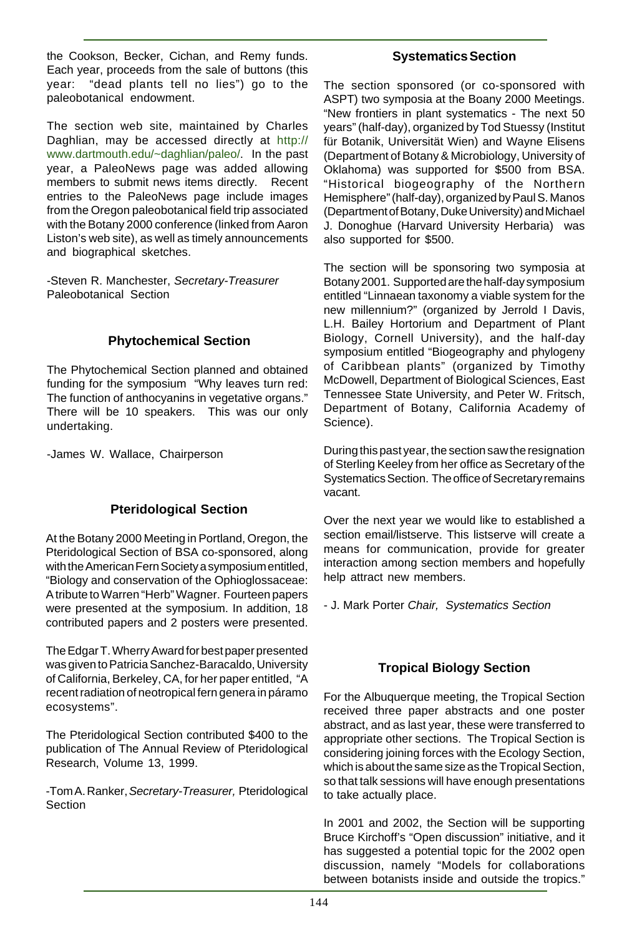the Cookson, Becker, Cichan, and Remy funds. Each year, proceeds from the sale of buttons (this year: "dead plants tell no lies") go to the paleobotanical endowment.

The section web site, maintained by Charles Daghlian, may be accessed directly at http:// www.dartmouth.edu/~daghlian/paleo/. In the past year, a PaleoNews page was added allowing members to submit news items directly. Recent entries to the PaleoNews page include images from the Oregon paleobotanical field trip associated with the Botany 2000 conference (linked from Aaron Liston's web site), as well as timely announcements and biographical sketches.

-Steven R. Manchester, Secretary-Treasurer Paleobotanical Section

#### **Phytochemical Section**

The Phytochemical Section planned and obtained funding for the symposium "Why leaves turn red: The function of anthocyanins in vegetative organs." There will be 10 speakers. This was our only undertaking.

-James W. Wallace, Chairperson

# **Pteridological Section**

At the Botany 2000 Meeting in Portland, Oregon, the Pteridological Section of BSA co-sponsored, along with the American Fern Society a symposium entitled, "Biology and conservation of the Ophioglossaceae: A tribute to Warren "Herb" Wagner. Fourteen papers were presented at the symposium. In addition, 18 contributed papers and 2 posters were presented.

The Edgar T. Wherry Award for best paper presented was given to Patricia Sanchez-Baracaldo, University of California, Berkeley, CA, for her paper entitled, "A recent radiation of neotropical fern genera in páramo ecosystems".

The Pteridological Section contributed \$400 to the publication of The Annual Review of Pteridological Research, Volume 13, 1999.

-Tom A. Ranker, Secretary-Treasurer, Pteridological Section

#### **Systematics Section**

The section sponsored (or co-sponsored with ASPT) two symposia at the Boany 2000 Meetings. "New frontiers in plant systematics - The next 50 years" (half-day), organized by Tod Stuessy (Institut für Botanik, Universität Wien) and Wayne Elisens (Department of Botany & Microbiology, University of Oklahoma) was supported for \$500 from BSA. "Historical biogeography of the Northern Hemisphere" (half-day), organized by Paul S. Manos (Department of Botany, Duke University) and Michael J. Donoghue (Harvard University Herbaria) was also supported for \$500.

The section will be sponsoring two symposia at Botany 2001. Supported are the half-day symposium entitled "Linnaean taxonomy a viable system for the new millennium?" (organized by Jerrold I Davis, L.H. Bailey Hortorium and Department of Plant Biology, Cornell University), and the half-day symposium entitled "Biogeography and phylogeny of Caribbean plants" (organized by Timothy McDowell, Department of Biological Sciences, East Tennessee State University, and Peter W. Fritsch, Department of Botany, California Academy of Science).

During this past year, the section saw the resignation of Sterling Keeley from her office as Secretary of the Systematics Section. The office of Secretary remains vacant.

Over the next year we would like to established a section email/listserve. This listserve will create a means for communication, provide for greater interaction among section members and hopefully help attract new members.

- J. Mark Porter Chair, Systematics Section

# **Tropical Biology Section**

For the Albuquerque meeting, the Tropical Section received three paper abstracts and one poster abstract, and as last year, these were transferred to appropriate other sections. The Tropical Section is considering joining forces with the Ecology Section, which is about the same size as the Tropical Section, so that talk sessions will have enough presentations to take actually place.

In 2001 and 2002, the Section will be supporting Bruce Kirchoff's "Open discussion" initiative, and it has suggested a potential topic for the 2002 open discussion, namely "Models for collaborations between botanists inside and outside the tropics."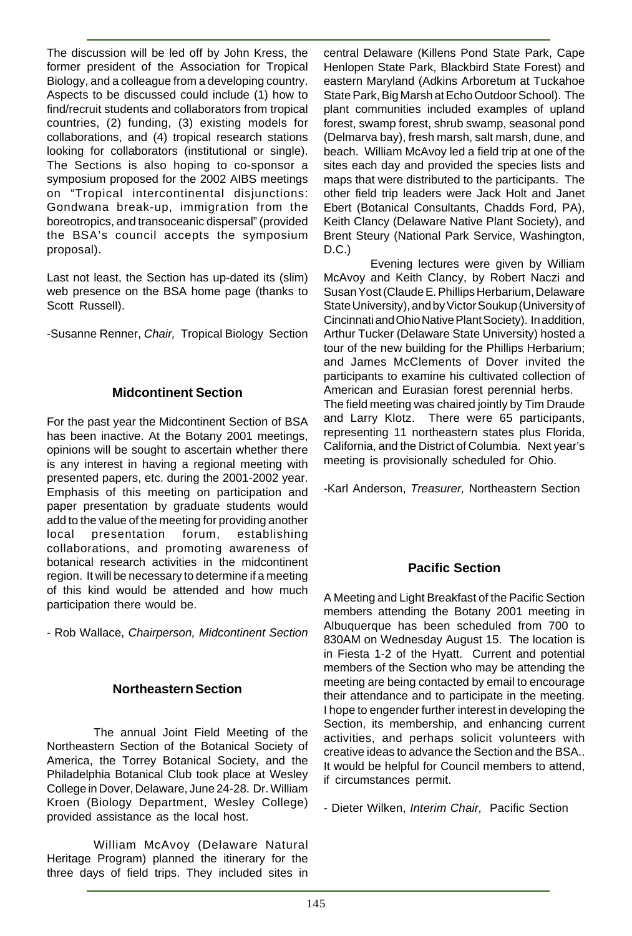The discussion will be led off by John Kress, the former president of the Association for Tropical Biology, and a colleague from a developing country. Aspects to be discussed could include (1) how to find/recruit students and collaborators from tropical countries, (2) funding, (3) existing models for collaborations, and (4) tropical research stations looking for collaborators (institutional or single). The Sections is also hoping to co-sponsor a symposium proposed for the 2002 AIBS meetings on "Tropical intercontinental disjunctions: Gondwana break-up, immigration from the boreotropics, and transoceanic dispersal" (provided the BSA's council accepts the symposium proposal).

Last not least, the Section has up-dated its (slim) web presence on the BSA home page (thanks to Scott Russell).

-Susanne Renner, Chair, Tropical Biology Section

#### **Midcontinent Section**

For the past year the Midcontinent Section of BSA has been inactive. At the Botany 2001 meetings, opinions will be sought to ascertain whether there is any interest in having a regional meeting with presented papers, etc. during the 2001-2002 year. Emphasis of this meeting on participation and paper presentation by graduate students would add to the value of the meeting for providing another local presentation forum, establishing collaborations, and promoting awareness of botanical research activities in the midcontinent region. It will be necessary to determine if a meeting of this kind would be attended and how much participation there would be.

- Rob Wallace, Chairperson, Midcontinent Section

#### **Northeastern Section**

The annual Joint Field Meeting of the Northeastern Section of the Botanical Society of America, the Torrey Botanical Society, and the Philadelphia Botanical Club took place at Wesley College in Dover, Delaware, June 24-28. Dr. William Kroen (Biology Department, Wesley College) provided assistance as the local host.

William McAvoy (Delaware Natural Heritage Program) planned the itinerary for the three days of field trips. They included sites in

central Delaware (Killens Pond State Park, Cape Henlopen State Park, Blackbird State Forest) and eastern Maryland (Adkins Arboretum at Tuckahoe State Park, Big Marsh at Echo Outdoor School). The plant communities included examples of upland forest, swamp forest, shrub swamp, seasonal pond (Delmarva bay), fresh marsh, salt marsh, dune, and beach. William McAvoy led a field trip at one of the sites each day and provided the species lists and maps that were distributed to the participants. The other field trip leaders were Jack Holt and Janet Ebert (Botanical Consultants, Chadds Ford, PA), Keith Clancy (Delaware Native Plant Society), and Brent Steury (National Park Service, Washington, D.C.)

Evening lectures were given by William McAvoy and Keith Clancy, by Robert Naczi and Susan Yost (Claude E. Phillips Herbarium, Delaware State University), and by Victor Soukup (University of Cincinnati and Ohio Native Plant Society). In addition, Arthur Tucker (Delaware State University) hosted a tour of the new building for the Phillips Herbarium; and James McClements of Dover invited the participants to examine his cultivated collection of American and Eurasian forest perennial herbs. The field meeting was chaired jointly by Tim Draude and Larry Klotz. There were 65 participants, representing 11 northeastern states plus Florida, California, and the District of Columbia. Next year's

-Karl Anderson, Treasurer, Northeastern Section

meeting is provisionally scheduled for Ohio.

#### **Pacific Section**

A Meeting and Light Breakfast of the Pacific Section members attending the Botany 2001 meeting in Albuquerque has been scheduled from 700 to 830AM on Wednesday August 15. The location is in Fiesta 1-2 of the Hyatt. Current and potential members of the Section who may be attending the meeting are being contacted by email to encourage their attendance and to participate in the meeting. I hope to engender further interest in developing the Section, its membership, and enhancing current activities, and perhaps solicit volunteers with creative ideas to advance the Section and the BSA.. It would be helpful for Council members to attend, if circumstances permit.

- Dieter Wilken, Interim Chair, Pacific Section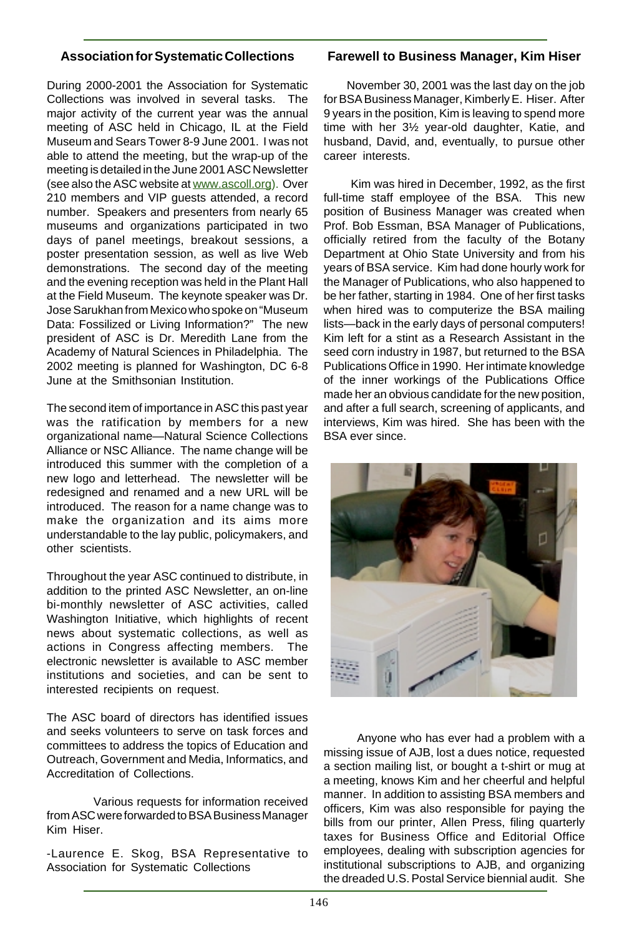#### **Association for Systematic Collections**

During 2000-2001 the Association for Systematic Collections was involved in several tasks. The major activity of the current year was the annual meeting of ASC held in Chicago, IL at the Field Museum and Sears Tower 8-9 June 2001. I was not able to attend the meeting, but the wrap-up of the meeting is detailed in the June 2001 ASC Newsletter (see also the ASC website at www.ascoll.org). Over 210 members and VIP guests attended, a record number. Speakers and presenters from nearly 65 museums and organizations participated in two days of panel meetings, breakout sessions, a poster presentation session, as well as live Web demonstrations. The second day of the meeting and the evening reception was held in the Plant Hall at the Field Museum. The keynote speaker was Dr. Jose Sarukhan from Mexico who spoke on "Museum Data: Fossilized or Living Information?" The new president of ASC is Dr. Meredith Lane from the Academy of Natural Sciences in Philadelphia. The 2002 meeting is planned for Washington, DC 6-8 June at the Smithsonian Institution.

The second item of importance in ASC this past year was the ratification by members for a new organizational name—Natural Science Collections Alliance or NSC Alliance. The name change will be introduced this summer with the completion of a new logo and letterhead. The newsletter will be redesigned and renamed and a new URL will be introduced. The reason for a name change was to make the organization and its aims more understandable to the lay public, policymakers, and other scientists.

Throughout the year ASC continued to distribute, in addition to the printed ASC Newsletter, an on-line bi-monthly newsletter of ASC activities, called Washington Initiative, which highlights of recent news about systematic collections, as well as actions in Congress affecting members. The electronic newsletter is available to ASC member institutions and societies, and can be sent to interested recipients on request.

The ASC board of directors has identified issues and seeks volunteers to serve on task forces and committees to address the topics of Education and Outreach, Government and Media, Informatics, and Accreditation of Collections.

Various requests for information received from ASC were forwarded to BSA Business Manager Kim Hiser.

-Laurence E. Skog, BSA Representative to Association for Systematic Collections

#### **Farewell to Business Manager, Kim Hiser**

 November 30, 2001 was the last day on the job for BSA Business Manager, Kimberly E. Hiser. After 9 years in the position, Kim is leaving to spend more time with her 3½ year-old daughter, Katie, and husband, David, and, eventually, to pursue other career interests.

 Kim was hired in December, 1992, as the first full-time staff employee of the BSA. This new position of Business Manager was created when Prof. Bob Essman, BSA Manager of Publications, officially retired from the faculty of the Botany Department at Ohio State University and from his years of BSA service. Kim had done hourly work for the Manager of Publications, who also happened to be her father, starting in 1984. One of her first tasks when hired was to computerize the BSA mailing lists—back in the early days of personal computers! Kim left for a stint as a Research Assistant in the seed corn industry in 1987, but returned to the BSA Publications Office in 1990. Her intimate knowledge of the inner workings of the Publications Office made her an obvious candidate for the new position, and after a full search, screening of applicants, and interviews, Kim was hired. She has been with the BSA ever since.



 Anyone who has ever had a problem with a missing issue of AJB, lost a dues notice, requested a section mailing list, or bought a t-shirt or mug at a meeting, knows Kim and her cheerful and helpful manner. In addition to assisting BSA members and officers, Kim was also responsible for paying the bills from our printer, Allen Press, filing quarterly taxes for Business Office and Editorial Office employees, dealing with subscription agencies for institutional subscriptions to AJB, and organizing the dreaded U.S. Postal Service biennial audit. She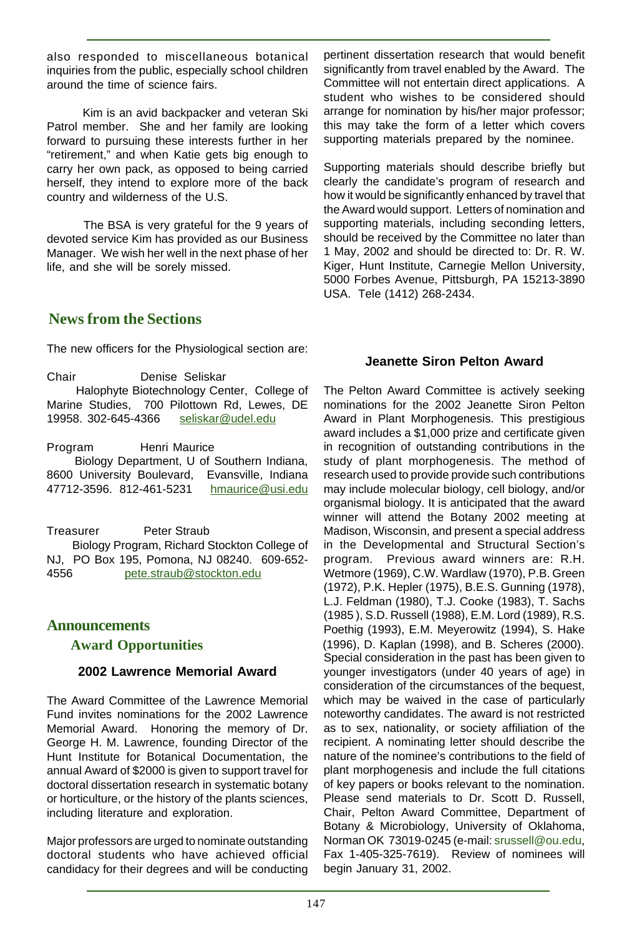also responded to miscellaneous botanical inquiries from the public, especially school children around the time of science fairs.

 Kim is an avid backpacker and veteran Ski Patrol member. She and her family are looking forward to pursuing these interests further in her "retirement," and when Katie gets big enough to carry her own pack, as opposed to being carried herself, they intend to explore more of the back country and wilderness of the U.S.

 The BSA is very grateful for the 9 years of devoted service Kim has provided as our Business Manager. We wish her well in the next phase of her life, and she will be sorely missed.

# **News from the Sections**

The new officers for the Physiological section are:

Chair Denise Seliskar

 Halophyte Biotechnology Center, College of Marine Studies, 700 Pilottown Rd, Lewes, DE 19958. 302-645-4366 seliskar@udel.edu

Program Henri Maurice

 Biology Department, U of Southern Indiana, 8600 University Boulevard, Evansville, Indiana 47712-3596. 812-461-5231 hmaurice@usi.edu

Treasurer Peter Straub Biology Program, Richard Stockton College of NJ, PO Box 195, Pomona, NJ 08240. 609-652- 4556 pete.straub@stockton.edu

#### **Announcements**

#### **Award Opportunities**

#### **2002 Lawrence Memorial Award**

The Award Committee of the Lawrence Memorial Fund invites nominations for the 2002 Lawrence Memorial Award. Honoring the memory of Dr. George H. M. Lawrence, founding Director of the Hunt Institute for Botanical Documentation, the annual Award of \$2000 is given to support travel for doctoral dissertation research in systematic botany or horticulture, or the history of the plants sciences, including literature and exploration.

Major professors are urged to nominate outstanding doctoral students who have achieved official candidacy for their degrees and will be conducting pertinent dissertation research that would benefit significantly from travel enabled by the Award. The Committee will not entertain direct applications. A student who wishes to be considered should arrange for nomination by his/her major professor; this may take the form of a letter which covers supporting materials prepared by the nominee.

Supporting materials should describe briefly but clearly the candidate's program of research and how it would be significantly enhanced by travel that the Award would support. Letters of nomination and supporting materials, including seconding letters, should be received by the Committee no later than 1 May, 2002 and should be directed to: Dr. R. W. Kiger, Hunt Institute, Carnegie Mellon University, 5000 Forbes Avenue, Pittsburgh, PA 15213-3890 USA. Tele (1412) 268-2434.

#### **Jeanette Siron Pelton Award**

The Pelton Award Committee is actively seeking nominations for the 2002 Jeanette Siron Pelton Award in Plant Morphogenesis. This prestigious award includes a \$1,000 prize and certificate given in recognition of outstanding contributions in the study of plant morphogenesis. The method of research used to provide provide such contributions may include molecular biology, cell biology, and/or organismal biology. It is anticipated that the award winner will attend the Botany 2002 meeting at Madison, Wisconsin, and present a special address in the Developmental and Structural Section's program. Previous award winners are: R.H. Wetmore (1969), C.W. Wardlaw (1970), P.B. Green (1972), P.K. Hepler (1975), B.E.S. Gunning (1978), L.J. Feldman (1980), T.J. Cooke (1983), T. Sachs (1985 ), S.D. Russell (1988), E.M. Lord (1989), R.S. Poethig (1993), E.M. Meyerowitz (1994), S. Hake (1996), D. Kaplan (1998), and B. Scheres (2000). Special consideration in the past has been given to younger investigators (under 40 years of age) in consideration of the circumstances of the bequest, which may be waived in the case of particularly noteworthy candidates. The award is not restricted as to sex, nationality, or society affiliation of the recipient. A nominating letter should describe the nature of the nominee's contributions to the field of plant morphogenesis and include the full citations of key papers or books relevant to the nomination. Please send materials to Dr. Scott D. Russell, Chair, Pelton Award Committee, Department of Botany & Microbiology, University of Oklahoma, Norman OK 73019-0245 (e-mail: srussell@ou.edu, Fax 1-405-325-7619). Review of nominees will begin January 31, 2002.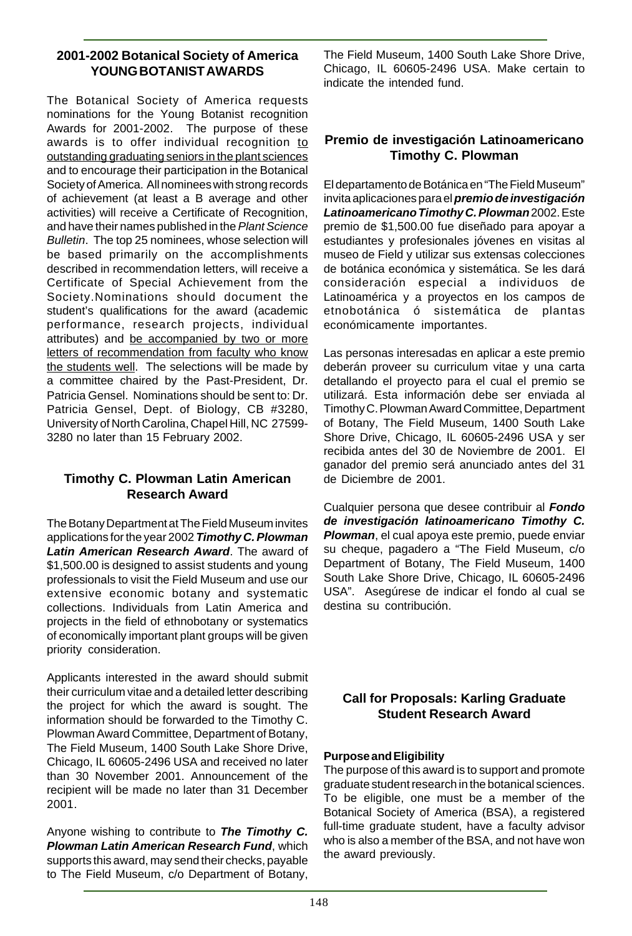#### **2001-2002 Botanical Society of America YOUNG BOTANIST AWARDS**

The Botanical Society of America requests nominations for the Young Botanist recognition Awards for 2001-2002. The purpose of these awards is to offer individual recognition to outstanding graduating seniors in the plant sciences and to encourage their participation in the Botanical Society of America. All nominees with strong records of achievement (at least a B average and other activities) will receive a Certificate of Recognition, and have their names published in the Plant Science Bulletin. The top 25 nominees, whose selection will be based primarily on the accomplishments described in recommendation letters, will receive a Certificate of Special Achievement from the Society.Nominations should document the student's qualifications for the award (academic performance, research projects, individual attributes) and be accompanied by two or more letters of recommendation from faculty who know the students well. The selections will be made by a committee chaired by the Past-President, Dr. Patricia Gensel. Nominations should be sent to: Dr. Patricia Gensel, Dept. of Biology, CB #3280, University of North Carolina, Chapel Hill, NC 27599- 3280 no later than 15 February 2002.

#### **Timothy C. Plowman Latin American Research Award**

The Botany Department at The Field Museum invites applications for the year 2002 **Timothy C. Plowman Latin American Research Award**. The award of \$1,500.00 is designed to assist students and young professionals to visit the Field Museum and use our extensive economic botany and systematic collections. Individuals from Latin America and projects in the field of ethnobotany or systematics of economically important plant groups will be given priority consideration.

Applicants interested in the award should submit their curriculum vitae and a detailed letter describing the project for which the award is sought. The information should be forwarded to the Timothy C. Plowman Award Committee, Department of Botany, The Field Museum, 1400 South Lake Shore Drive, Chicago, IL 60605-2496 USA and received no later than 30 November 2001. Announcement of the recipient will be made no later than 31 December 2001.

Anyone wishing to contribute to **The Timothy C. Plowman Latin American Research Fund**, which supports this award, may send their checks, payable to The Field Museum, c/o Department of Botany, The Field Museum, 1400 South Lake Shore Drive, Chicago, IL 60605-2496 USA. Make certain to indicate the intended fund.

#### **Premio de investigación Latinoamericano Timothy C. Plowman**

El departamento de Botánica en "The Field Museum" invita aplicaciones para el **premio de investigación Latinoamericano Timothy C. Plowman** 2002. Este premio de \$1,500.00 fue diseñado para apoyar a estudiantes y profesionales jóvenes en visitas al museo de Field y utilizar sus extensas colecciones de botánica económica y sistemática. Se les dará consideración especial a individuos de Latinoamérica y a proyectos en los campos de etnobotánica ó sistemática de plantas económicamente importantes.

Las personas interesadas en aplicar a este premio deberán proveer su curriculum vitae y una carta detallando el proyecto para el cual el premio se utilizará. Esta información debe ser enviada al Timothy C. Plowman Award Committee, Department of Botany, The Field Museum, 1400 South Lake Shore Drive, Chicago, IL 60605-2496 USA y ser recibida antes del 30 de Noviembre de 2001. El ganador del premio será anunciado antes del 31 de Diciembre de 2001.

Cualquier persona que desee contribuir al **Fondo de investigación latinoamericano Timothy C. Plowman**, el cual apoya este premio, puede enviar su cheque, pagadero a "The Field Museum, c/o Department of Botany, The Field Museum, 1400 South Lake Shore Drive, Chicago, IL 60605-2496 USA". Asegúrese de indicar el fondo al cual se destina su contribución.

#### **Call for Proposals: Karling Graduate Student Research Award**

#### **Purpose and Eligibility**

The purpose of this award is to support and promote graduate student research in the botanical sciences. To be eligible, one must be a member of the Botanical Society of America (BSA), a registered full-time graduate student, have a faculty advisor who is also a member of the BSA, and not have won the award previously.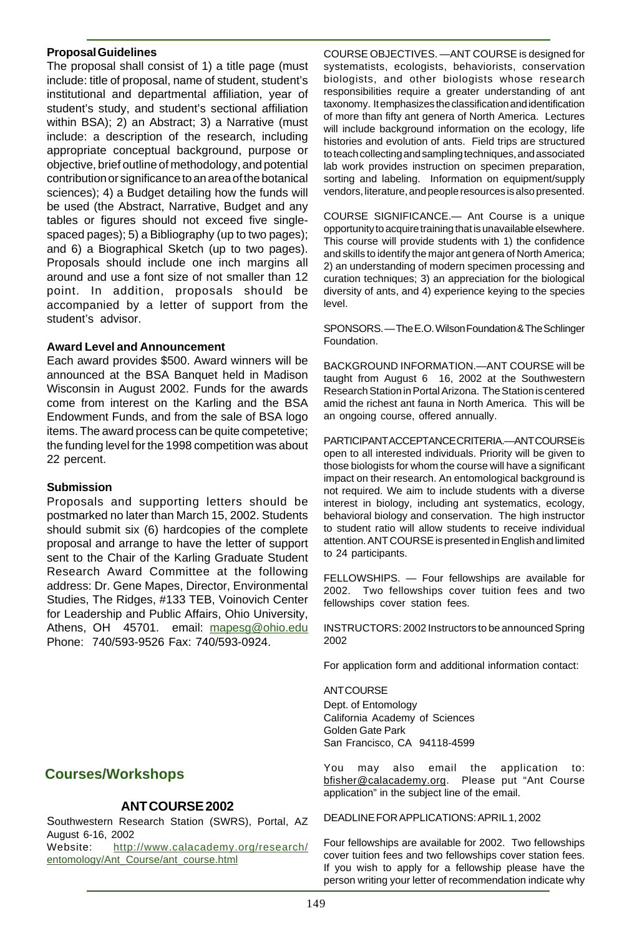#### **Proposal Guidelines**

The proposal shall consist of 1) a title page (must include: title of proposal, name of student, student's institutional and departmental affiliation, year of student's study, and student's sectional affiliation within BSA); 2) an Abstract; 3) a Narrative (must include: a description of the research, including appropriate conceptual background, purpose or objective, brief outline of methodology, and potential contribution or significance to an area of the botanical sciences); 4) a Budget detailing how the funds will be used (the Abstract, Narrative, Budget and any tables or figures should not exceed five singlespaced pages); 5) a Bibliography (up to two pages); and 6) a Biographical Sketch (up to two pages). Proposals should include one inch margins all around and use a font size of not smaller than 12 point. In addition, proposals should be accompanied by a letter of support from the student's advisor.

#### **Award Level and Announcement**

Each award provides \$500. Award winners will be announced at the BSA Banquet held in Madison Wisconsin in August 2002. Funds for the awards come from interest on the Karling and the BSA Endowment Funds, and from the sale of BSA logo items. The award process can be quite competetive; the funding level for the 1998 competition was about 22 percent.

#### **Submission**

Proposals and supporting letters should be postmarked no later than March 15, 2002. Students should submit six (6) hardcopies of the complete proposal and arrange to have the letter of support sent to the Chair of the Karling Graduate Student Research Award Committee at the following address: Dr. Gene Mapes, Director, Environmental Studies, The Ridges, #133 TEB, Voinovich Center for Leadership and Public Affairs, Ohio University, Athens, OH 45701. email: mapesg@ohio.edu Phone: 740/593-9526 Fax: 740/593-0924.

# **Courses/Workshops**

#### **ANT COURSE 2002**

Southwestern Research Station (SWRS), Portal, AZ August 6-16, 2002

Website: http://www.calacademy.org/research/ entomology/Ant\_Course/ant\_course.html

COURSE OBJECTIVES. —ANT COURSE is designed for systematists, ecologists, behaviorists, conservation biologists, and other biologists whose research responsibilities require a greater understanding of ant taxonomy. It emphasizes the classification and identification of more than fifty ant genera of North America. Lectures will include background information on the ecology, life histories and evolution of ants. Field trips are structured to teach collecting and sampling techniques, and associated lab work provides instruction on specimen preparation, sorting and labeling. Information on equipment/supply vendors, literature, and people resources is also presented.

COURSE SIGNIFICANCE.— Ant Course is a unique opportunity to acquire training that is unavailable elsewhere. This course will provide students with 1) the confidence and skills to identify the major ant genera of North America; 2) an understanding of modern specimen processing and curation techniques; 3) an appreciation for the biological diversity of ants, and 4) experience keying to the species level.

SPONSORS. — The E.O. Wilson Foundation & The Schlinger **Foundation** 

BACKGROUND INFORMATION.—ANT COURSE will be taught from August 6 16, 2002 at the Southwestern Research Station in Portal Arizona. The Station is centered amid the richest ant fauna in North America. This will be an ongoing course, offered annually.

PARTICIPANT ACCEPTANCE CRITERIA.—ANT COURSE is open to all interested individuals. Priority will be given to those biologists for whom the course will have a significant impact on their research. An entomological background is not required. We aim to include students with a diverse interest in biology, including ant systematics, ecology, behavioral biology and conservation. The high instructor to student ratio will allow students to receive individual attention. ANT COURSE is presented in English and limited to 24 participants.

FELLOWSHIPS. — Four fellowships are available for 2002. Two fellowships cover tuition fees and two fellowships cover station fees.

INSTRUCTORS: 2002 Instructors to be announced Spring 2002

For application form and additional information contact:

#### **ANT COURSE**

Dept. of Entomology California Academy of Sciences Golden Gate Park San Francisco, CA 94118-4599

You may also email the application to: bfisher@calacademy.org. Please put "Ant Course application" in the subject line of the email.

DEADLINE FOR APPLICATIONS: APRIL 1, 2002

Four fellowships are available for 2002. Two fellowships cover tuition fees and two fellowships cover station fees. If you wish to apply for a fellowship please have the person writing your letter of recommendation indicate why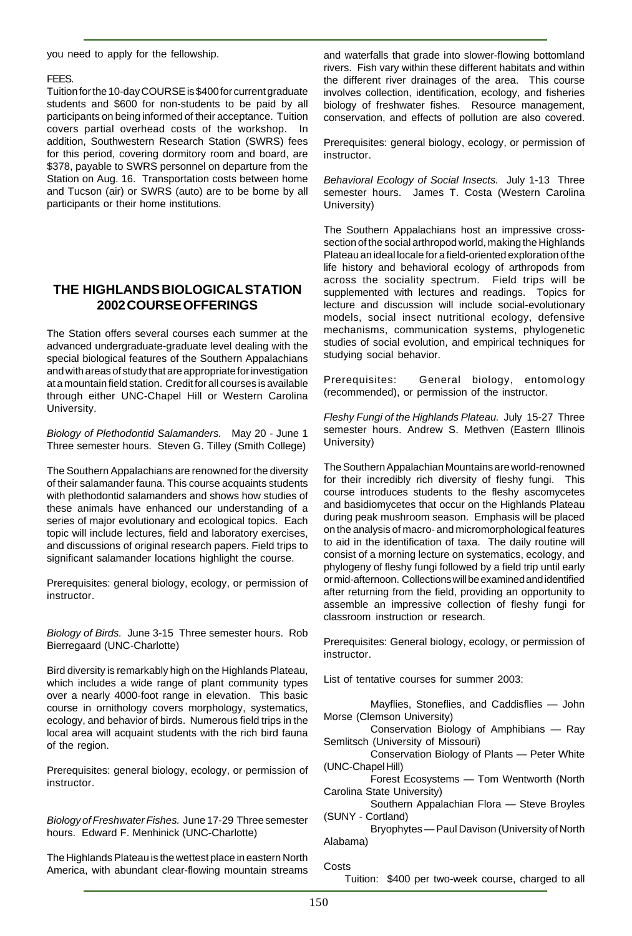you need to apply for the fellowship.

#### FEES.

Tuition for the 10-day COURSE is \$400 for current graduate students and \$600 for non-students to be paid by all participants on being informed of their acceptance. Tuition covers partial overhead costs of the workshop. In addition, Southwestern Research Station (SWRS) fees for this period, covering dormitory room and board, are \$378, payable to SWRS personnel on departure from the Station on Aug. 16. Transportation costs between home and Tucson (air) or SWRS (auto) are to be borne by all participants or their home institutions.

#### **THE HIGHLANDS BIOLOGICAL STATION 2002 COURSE OFFERINGS**

The Station offers several courses each summer at the advanced undergraduate-graduate level dealing with the special biological features of the Southern Appalachians and with areas of study that are appropriate for investigation at a mountain field station. Credit for all courses is available through either UNC-Chapel Hill or Western Carolina University.

Biology of Plethodontid Salamanders. May 20 - June 1 Three semester hours. Steven G. Tilley (Smith College)

The Southern Appalachians are renowned for the diversity of their salamander fauna. This course acquaints students with plethodontid salamanders and shows how studies of these animals have enhanced our understanding of a series of major evolutionary and ecological topics. Each topic will include lectures, field and laboratory exercises, and discussions of original research papers. Field trips to significant salamander locations highlight the course.

Prerequisites: general biology, ecology, or permission of instructor.

Biology of Birds. June 3-15 Three semester hours. Rob Bierregaard (UNC-Charlotte)

Bird diversity is remarkably high on the Highlands Plateau, which includes a wide range of plant community types over a nearly 4000-foot range in elevation. This basic course in ornithology covers morphology, systematics, ecology, and behavior of birds. Numerous field trips in the local area will acquaint students with the rich bird fauna of the region.

Prerequisites: general biology, ecology, or permission of instructor.

Biology of Freshwater Fishes. June 17-29 Three semester hours. Edward F. Menhinick (UNC-Charlotte)

The Highlands Plateau is the wettest place in eastern North America, with abundant clear-flowing mountain streams

and waterfalls that grade into slower-flowing bottomland rivers. Fish vary within these different habitats and within the different river drainages of the area. This course involves collection, identification, ecology, and fisheries biology of freshwater fishes. Resource management, conservation, and effects of pollution are also covered.

Prerequisites: general biology, ecology, or permission of instructor.

Behavioral Ecology of Social Insects. July 1-13 Three semester hours. James T. Costa (Western Carolina University)

The Southern Appalachians host an impressive crosssection of the social arthropod world, making the Highlands Plateau an ideal locale for a field-oriented exploration of the life history and behavioral ecology of arthropods from across the sociality spectrum. Field trips will be supplemented with lectures and readings. Topics for lecture and discussion will include social-evolutionary models, social insect nutritional ecology, defensive mechanisms, communication systems, phylogenetic studies of social evolution, and empirical techniques for studying social behavior.

Prerequisites: General biology, entomology (recommended), or permission of the instructor.

Fleshy Fungi of the Highlands Plateau. July 15-27 Three semester hours. Andrew S. Methven (Eastern Illinois University)

The Southern Appalachian Mountains are world-renowned for their incredibly rich diversity of fleshy fungi. This course introduces students to the fleshy ascomycetes and basidiomycetes that occur on the Highlands Plateau during peak mushroom season. Emphasis will be placed on the analysis of macro- and micromorphological features to aid in the identification of taxa. The daily routine will consist of a morning lecture on systematics, ecology, and phylogeny of fleshy fungi followed by a field trip until early or mid-afternoon. Collections will be examined and identified after returning from the field, providing an opportunity to assemble an impressive collection of fleshy fungi for classroom instruction or research.

Prerequisites: General biology, ecology, or permission of instructor.

List of tentative courses for summer 2003:

Mayflies, Stoneflies, and Caddisflies — John Morse (Clemson University)

Conservation Biology of Amphibians — Ray Semlitsch (University of Missouri)

Conservation Biology of Plants — Peter White (UNC-Chapel Hill)

Forest Ecosystems — Tom Wentworth (North Carolina State University)

Southern Appalachian Flora — Steve Broyles (SUNY - Cortland)

Bryophytes — Paul Davison (University of North Alabama)

Costs

Tuition: \$400 per two-week course, charged to all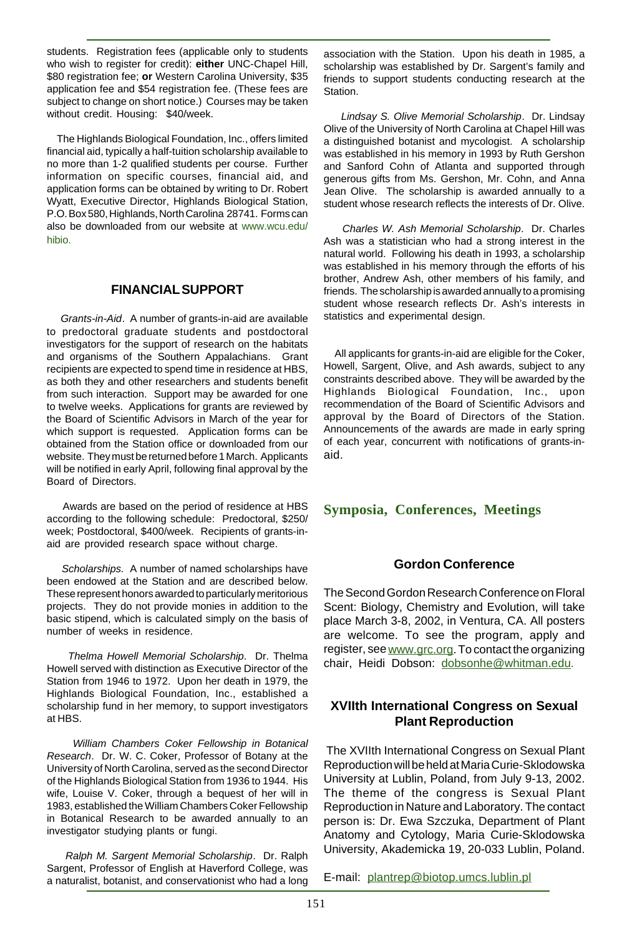students. Registration fees (applicable only to students who wish to register for credit): **either** UNC-Chapel Hill, \$80 registration fee; **or** Western Carolina University, \$35 application fee and \$54 registration fee. (These fees are subject to change on short notice.) Courses may be taken without credit. Housing: \$40/week.

 The Highlands Biological Foundation, Inc., offers limited financial aid, typically a half-tuition scholarship available to no more than 1-2 qualified students per course. Further information on specific courses, financial aid, and application forms can be obtained by writing to Dr. Robert Wyatt, Executive Director, Highlands Biological Station, P.O. Box 580, Highlands, North Carolina 28741. Forms can also be downloaded from our website at www.wcu.edu/ hibio.

#### **FINANCIAL SUPPORT**

 Grants-in-Aid. A number of grants-in-aid are available to predoctoral graduate students and postdoctoral investigators for the support of research on the habitats and organisms of the Southern Appalachians. Grant recipients are expected to spend time in residence at HBS, as both they and other researchers and students benefit from such interaction. Support may be awarded for one to twelve weeks. Applications for grants are reviewed by the Board of Scientific Advisors in March of the year for which support is requested. Application forms can be obtained from the Station office or downloaded from our website. They must be returned before 1 March. Applicants will be notified in early April, following final approval by the Board of Directors.

 Awards are based on the period of residence at HBS according to the following schedule: Predoctoral, \$250/ week; Postdoctoral, \$400/week. Recipients of grants-inaid are provided research space without charge.

 Scholarships. A number of named scholarships have been endowed at the Station and are described below. These represent honors awarded to particularly meritorious projects. They do not provide monies in addition to the basic stipend, which is calculated simply on the basis of number of weeks in residence.

 Thelma Howell Memorial Scholarship. Dr. Thelma Howell served with distinction as Executive Director of the Station from 1946 to 1972. Upon her death in 1979, the Highlands Biological Foundation, Inc., established a scholarship fund in her memory, to support investigators at HBS.

 William Chambers Coker Fellowship in Botanical Research. Dr. W. C. Coker, Professor of Botany at the University of North Carolina, served as the second Director of the Highlands Biological Station from 1936 to 1944. His wife, Louise V. Coker, through a bequest of her will in 1983, established the William Chambers Coker Fellowship in Botanical Research to be awarded annually to an investigator studying plants or fungi.

 Ralph M. Sargent Memorial Scholarship. Dr. Ralph Sargent, Professor of English at Haverford College, was a naturalist, botanist, and conservationist who had a long association with the Station. Upon his death in 1985, a scholarship was established by Dr. Sargent's family and friends to support students conducting research at the **Station** 

 Lindsay S. Olive Memorial Scholarship. Dr. Lindsay Olive of the University of North Carolina at Chapel Hill was a distinguished botanist and mycologist. A scholarship was established in his memory in 1993 by Ruth Gershon and Sanford Cohn of Atlanta and supported through generous gifts from Ms. Gershon, Mr. Cohn, and Anna Jean Olive. The scholarship is awarded annually to a student whose research reflects the interests of Dr. Olive.

 Charles W. Ash Memorial Scholarship. Dr. Charles Ash was a statistician who had a strong interest in the natural world. Following his death in 1993, a scholarship was established in his memory through the efforts of his brother, Andrew Ash, other members of his family, and friends. The scholarship is awarded annually to a promising student whose research reflects Dr. Ash's interests in statistics and experimental design.

 All applicants for grants-in-aid are eligible for the Coker, Howell, Sargent, Olive, and Ash awards, subject to any constraints described above. They will be awarded by the Highlands Biological Foundation, Inc., upon recommendation of the Board of Scientific Advisors and approval by the Board of Directors of the Station. Announcements of the awards are made in early spring of each year, concurrent with notifications of grants-inaid.

#### **Symposia, Conferences, Meetings**

#### **Gordon Conference**

The Second Gordon Research Conference on Floral Scent: Biology, Chemistry and Evolution, will take place March 3-8, 2002, in Ventura, CA. All posters are welcome. To see the program, apply and register, see www.grc.org. To contact the organizing chair, Heidi Dobson: dobsonhe@whitman.edu.

#### **XVIIth International Congress on Sexual Plant Reproduction**

 The XVIIth International Congress on Sexual Plant Reproduction will be held at Maria Curie-Sklodowska University at Lublin, Poland, from July 9-13, 2002. The theme of the congress is Sexual Plant Reproduction in Nature and Laboratory. The contact person is: Dr. Ewa Szczuka, Department of Plant Anatomy and Cytology, Maria Curie-Sklodowska University, Akademicka 19, 20-033 Lublin, Poland.

E-mail: plantrep@biotop.umcs.lublin.pl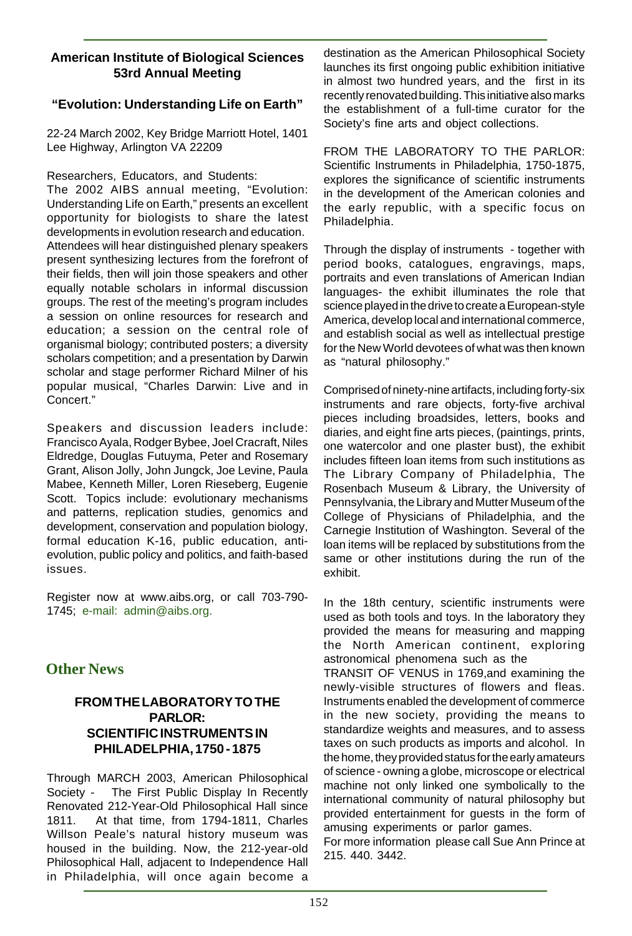#### **American Institute of Biological Sciences 53rd Annual Meeting**

#### **"Evolution: Understanding Life on Earth"**

22-24 March 2002, Key Bridge Marriott Hotel, 1401 Lee Highway, Arlington VA 22209

Researchers, Educators, and Students:

The 2002 AIBS annual meeting, "Evolution: Understanding Life on Earth," presents an excellent opportunity for biologists to share the latest developments in evolution research and education. Attendees will hear distinguished plenary speakers present synthesizing lectures from the forefront of their fields, then will join those speakers and other equally notable scholars in informal discussion groups. The rest of the meeting's program includes a session on online resources for research and education; a session on the central role of organismal biology; contributed posters; a diversity scholars competition; and a presentation by Darwin scholar and stage performer Richard Milner of his popular musical, "Charles Darwin: Live and in Concert."

Speakers and discussion leaders include: Francisco Ayala, Rodger Bybee, Joel Cracraft, Niles Eldredge, Douglas Futuyma, Peter and Rosemary Grant, Alison Jolly, John Jungck, Joe Levine, Paula Mabee, Kenneth Miller, Loren Rieseberg, Eugenie Scott. Topics include: evolutionary mechanisms and patterns, replication studies, genomics and development, conservation and population biology, formal education K-16, public education, antievolution, public policy and politics, and faith-based issues.

Register now at www.aibs.org, or call 703-790- 1745; e-mail: admin@aibs.org.

# **Other News**

#### **FROM THE LABORATORY TO THE PARLOR: SCIENTIFIC INSTRUMENTS IN PHILADELPHIA, 1750 - 1875**

Through MARCH 2003, American Philosophical Society - The First Public Display In Recently Renovated 212-Year-Old Philosophical Hall since 1811. At that time, from 1794-1811, Charles Willson Peale's natural history museum was housed in the building. Now, the 212-year-old Philosophical Hall, adjacent to Independence Hall in Philadelphia, will once again become a

destination as the American Philosophical Society launches its first ongoing public exhibition initiative in almost two hundred years, and the first in its recently renovated building. This initiative also marks the establishment of a full-time curator for the Society's fine arts and object collections.

FROM THE LABORATORY TO THE PARLOR: Scientific Instruments in Philadelphia, 1750-1875, explores the significance of scientific instruments in the development of the American colonies and the early republic, with a specific focus on Philadelphia.

Through the display of instruments - together with period books, catalogues, engravings, maps, portraits and even translations of American Indian languages- the exhibit illuminates the role that science played in the drive to create a European-style America, develop local and international commerce, and establish social as well as intellectual prestige for the New World devotees of what was then known as "natural philosophy."

Comprised of ninety-nine artifacts, including forty-six instruments and rare objects, forty-five archival pieces including broadsides, letters, books and diaries, and eight fine arts pieces, (paintings, prints, one watercolor and one plaster bust), the exhibit includes fifteen loan items from such institutions as The Library Company of Philadelphia, The Rosenbach Museum & Library, the University of Pennsylvania, the Library and Mutter Museum of the College of Physicians of Philadelphia, and the Carnegie Institution of Washington. Several of the loan items will be replaced by substitutions from the same or other institutions during the run of the exhibit.

In the 18th century, scientific instruments were used as both tools and toys. In the laboratory they provided the means for measuring and mapping the North American continent, exploring astronomical phenomena such as the TRANSIT OF VENUS in 1769,and examining the newly-visible structures of flowers and fleas. Instruments enabled the development of commerce

in the new society, providing the means to standardize weights and measures, and to assess taxes on such products as imports and alcohol. In the home, they provided status for the early amateurs of science - owning a globe, microscope or electrical machine not only linked one symbolically to the international community of natural philosophy but provided entertainment for guests in the form of amusing experiments or parlor games.

For more information please call Sue Ann Prince at 215. 440. 3442.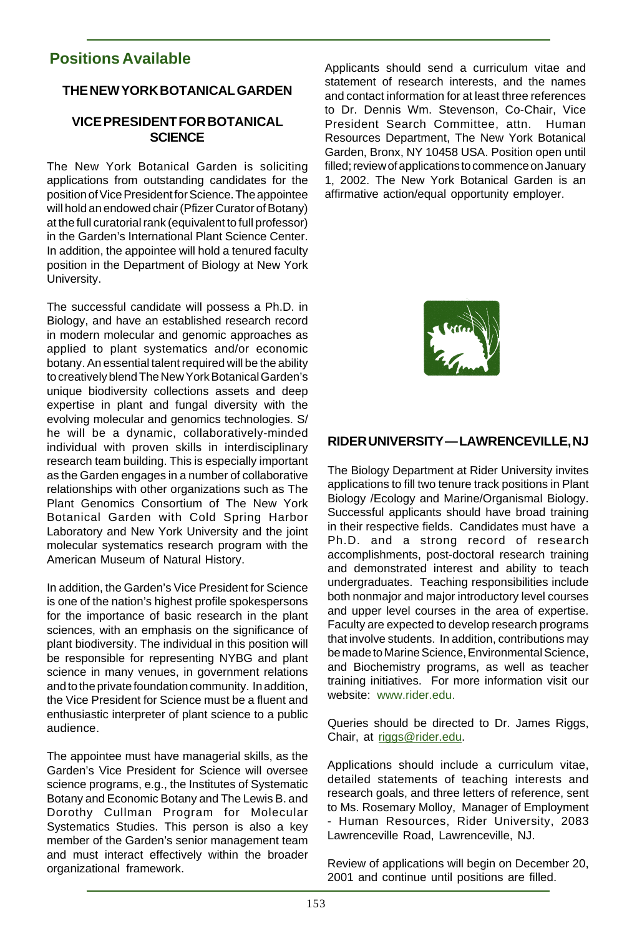# **Positions Available**

#### **THE NEW YORK BOTANICAL GARDEN**

#### **VICE PRESIDENT FOR BOTANICAL SCIENCE**

The New York Botanical Garden is soliciting applications from outstanding candidates for the position of Vice President for Science. The appointee will hold an endowed chair (Pfizer Curator of Botany) at the full curatorial rank (equivalent to full professor) in the Garden's International Plant Science Center. In addition, the appointee will hold a tenured faculty position in the Department of Biology at New York University.

The successful candidate will possess a Ph.D. in Biology, and have an established research record in modern molecular and genomic approaches as applied to plant systematics and/or economic botany. An essential talent required will be the ability to creatively blend The New York Botanical Garden's unique biodiversity collections assets and deep expertise in plant and fungal diversity with the evolving molecular and genomics technologies. S/ he will be a dynamic, collaboratively-minded individual with proven skills in interdisciplinary research team building. This is especially important as the Garden engages in a number of collaborative relationships with other organizations such as The Plant Genomics Consortium of The New York Botanical Garden with Cold Spring Harbor Laboratory and New York University and the joint molecular systematics research program with the American Museum of Natural History.

In addition, the Garden's Vice President for Science is one of the nation's highest profile spokespersons for the importance of basic research in the plant sciences, with an emphasis on the significance of plant biodiversity. The individual in this position will be responsible for representing NYBG and plant science in many venues, in government relations and to the private foundation community. In addition, the Vice President for Science must be a fluent and enthusiastic interpreter of plant science to a public audience.

The appointee must have managerial skills, as the Garden's Vice President for Science will oversee science programs, e.g., the Institutes of Systematic Botany and Economic Botany and The Lewis B. and Dorothy Cullman Program for Molecular Systematics Studies. This person is also a key member of the Garden's senior management team and must interact effectively within the broader organizational framework.

Applicants should send a curriculum vitae and statement of research interests, and the names and contact information for at least three references to Dr. Dennis Wm. Stevenson, Co-Chair, Vice President Search Committee, attn. Human Resources Department, The New York Botanical Garden, Bronx, NY 10458 USA. Position open until filled; review of applications to commence on January 1, 2002. The New York Botanical Garden is an affirmative action/equal opportunity employer.



# **RIDER UNIVERSITY — LAWRENCEVILLE, NJ**

The Biology Department at Rider University invites applications to fill two tenure track positions in Plant Biology /Ecology and Marine/Organismal Biology. Successful applicants should have broad training in their respective fields. Candidates must have a Ph.D. and a strong record of research accomplishments, post-doctoral research training and demonstrated interest and ability to teach undergraduates. Teaching responsibilities include both nonmajor and major introductory level courses and upper level courses in the area of expertise. Faculty are expected to develop research programs that involve students. In addition, contributions may be made to Marine Science, Environmental Science, and Biochemistry programs, as well as teacher training initiatives. For more information visit our website: www.rider.edu.

Queries should be directed to Dr. James Riggs, Chair, at riggs@rider.edu.

Applications should include a curriculum vitae, detailed statements of teaching interests and research goals, and three letters of reference, sent to Ms. Rosemary Molloy, Manager of Employment - Human Resources, Rider University, 2083 Lawrenceville Road, Lawrenceville, NJ.

Review of applications will begin on December 20, 2001 and continue until positions are filled.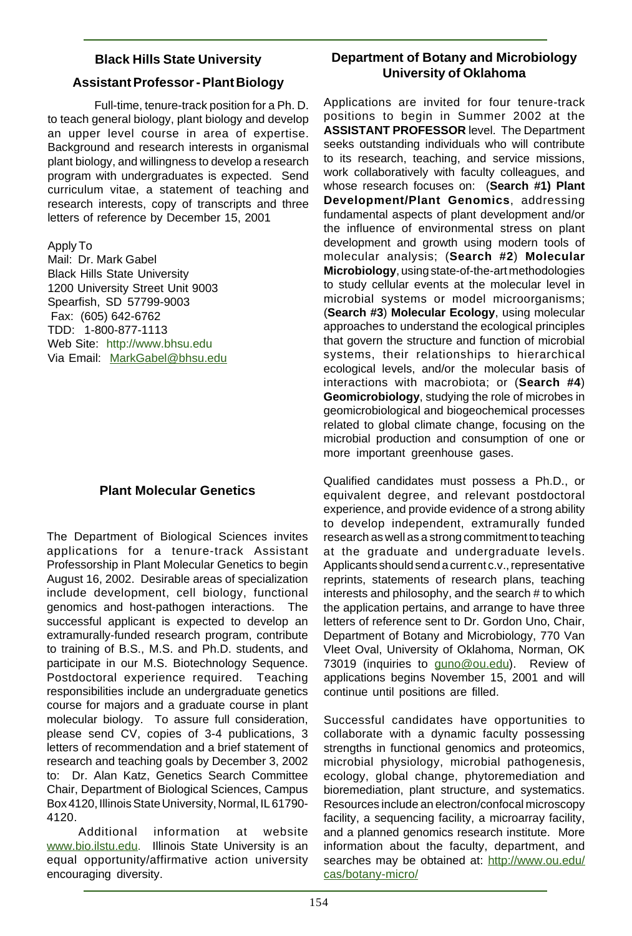# **Black Hills State University Assistant Professor - Plant Biology**

Full-time, tenure-track position for a Ph. D. to teach general biology, plant biology and develop an upper level course in area of expertise. Background and research interests in organismal plant biology, and willingness to develop a research program with undergraduates is expected. Send curriculum vitae, a statement of teaching and research interests, copy of transcripts and three letters of reference by December 15, 2001

Apply To

Mail: Dr. Mark Gabel Black Hills State University 1200 University Street Unit 9003 Spearfish, SD 57799-9003 Fax: (605) 642-6762 TDD: 1-800-877-1113 Web Site: http://www.bhsu.edu Via Email: MarkGabel@bhsu.edu

# **Plant Molecular Genetics**

The Department of Biological Sciences invites applications for a tenure-track Assistant Professorship in Plant Molecular Genetics to begin August 16, 2002. Desirable areas of specialization include development, cell biology, functional genomics and host-pathogen interactions. The successful applicant is expected to develop an extramurally-funded research program, contribute to training of B.S., M.S. and Ph.D. students, and participate in our M.S. Biotechnology Sequence. Postdoctoral experience required. Teaching responsibilities include an undergraduate genetics course for majors and a graduate course in plant molecular biology. To assure full consideration, please send CV, copies of 3-4 publications, 3 letters of recommendation and a brief statement of research and teaching goals by December 3, 2002 to: Dr. Alan Katz, Genetics Search Committee Chair, Department of Biological Sciences, Campus Box 4120, Illinois State University, Normal, IL 61790- 4120.

 Additional information at website www.bio.ilstu.edu. Illinois State University is an equal opportunity/affirmative action university encouraging diversity.

# **Department of Botany and Microbiology University of Oklahoma**

Applications are invited for four tenure-track positions to begin in Summer 2002 at the **ASSISTANT PROFESSOR** level. The Department seeks outstanding individuals who will contribute to its research, teaching, and service missions, work collaboratively with faculty colleagues, and whose research focuses on: (**Search #1) Plant Development/Plant Genomics**, addressing fundamental aspects of plant development and/or the influence of environmental stress on plant development and growth using modern tools of molecular analysis; (**Search #2**) **Molecular Microbiology**, using state-of-the-art methodologies to study cellular events at the molecular level in microbial systems or model microorganisms; (**Search #3**) **Molecular Ecology**, using molecular approaches to understand the ecological principles that govern the structure and function of microbial systems, their relationships to hierarchical ecological levels, and/or the molecular basis of interactions with macrobiota; or (**Search #4**) **Geomicrobiology**, studying the role of microbes in geomicrobiological and biogeochemical processes related to global climate change, focusing on the microbial production and consumption of one or more important greenhouse gases.

Qualified candidates must possess a Ph.D., or equivalent degree, and relevant postdoctoral experience, and provide evidence of a strong ability to develop independent, extramurally funded research as well as a strong commitment to teaching at the graduate and undergraduate levels. Applicants should send a current c.v., representative reprints, statements of research plans, teaching interests and philosophy, and the search # to which the application pertains, and arrange to have three letters of reference sent to Dr. Gordon Uno, Chair, Department of Botany and Microbiology, 770 Van Vleet Oval, University of Oklahoma, Norman, OK 73019 (inquiries to guno@ou.edu). Review of applications begins November 15, 2001 and will continue until positions are filled.

Successful candidates have opportunities to collaborate with a dynamic faculty possessing strengths in functional genomics and proteomics, microbial physiology, microbial pathogenesis, ecology, global change, phytoremediation and bioremediation, plant structure, and systematics. Resources include an electron/confocal microscopy facility, a sequencing facility, a microarray facility, and a planned genomics research institute. More information about the faculty, department, and searches may be obtained at: http://www.ou.edu/ cas/botany-micro/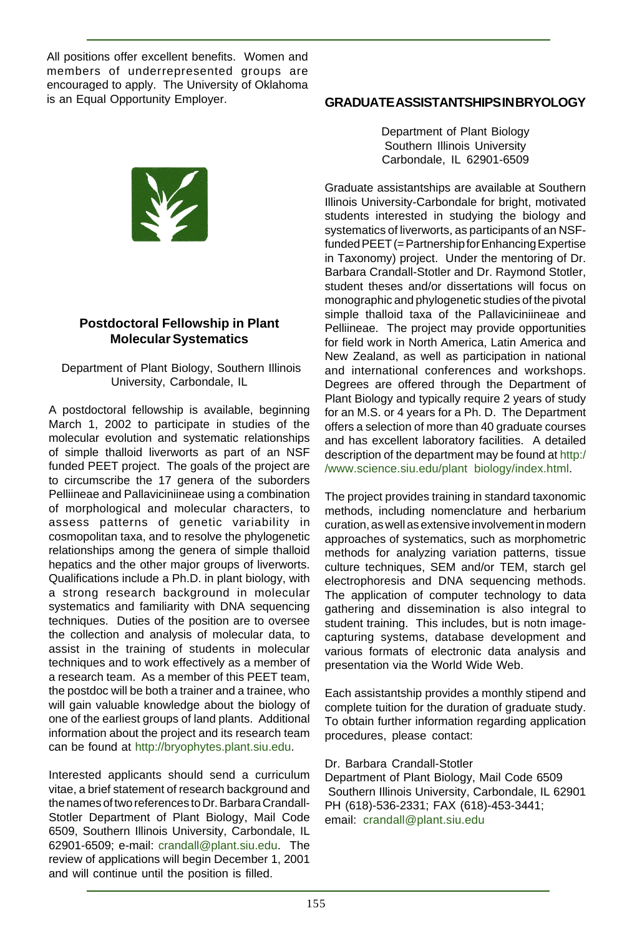All positions offer excellent benefits. Women and members of underrepresented groups are encouraged to apply. The University of Oklahoma is an Equal Opportunity Employer.



#### **Postdoctoral Fellowship in Plant Molecular Systematics**

#### Department of Plant Biology, Southern Illinois University, Carbondale, IL

A postdoctoral fellowship is available, beginning March 1, 2002 to participate in studies of the molecular evolution and systematic relationships of simple thalloid liverworts as part of an NSF funded PEET project. The goals of the project are to circumscribe the 17 genera of the suborders Pelliineae and Pallaviciniineae using a combination of morphological and molecular characters, to assess patterns of genetic variability in cosmopolitan taxa, and to resolve the phylogenetic relationships among the genera of simple thalloid hepatics and the other major groups of liverworts. Qualifications include a Ph.D. in plant biology, with a strong research background in molecular systematics and familiarity with DNA sequencing techniques. Duties of the position are to oversee the collection and analysis of molecular data, to assist in the training of students in molecular techniques and to work effectively as a member of a research team. As a member of this PEET team, the postdoc will be both a trainer and a trainee, who will gain valuable knowledge about the biology of one of the earliest groups of land plants. Additional information about the project and its research team can be found at http://bryophytes.plant.siu.edu.

Interested applicants should send a curriculum vitae, a brief statement of research background and the names of two references to Dr. Barbara Crandall-Stotler Department of Plant Biology, Mail Code 6509, Southern Illinois University, Carbondale, IL 62901-6509; e-mail: crandall@plant.siu.edu. The review of applications will begin December 1, 2001 and will continue until the position is filled.

#### **GRADUATE ASSISTANTSHIPS IN BRYOLOGY**

Department of Plant Biology Southern Illinois University Carbondale, IL 62901-6509

Graduate assistantships are available at Southern Illinois University-Carbondale for bright, motivated students interested in studying the biology and systematics of liverworts, as participants of an NSFfunded PEET (= Partnership for Enhancing Expertise in Taxonomy) project. Under the mentoring of Dr. Barbara Crandall-Stotler and Dr. Raymond Stotler, student theses and/or dissertations will focus on monographic and phylogenetic studies of the pivotal simple thalloid taxa of the Pallaviciniineae and Pelliineae. The project may provide opportunities for field work in North America, Latin America and New Zealand, as well as participation in national and international conferences and workshops. Degrees are offered through the Department of Plant Biology and typically require 2 years of study for an M.S. or 4 years for a Ph. D. The Department offers a selection of more than 40 graduate courses and has excellent laboratory facilities. A detailed description of the department may be found at http:/ /www.science.siu.edu/plant biology/index.html.

The project provides training in standard taxonomic methods, including nomenclature and herbarium curation, as well as extensive involvement in modern approaches of systematics, such as morphometric methods for analyzing variation patterns, tissue culture techniques, SEM and/or TEM, starch gel electrophoresis and DNA sequencing methods. The application of computer technology to data gathering and dissemination is also integral to student training. This includes, but is notn imagecapturing systems, database development and various formats of electronic data analysis and presentation via the World Wide Web.

Each assistantship provides a monthly stipend and complete tuition for the duration of graduate study. To obtain further information regarding application procedures, please contact:

#### Dr. Barbara Crandall-Stotler

Department of Plant Biology, Mail Code 6509 Southern Illinois University, Carbondale, IL 62901 PH (618)-536-2331; FAX (618)-453-3441; email: crandall@plant.siu.edu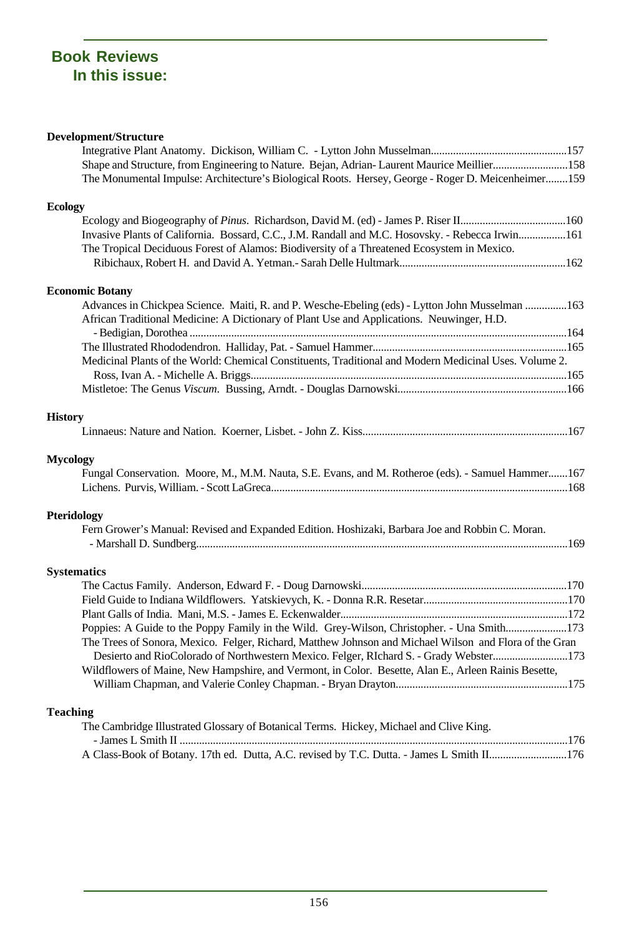# **Book Reviews In this issue:**

#### **Development/Structure**

| Shape and Structure, from Engineering to Nature. Bejan, Adrian-Laurent Maurice Meillier158             |  |
|--------------------------------------------------------------------------------------------------------|--|
| The Monumental Impulse: Architecture's Biological Roots. Hersey, George - Roger D. Meicenheimer159     |  |
| <b>Ecology</b>                                                                                         |  |
|                                                                                                        |  |
| Invasive Plants of California. Bossard, C.C., J.M. Randall and M.C. Hosovsky. - Rebecca Irwin161       |  |
| The Tropical Deciduous Forest of Alamos: Biodiversity of a Threatened Ecosystem in Mexico.             |  |
|                                                                                                        |  |
| <b>Economic Botany</b>                                                                                 |  |
| Advances in Chickpea Science. Maiti, R. and P. Wesche-Ebeling (eds) - Lytton John Musselman 163        |  |
| African Traditional Medicine: A Dictionary of Plant Use and Applications. Neuwinger, H.D.              |  |
|                                                                                                        |  |
|                                                                                                        |  |
| Medicinal Plants of the World: Chemical Constituents, Traditional and Modern Medicinal Uses. Volume 2. |  |
|                                                                                                        |  |
|                                                                                                        |  |
| <b>History</b>                                                                                         |  |
|                                                                                                        |  |
| <b>Mycology</b>                                                                                        |  |
| Fungal Conservation. Moore, M., M.M. Nauta, S.E. Evans, and M. Rotheroe (eds). - Samuel Hammer167      |  |
|                                                                                                        |  |
| Pteridology                                                                                            |  |
| Fern Grower's Manual: Revised and Expanded Edition. Hoshizaki, Barbara Joe and Robbin C. Moran.        |  |
|                                                                                                        |  |
| <b>Systematics</b>                                                                                     |  |
|                                                                                                        |  |
|                                                                                                        |  |
|                                                                                                        |  |
| Poppies: A Guide to the Poppy Family in the Wild. Grey-Wilson, Christopher. - Una Smith173             |  |
| The Trees of Sonora, Mexico. Felger, Richard, Matthew Johnson and Michael Wilson and Flora of the Gran |  |
| Desierto and RioColorado of Northwestern Mexico. Felger, RIchard S. - Grady Webster173                 |  |
| Wildflowers of Maine, New Hampshire, and Vermont, in Color. Besette, Alan E., Arleen Rainis Besette,   |  |
|                                                                                                        |  |
| <b>Teaching</b>                                                                                        |  |
| The Cambridge Illustrated Glossary of Botanical Terms. Hickey, Michael and Clive King.                 |  |
|                                                                                                        |  |
| A Class-Book of Botany. 17th ed. Dutta, A.C. revised by T.C. Dutta. - James L Smith II176              |  |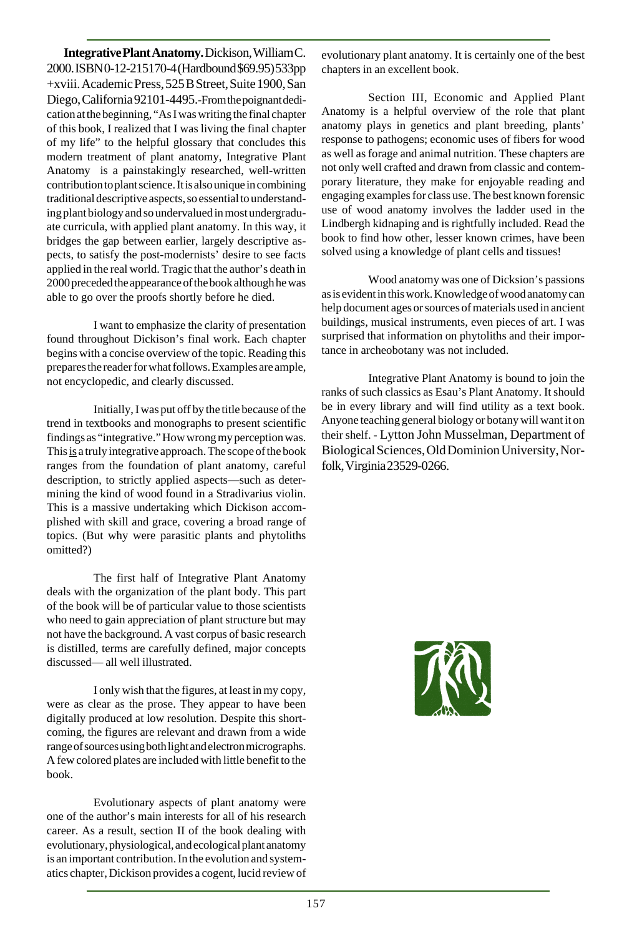**Integrative Plant Anatomy.** Dickison, William C. 2000. ISBN 0-12-215170-4 (Hardbound \$69.95) 533pp +xviii. Academic Press, 525 B Street, Suite 1900, San Diego, California 92101-4495.-From the poignant dedication at the beginning, "As I was writing the final chapter of this book, I realized that I was living the final chapter of my life" to the helpful glossary that concludes this modern treatment of plant anatomy, Integrative Plant Anatomy is a painstakingly researched, well-written contribution to plant science. It is also unique in combining traditional descriptive aspects, so essential to understanding plant biology and so undervalued in most undergraduate curricula, with applied plant anatomy. In this way, it bridges the gap between earlier, largely descriptive aspects, to satisfy the post-modernists' desire to see facts applied in the real world. Tragic that the author's death in 2000 preceded the appearance of the book although he was able to go over the proofs shortly before he died.

I want to emphasize the clarity of presentation found throughout Dickison's final work. Each chapter begins with a concise overview of the topic. Reading this prepares the reader for what follows. Examples are ample, not encyclopedic, and clearly discussed.

Initially, I was put off by the title because of the trend in textbooks and monographs to present scientific findings as "integrative." How wrong my perception was. This is a truly integrative approach. The scope of the book ranges from the foundation of plant anatomy, careful description, to strictly applied aspects—such as determining the kind of wood found in a Stradivarius violin. This is a massive undertaking which Dickison accomplished with skill and grace, covering a broad range of topics. (But why were parasitic plants and phytoliths omitted?)

The first half of Integrative Plant Anatomy deals with the organization of the plant body. This part of the book will be of particular value to those scientists who need to gain appreciation of plant structure but may not have the background. A vast corpus of basic research is distilled, terms are carefully defined, major concepts discussed— all well illustrated.

I only wish that the figures, at least in my copy, were as clear as the prose. They appear to have been digitally produced at low resolution. Despite this shortcoming, the figures are relevant and drawn from a wide range of sources using both light and electron micrographs. A few colored plates are included with little benefit to the book.

Evolutionary aspects of plant anatomy were one of the author's main interests for all of his research career. As a result, section II of the book dealing with evolutionary, physiological, and ecological plant anatomy is an important contribution. In the evolution and systematics chapter, Dickison provides a cogent, lucid review of

evolutionary plant anatomy. It is certainly one of the best chapters in an excellent book.

Section III, Economic and Applied Plant Anatomy is a helpful overview of the role that plant anatomy plays in genetics and plant breeding, plants' response to pathogens; economic uses of fibers for wood as well as forage and animal nutrition. These chapters are not only well crafted and drawn from classic and contemporary literature, they make for enjoyable reading and engaging examples for class use. The best known forensic use of wood anatomy involves the ladder used in the Lindbergh kidnaping and is rightfully included. Read the book to find how other, lesser known crimes, have been solved using a knowledge of plant cells and tissues!

Wood anatomy was one of Dicksion's passions as is evident in this work. Knowledge of wood anatomy can help document ages or sources of materials used in ancient buildings, musical instruments, even pieces of art. I was surprised that information on phytoliths and their importance in archeobotany was not included.

Integrative Plant Anatomy is bound to join the ranks of such classics as Esau's Plant Anatomy. It should be in every library and will find utility as a text book. Anyone teaching general biology or botany will want it on their shelf. - Lytton John Musselman, Department of Biological Sciences, Old Dominion University, Norfolk, Virginia 23529-0266.

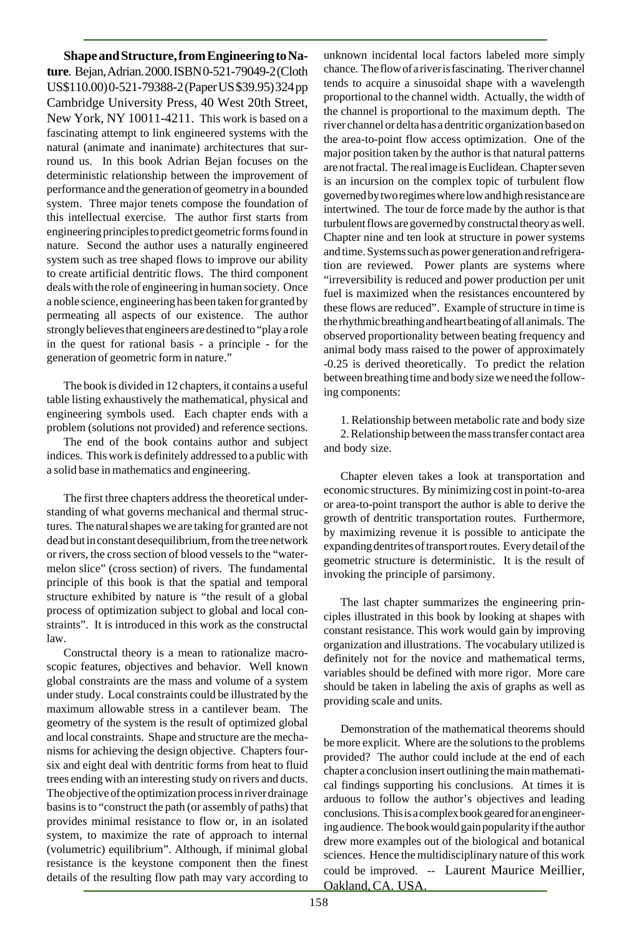**Shape and Structure, from Engineering to Nature**. Bejan, Adrian. 2000. ISBN 0-521-79049-2 (Cloth US\$110.00) 0-521-79388-2 (Paper US \$39.95) 324 pp Cambridge University Press, 40 West 20th Street, New York, NY 10011-4211. This work is based on a fascinating attempt to link engineered systems with the natural (animate and inanimate) architectures that surround us. In this book Adrian Bejan focuses on the deterministic relationship between the improvement of performance and the generation of geometry in a bounded system. Three major tenets compose the foundation of this intellectual exercise. The author first starts from engineering principles to predict geometric forms found in nature. Second the author uses a naturally engineered system such as tree shaped flows to improve our ability to create artificial dentritic flows. The third component deals with the role of engineering in human society. Once a noble science, engineering has been taken for granted by permeating all aspects of our existence. The author strongly believes that engineers are destined to "play a role in the quest for rational basis - a principle - for the generation of geometric form in nature."

The book is divided in 12 chapters, it contains a useful table listing exhaustively the mathematical, physical and engineering symbols used. Each chapter ends with a problem (solutions not provided) and reference sections.

The end of the book contains author and subject indices. This work is definitely addressed to a public with a solid base in mathematics and engineering.

The first three chapters address the theoretical understanding of what governs mechanical and thermal structures. The natural shapes we are taking for granted are not dead but in constant desequilibrium, from the tree network or rivers, the cross section of blood vessels to the "watermelon slice" (cross section) of rivers. The fundamental principle of this book is that the spatial and temporal structure exhibited by nature is "the result of a global process of optimization subject to global and local constraints". It is introduced in this work as the constructal law.

Constructal theory is a mean to rationalize macroscopic features, objectives and behavior. Well known global constraints are the mass and volume of a system under study. Local constraints could be illustrated by the maximum allowable stress in a cantilever beam. The geometry of the system is the result of optimized global and local constraints. Shape and structure are the mechanisms for achieving the design objective. Chapters foursix and eight deal with dentritic forms from heat to fluid trees ending with an interesting study on rivers and ducts. The objective of the optimization process in river drainage basins is to "construct the path (or assembly of paths) that provides minimal resistance to flow or, in an isolated system, to maximize the rate of approach to internal (volumetric) equilibrium". Although, if minimal global resistance is the keystone component then the finest details of the resulting flow path may vary according to

unknown incidental local factors labeled more simply chance. The flow of a river is fascinating. The river channel tends to acquire a sinusoidal shape with a wavelength proportional to the channel width. Actually, the width of the channel is proportional to the maximum depth. The river channel or delta has a dentritic organization based on the area-to-point flow access optimization. One of the major position taken by the author is that natural patterns are not fractal. The real image is Euclidean. Chapter seven is an incursion on the complex topic of turbulent flow governed by two regimes where low and high resistance are intertwined. The tour de force made by the author is that turbulent flows are governed by constructal theory as well. Chapter nine and ten look at structure in power systems and time. Systems such as power generation and refrigeration are reviewed. Power plants are systems where "irreversibility is reduced and power production per unit fuel is maximized when the resistances encountered by these flows are reduced". Example of structure in time is the rhythmic breathing and heart beating of all animals. The observed proportionality between beating frequency and animal body mass raised to the power of approximately -0.25 is derived theoretically. To predict the relation between breathing time and body size we need the following components:

1. Relationship between metabolic rate and body size 2. Relationship between the mass transfer contact area and body size.

Chapter eleven takes a look at transportation and economic structures. By minimizing cost in point-to-area or area-to-point transport the author is able to derive the growth of dentritic transportation routes. Furthermore, by maximizing revenue it is possible to anticipate the expanding dentrites of transport routes. Every detail of the geometric structure is deterministic. It is the result of invoking the principle of parsimony.

The last chapter summarizes the engineering principles illustrated in this book by looking at shapes with constant resistance. This work would gain by improving organization and illustrations. The vocabulary utilized is definitely not for the novice and mathematical terms, variables should be defined with more rigor. More care should be taken in labeling the axis of graphs as well as providing scale and units.

Demonstration of the mathematical theorems should be more explicit. Where are the solutions to the problems provided? The author could include at the end of each chapter a conclusion insert outlining the main mathematical findings supporting his conclusions. At times it is arduous to follow the author's objectives and leading conclusions. This is a complex book geared for an engineering audience. The book would gain popularity if the author drew more examples out of the biological and botanical sciences. Hence the multidisciplinary nature of this work could be improved. -- Laurent Maurice Meillier, Oakland, CA. USA.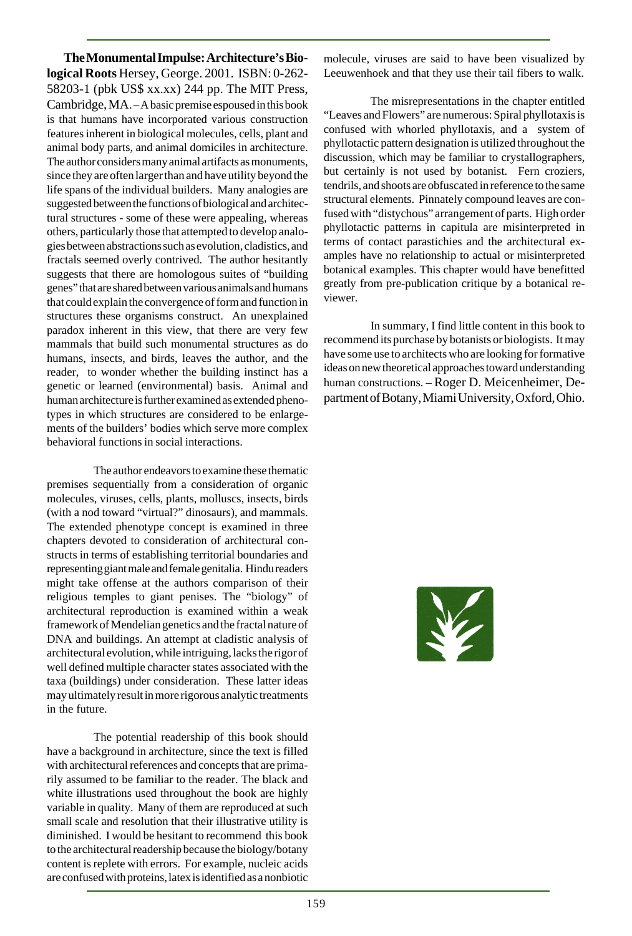**The Monumental Impulse: Architecture's Biological Roots** Hersey, George. 2001. ISBN: 0-262- 58203-1 (pbk US\$ xx.xx) 244 pp. The MIT Press, Cambridge, MA. – A basic premise espoused in this book is that humans have incorporated various construction features inherent in biological molecules, cells, plant and animal body parts, and animal domiciles in architecture. The author considers many animal artifacts as monuments, since they are often larger than and have utility beyond the life spans of the individual builders. Many analogies are suggested between the functions of biological and architectural structures - some of these were appealing, whereas others, particularly those that attempted to develop analogies between abstractions such as evolution, cladistics, and fractals seemed overly contrived. The author hesitantly suggests that there are homologous suites of "building genes" that are shared between various animals and humans that could explain the convergence of form and function in structures these organisms construct. An unexplained paradox inherent in this view, that there are very few mammals that build such monumental structures as do humans, insects, and birds, leaves the author, and the reader, to wonder whether the building instinct has a genetic or learned (environmental) basis. Animal and human architecture is further examined as extended phenotypes in which structures are considered to be enlargements of the builders' bodies which serve more complex behavioral functions in social interactions.

The author endeavors to examine these thematic premises sequentially from a consideration of organic molecules, viruses, cells, plants, molluscs, insects, birds (with a nod toward "virtual?" dinosaurs), and mammals. The extended phenotype concept is examined in three chapters devoted to consideration of architectural constructs in terms of establishing territorial boundaries and representing giant male and female genitalia. Hindu readers might take offense at the authors comparison of their religious temples to giant penises. The "biology" of architectural reproduction is examined within a weak framework of Mendelian genetics and the fractal nature of DNA and buildings. An attempt at cladistic analysis of architectural evolution, while intriguing, lacks the rigor of well defined multiple character states associated with the taxa (buildings) under consideration. These latter ideas may ultimately result in more rigorous analytic treatments in the future.

The potential readership of this book should have a background in architecture, since the text is filled with architectural references and concepts that are primarily assumed to be familiar to the reader. The black and white illustrations used throughout the book are highly variable in quality. Many of them are reproduced at such small scale and resolution that their illustrative utility is diminished. I would be hesitant to recommend this book to the architectural readership because the biology/botany content is replete with errors. For example, nucleic acids are confused with proteins, latex is identified as a nonbiotic

molecule, viruses are said to have been visualized by Leeuwenhoek and that they use their tail fibers to walk.

The misrepresentations in the chapter entitled "Leaves and Flowers" are numerous: Spiral phyllotaxis is confused with whorled phyllotaxis, and a system of phyllotactic pattern designation is utilized throughout the discussion, which may be familiar to crystallographers, but certainly is not used by botanist. Fern croziers, tendrils, and shoots are obfuscated in reference to the same structural elements. Pinnately compound leaves are confused with "distychous" arrangement of parts. High order phyllotactic patterns in capitula are misinterpreted in terms of contact parastichies and the architectural examples have no relationship to actual or misinterpreted botanical examples. This chapter would have benefitted greatly from pre-publication critique by a botanical reviewer.

In summary, I find little content in this book to recommend its purchase by botanists or biologists. It may have some use to architects who are looking for formative ideas on new theoretical approaches toward understanding human constructions. – Roger D. Meicenheimer, Department of Botany, Miami University, Oxford, Ohio.

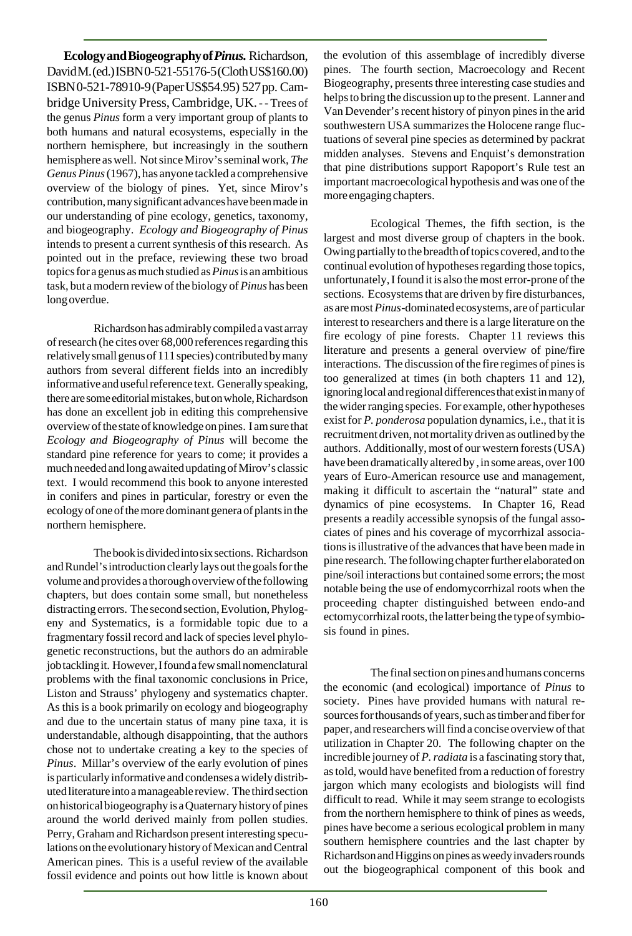**Ecology and Biogeography of** *Pinus.* Richardson, David M. (ed.) ISBN 0-521-55176-5 (Cloth US\$160.00) ISBN 0-521-78910-9 (Paper US\$54.95) 527 pp. Cambridge University Press, Cambridge, UK. - - Trees of the genus *Pinus* form a very important group of plants to both humans and natural ecosystems, especially in the northern hemisphere, but increasingly in the southern hemisphere as well. Not since Mirov's seminal work, *The Genus Pinus* (1967), has anyone tackled a comprehensive overview of the biology of pines. Yet, since Mirov's contribution, many significant advances have been made in our understanding of pine ecology, genetics, taxonomy, and biogeography. *Ecology and Biogeography of Pinus* intends to present a current synthesis of this research. As pointed out in the preface, reviewing these two broad topics for a genus as much studied as *Pinus* is an ambitious task, but a modern review of the biology of *Pinus* has been long overdue.

Richardson has admirably compiled a vast array of research (he cites over 68,000 references regarding this relatively small genus of 111 species) contributed by many authors from several different fields into an incredibly informative and useful reference text. Generally speaking, there are some editorial mistakes, but on whole, Richardson has done an excellent job in editing this comprehensive overview of the state of knowledge on pines. I am sure that *Ecology and Biogeography of Pinus* will become the standard pine reference for years to come; it provides a much needed and long awaited updating of Mirov's classic text. I would recommend this book to anyone interested in conifers and pines in particular, forestry or even the ecology of one of the more dominant genera of plants in the northern hemisphere.

The book is divided into six sections. Richardson and Rundel's introduction clearly lays out the goals for the volume and provides a thorough overview of the following chapters, but does contain some small, but nonetheless distracting errors. The second section, Evolution, Phylogeny and Systematics, is a formidable topic due to a fragmentary fossil record and lack of species level phylogenetic reconstructions, but the authors do an admirable job tackling it. However, I found a few small nomenclatural problems with the final taxonomic conclusions in Price, Liston and Strauss' phylogeny and systematics chapter. As this is a book primarily on ecology and biogeography and due to the uncertain status of many pine taxa, it is understandable, although disappointing, that the authors chose not to undertake creating a key to the species of *Pinus*. Millar's overview of the early evolution of pines is particularly informative and condenses a widely distributed literature into a manageable review. The third section on historical biogeography is a Quaternary history of pines around the world derived mainly from pollen studies. Perry, Graham and Richardson present interesting speculations on the evolutionary history of Mexican and Central American pines. This is a useful review of the available fossil evidence and points out how little is known about

the evolution of this assemblage of incredibly diverse pines. The fourth section, Macroecology and Recent Biogeography, presents three interesting case studies and helps to bring the discussion up to the present. Lanner and Van Devender's recent history of pinyon pines in the arid southwestern USA summarizes the Holocene range fluctuations of several pine species as determined by packrat midden analyses. Stevens and Enquist's demonstration that pine distributions support Rapoport's Rule test an important macroecological hypothesis and was one of the more engaging chapters.

Ecological Themes, the fifth section, is the largest and most diverse group of chapters in the book. Owing partially to the breadth of topics covered, and to the continual evolution of hypotheses regarding those topics, unfortunately, I found it is also the most error-prone of the sections. Ecosystems that are driven by fire disturbances, as are most *Pinus*-dominated ecosystems, are of particular interest to researchers and there is a large literature on the fire ecology of pine forests. Chapter 11 reviews this literature and presents a general overview of pine/fire interactions. The discussion of the fire regimes of pines is too generalized at times (in both chapters 11 and 12), ignoring local and regional differences that exist in many of the wider ranging species. For example, other hypotheses exist for *P. ponderosa* population dynamics, i.e., that it is recruitment driven, not mortality driven as outlined by the authors. Additionally, most of our western forests (USA) have been dramatically altered by , in some areas, over 100 years of Euro-American resource use and management, making it difficult to ascertain the "natural" state and dynamics of pine ecosystems. In Chapter 16, Read presents a readily accessible synopsis of the fungal associates of pines and his coverage of mycorrhizal associations is illustrative of the advances that have been made in pine research. The following chapter further elaborated on pine/soil interactions but contained some errors; the most notable being the use of endomycorrhizal roots when the proceeding chapter distinguished between endo-and ectomycorrhizal roots, the latter being the type of symbiosis found in pines.

The final section on pines and humans concerns the economic (and ecological) importance of *Pinus* to society. Pines have provided humans with natural resources for thousands of years, such as timber and fiber for paper, and researchers will find a concise overview of that utilization in Chapter 20. The following chapter on the incredible journey of *P. radiata* is a fascinating story that, as told, would have benefited from a reduction of forestry jargon which many ecologists and biologists will find difficult to read. While it may seem strange to ecologists from the northern hemisphere to think of pines as weeds, pines have become a serious ecological problem in many southern hemisphere countries and the last chapter by Richardson and Higgins on pines as weedy invaders rounds out the biogeographical component of this book and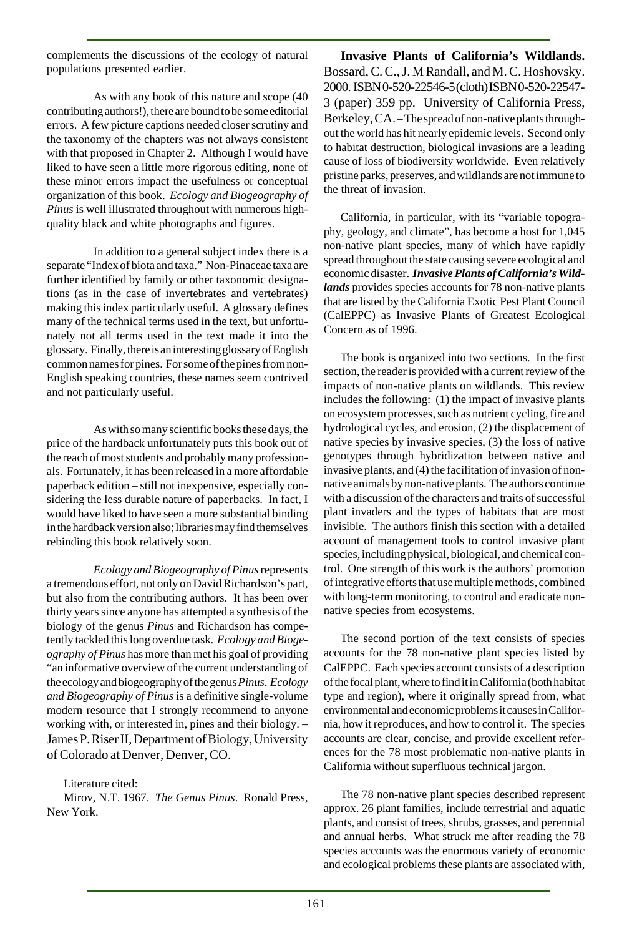complements the discussions of the ecology of natural populations presented earlier.

As with any book of this nature and scope (40 contributing authors!), there are bound to be some editorial errors. A few picture captions needed closer scrutiny and the taxonomy of the chapters was not always consistent with that proposed in Chapter 2. Although I would have liked to have seen a little more rigorous editing, none of these minor errors impact the usefulness or conceptual organization of this book. *Ecology and Biogeography of Pinus* is well illustrated throughout with numerous highquality black and white photographs and figures.

In addition to a general subject index there is a separate "Index of biota and taxa." Non-Pinaceae taxa are further identified by family or other taxonomic designations (as in the case of invertebrates and vertebrates) making this index particularly useful. A glossary defines many of the technical terms used in the text, but unfortunately not all terms used in the text made it into the glossary. Finally, there is an interesting glossary of English common names for pines. For some of the pines from non-English speaking countries, these names seem contrived and not particularly useful.

As with so many scientific books these days, the price of the hardback unfortunately puts this book out of the reach of most students and probably many professionals. Fortunately, it has been released in a more affordable paperback edition – still not inexpensive, especially considering the less durable nature of paperbacks. In fact, I would have liked to have seen a more substantial binding in the hardback version also; libraries may find themselves rebinding this book relatively soon.

*Ecology and Biogeography of Pinus* represents a tremendous effort, not only on David Richardson's part, but also from the contributing authors. It has been over thirty years since anyone has attempted a synthesis of the biology of the genus *Pinus* and Richardson has competently tackled this long overdue task. *Ecology and Biogeography of Pinus* has more than met his goal of providing "an informative overview of the current understanding of the ecology and biogeography of the genus *Pinus*. *Ecology and Biogeography of Pinus* is a definitive single-volume modern resource that I strongly recommend to anyone working with, or interested in, pines and their biology. – James P. Riser II, Department of Biology, University of Colorado at Denver, Denver, CO.

Literature cited:

Mirov, N.T. 1967. *The Genus Pinus*. Ronald Press, New York.

**Invasive Plants of California's Wildlands.** Bossard, C. C., J. M Randall, and M. C. Hoshovsky. 2000. ISBN 0-520-22546-5 (cloth) ISBN 0-520-22547- 3 (paper) 359 pp. University of California Press, Berkeley, CA. – The spread of non-native plants throughout the world has hit nearly epidemic levels. Second only to habitat destruction, biological invasions are a leading cause of loss of biodiversity worldwide. Even relatively pristine parks, preserves, and wildlands are not immune to the threat of invasion.

California, in particular, with its "variable topography, geology, and climate", has become a host for 1,045 non-native plant species, many of which have rapidly spread throughout the state causing severe ecological and economic disaster. *Invasive Plants of California's Wildlands* provides species accounts for 78 non-native plants that are listed by the California Exotic Pest Plant Council (CalEPPC) as Invasive Plants of Greatest Ecological Concern as of 1996.

The book is organized into two sections. In the first section, the reader is provided with a current review of the impacts of non-native plants on wildlands. This review includes the following: (1) the impact of invasive plants on ecosystem processes, such as nutrient cycling, fire and hydrological cycles, and erosion, (2) the displacement of native species by invasive species, (3) the loss of native genotypes through hybridization between native and invasive plants, and (4) the facilitation of invasion of nonnative animals by non-native plants. The authors continue with a discussion of the characters and traits of successful plant invaders and the types of habitats that are most invisible. The authors finish this section with a detailed account of management tools to control invasive plant species, including physical, biological, and chemical control. One strength of this work is the authors' promotion of integrative efforts that use multiple methods, combined with long-term monitoring, to control and eradicate nonnative species from ecosystems.

The second portion of the text consists of species accounts for the 78 non-native plant species listed by CalEPPC. Each species account consists of a description of the focal plant, where to find it in California (both habitat type and region), where it originally spread from, what environmental and economic problems it causes in California, how it reproduces, and how to control it. The species accounts are clear, concise, and provide excellent references for the 78 most problematic non-native plants in California without superfluous technical jargon.

The 78 non-native plant species described represent approx. 26 plant families, include terrestrial and aquatic plants, and consist of trees, shrubs, grasses, and perennial and annual herbs. What struck me after reading the 78 species accounts was the enormous variety of economic and ecological problems these plants are associated with,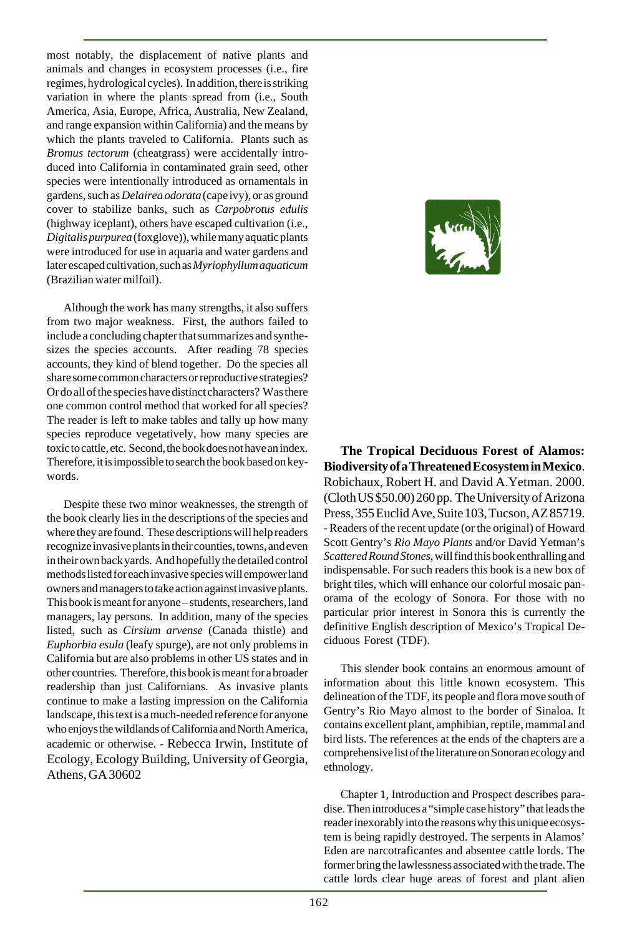most notably, the displacement of native plants and animals and changes in ecosystem processes (i.e., fire regimes, hydrological cycles). In addition, there is striking variation in where the plants spread from (i.e., South America, Asia, Europe, Africa, Australia, New Zealand, and range expansion within California) and the means by which the plants traveled to California. Plants such as *Bromus tectorum* (cheatgrass) were accidentally introduced into California in contaminated grain seed, other species were intentionally introduced as ornamentals in gardens, such as *Delairea odorata* (cape ivy), or as ground cover to stabilize banks, such as *Carpobrotus edulis* (highway iceplant), others have escaped cultivation (i.e., *Digitalis purpurea* (foxglove)), while many aquatic plants were introduced for use in aquaria and water gardens and later escaped cultivation, such as *Myriophyllum aquaticum* (Brazilian water milfoil).

Although the work has many strengths, it also suffers from two major weakness. First, the authors failed to include a concluding chapter that summarizes and synthesizes the species accounts. After reading 78 species accounts, they kind of blend together. Do the species all share some common characters or reproductive strategies? Or do all of the species have distinct characters? Was there one common control method that worked for all species? The reader is left to make tables and tally up how many species reproduce vegetatively, how many species are toxic to cattle, etc. Second, the book does not have an index. Therefore, it is impossible to search the book based on keywords.

Despite these two minor weaknesses, the strength of the book clearly lies in the descriptions of the species and where they are found. These descriptions will help readers recognize invasive plants in their counties, towns, and even in their own back yards. And hopefully the detailed control methods listed for each invasive species will empower land owners and managers to take action against invasive plants. This book is meant for anyone – students, researchers, land managers, lay persons. In addition, many of the species listed, such as *Cirsium arvense* (Canada thistle) and *Euphorbia esula* (leafy spurge), are not only problems in California but are also problems in other US states and in other countries. Therefore, this book is meant for a broader readership than just Californians. As invasive plants continue to make a lasting impression on the California landscape, this text is a much-needed reference for anyone who enjoys the wildlands of California and North America, academic or otherwise. - Rebecca Irwin, Institute of Ecology, Ecology Building, University of Georgia, Athens, GA 30602



**The Tropical Deciduous Forest of Alamos: Biodiversity of a Threatened Ecosystem in Mexico**. Robichaux, Robert H. and David A.Yetman. 2000. (Cloth US \$50.00) 260 pp. The University of Arizona Press, 355 Euclid Ave, Suite 103, Tucson, AZ 85719. - Readers of the recent update (or the original) of Howard Scott Gentry's *Rio Mayo Plants* and/or David Yetman's *Scattered Round Stones*, will find this book enthralling and indispensable. For such readers this book is a new box of bright tiles, which will enhance our colorful mosaic panorama of the ecology of Sonora. For those with no particular prior interest in Sonora this is currently the definitive English description of Mexico's Tropical Deciduous Forest (TDF).

This slender book contains an enormous amount of information about this little known ecosystem. This delineation of the TDF, its people and flora move south of Gentry's Rio Mayo almost to the border of Sinaloa. It contains excellent plant, amphibian, reptile, mammal and bird lists. The references at the ends of the chapters are a comprehensive list of the literature on Sonoran ecology and ethnology.

Chapter 1, Introduction and Prospect describes paradise. Then introduces a "simple case history" that leads the reader inexorably into the reasons why this unique ecosystem is being rapidly destroyed. The serpents in Alamos' Eden are narcotraficantes and absentee cattle lords. The former bring the lawlessness associated with the trade. The cattle lords clear huge areas of forest and plant alien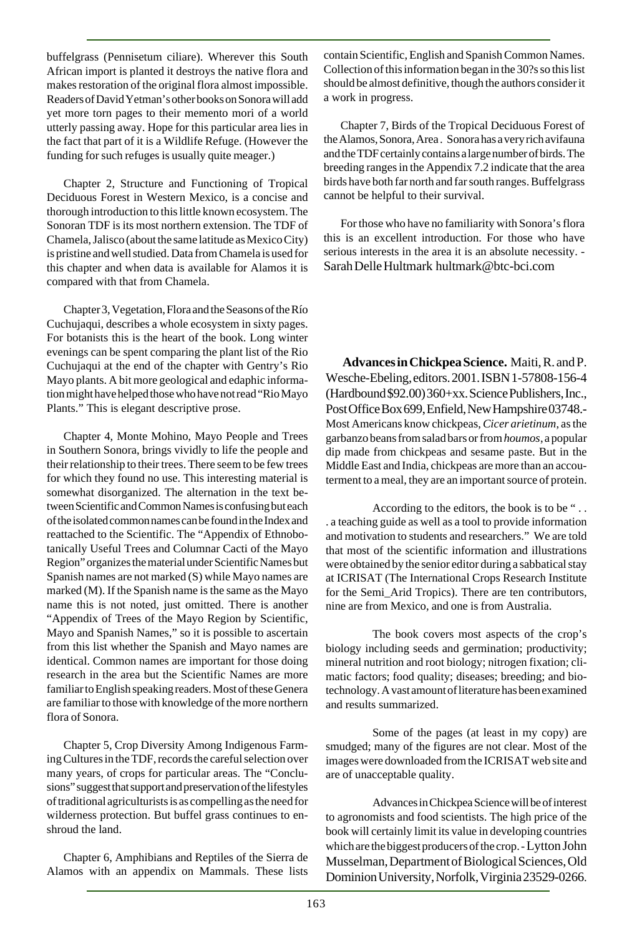buffelgrass (Pennisetum ciliare). Wherever this South African import is planted it destroys the native flora and makes restoration of the original flora almost impossible. Readers of David Yetman's other books on Sonora will add yet more torn pages to their memento mori of a world utterly passing away. Hope for this particular area lies in the fact that part of it is a Wildlife Refuge. (However the funding for such refuges is usually quite meager.)

Chapter 2, Structure and Functioning of Tropical Deciduous Forest in Western Mexico, is a concise and thorough introduction to this little known ecosystem. The Sonoran TDF is its most northern extension. The TDF of Chamela, Jalisco (about the same latitude as Mexico City) is pristine and well studied. Data from Chamela is used for this chapter and when data is available for Alamos it is compared with that from Chamela.

Chapter 3, Vegetation, Flora and the Seasons of the Río Cuchujaqui, describes a whole ecosystem in sixty pages. For botanists this is the heart of the book. Long winter evenings can be spent comparing the plant list of the Rio Cuchujaqui at the end of the chapter with Gentry's Rio Mayo plants. A bit more geological and edaphic information might have helped those who have not read "Rio Mayo Plants." This is elegant descriptive prose.

Chapter 4, Monte Mohino, Mayo People and Trees in Southern Sonora, brings vividly to life the people and their relationship to their trees. There seem to be few trees for which they found no use. This interesting material is somewhat disorganized. The alternation in the text between Scientific and Common Names is confusing but each of the isolated common names can be found in the Index and reattached to the Scientific. The "Appendix of Ethnobotanically Useful Trees and Columnar Cacti of the Mayo Region" organizes the material under Scientific Names but Spanish names are not marked (S) while Mayo names are marked (M). If the Spanish name is the same as the Mayo name this is not noted, just omitted. There is another "Appendix of Trees of the Mayo Region by Scientific, Mayo and Spanish Names," so it is possible to ascertain from this list whether the Spanish and Mayo names are identical. Common names are important for those doing research in the area but the Scientific Names are more familiar to English speaking readers. Most of these Genera are familiar to those with knowledge of the more northern flora of Sonora.

Chapter 5, Crop Diversity Among Indigenous Farming Cultures in the TDF, records the careful selection over many years, of crops for particular areas. The "Conclusions" suggest that support and preservation of the lifestyles of traditional agriculturists is as compelling as the need for wilderness protection. But buffel grass continues to enshroud the land.

Chapter 6, Amphibians and Reptiles of the Sierra de Alamos with an appendix on Mammals. These lists contain Scientific, English and Spanish Common Names. Collection of this information began in the 30?s so this list should be almost definitive, though the authors consider it a work in progress.

Chapter 7, Birds of the Tropical Deciduous Forest of the Alamos, Sonora, Area . Sonora has a very rich avifauna and the TDF certainly contains a large number of birds. The breeding ranges in the Appendix 7.2 indicate that the area birds have both far north and far south ranges. Buffelgrass cannot be helpful to their survival.

For those who have no familiarity with Sonora's flora this is an excellent introduction. For those who have serious interests in the area it is an absolute necessity. - Sarah Delle Hultmark hultmark@btc-bci.com

**Advances in Chickpea Science.** Maiti, R. and P. Wesche-Ebeling, editors. 2001. ISBN 1-57808-156-4 (Hardbound \$92.00) 360+xx. Science Publishers, Inc., Post Office Box 699, Enfield, New Hampshire 03748.- Most Americans know chickpeas, *Cicer arietinum*, as the garbanzo beans from salad bars or from *houmos*, a popular dip made from chickpeas and sesame paste. But in the Middle East and India, chickpeas are more than an accouterment to a meal, they are an important source of protein.

According to the editors, the book is to be " . . . a teaching guide as well as a tool to provide information and motivation to students and researchers." We are told that most of the scientific information and illustrations were obtained by the senior editor during a sabbatical stay at ICRISAT (The International Crops Research Institute for the Semi\_Arid Tropics). There are ten contributors, nine are from Mexico, and one is from Australia.

The book covers most aspects of the crop's biology including seeds and germination; productivity; mineral nutrition and root biology; nitrogen fixation; climatic factors; food quality; diseases; breeding; and biotechnology. A vast amount of literature has been examined and results summarized.

Some of the pages (at least in my copy) are smudged; many of the figures are not clear. Most of the images were downloaded from the ICRISAT web site and are of unacceptable quality.

Advances in Chickpea Science will be of interest to agronomists and food scientists. The high price of the book will certainly limit its value in developing countries which are the biggest producers of the crop. - Lytton John Musselman, Department of Biological Sciences, Old Dominion University, Norfolk, Virginia 23529-0266.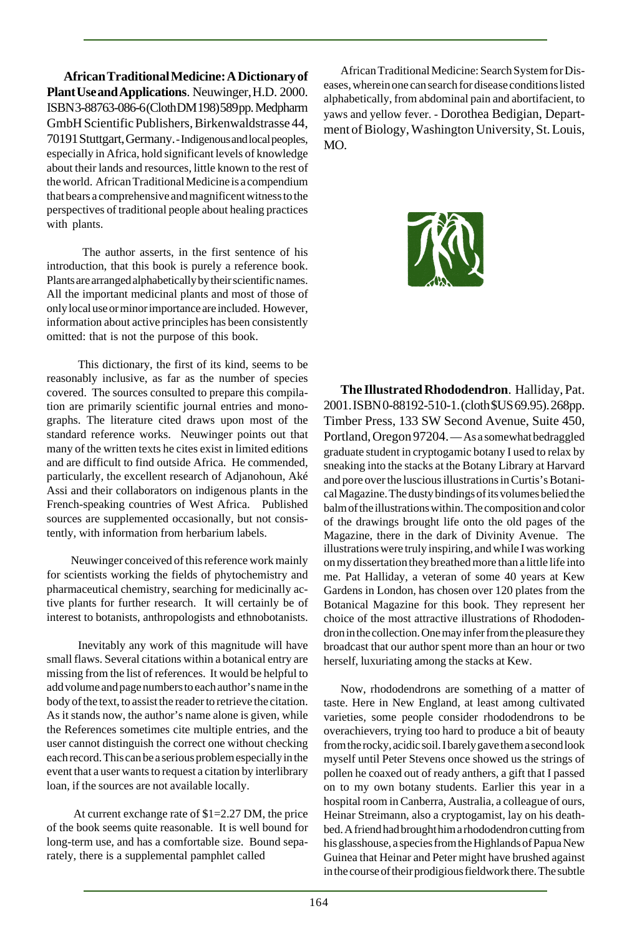**African Traditional Medicine: A Dictionary of Plant Use and Applications**. Neuwinger, H.D. 2000. ISBN 3-88763-086-6 (Cloth DM 198) 589 pp. Medpharm GmbH Scientific Publishers, Birkenwaldstrasse 44, 70191 Stuttgart, Germany. - Indigenous and local peoples, especially in Africa, hold significant levels of knowledge about their lands and resources, little known to the rest of the world. African Traditional Medicine is a compendium that bears a comprehensive and magnificent witness to the perspectives of traditional people about healing practices with plants.

 The author asserts, in the first sentence of his introduction, that this book is purely a reference book. Plants are arranged alphabetically by their scientific names. All the important medicinal plants and most of those of only local use or minor importance are included. However, information about active principles has been consistently omitted: that is not the purpose of this book.

 This dictionary, the first of its kind, seems to be reasonably inclusive, as far as the number of species covered. The sources consulted to prepare this compilation are primarily scientific journal entries and monographs. The literature cited draws upon most of the standard reference works. Neuwinger points out that many of the written texts he cites exist in limited editions and are difficult to find outside Africa. He commended, particularly, the excellent research of Adjanohoun, Aké Assi and their collaborators on indigenous plants in the French-speaking countries of West Africa. Published sources are supplemented occasionally, but not consistently, with information from herbarium labels.

 Neuwinger conceived of this reference work mainly for scientists working the fields of phytochemistry and pharmaceutical chemistry, searching for medicinally active plants for further research. It will certainly be of interest to botanists, anthropologists and ethnobotanists.

 Inevitably any work of this magnitude will have small flaws. Several citations within a botanical entry are missing from the list of references. It would be helpful to add volume and page numbers to each author's name in the body of the text, to assist the reader to retrieve the citation. As it stands now, the author's name alone is given, while the References sometimes cite multiple entries, and the user cannot distinguish the correct one without checking each record. This can be a serious problem especially in the event that a user wants to request a citation by interlibrary loan, if the sources are not available locally.

 At current exchange rate of \$1=2.27 DM, the price of the book seems quite reasonable. It is well bound for long-term use, and has a comfortable size. Bound separately, there is a supplemental pamphlet called

African Traditional Medicine: Search System for Diseases, wherein one can search for disease conditions listed alphabetically, from abdominal pain and abortifacient, to yaws and yellow fever. - Dorothea Bedigian, Department of Biology, Washington University, St. Louis, MO.



**The Illustrated Rhododendron**. Halliday, Pat. 2001. ISBN 0-88192-510-1. (cloth \$US 69.95). 268pp. Timber Press, 133 SW Second Avenue, Suite 450, Portland, Oregon 97204. — As a somewhat bedraggled graduate student in cryptogamic botany I used to relax by sneaking into the stacks at the Botany Library at Harvard and pore over the luscious illustrations in Curtis's Botanical Magazine. The dusty bindings of its volumes belied the balm of the illustrations within. The composition and color of the drawings brought life onto the old pages of the Magazine, there in the dark of Divinity Avenue. The illustrations were truly inspiring, and while I was working on my dissertation they breathed more than a little life into me. Pat Halliday, a veteran of some 40 years at Kew Gardens in London, has chosen over 120 plates from the Botanical Magazine for this book. They represent her choice of the most attractive illustrations of Rhododendron in the collection. One may infer from the pleasure they broadcast that our author spent more than an hour or two herself, luxuriating among the stacks at Kew.

Now, rhododendrons are something of a matter of taste. Here in New England, at least among cultivated varieties, some people consider rhododendrons to be overachievers, trying too hard to produce a bit of beauty from the rocky, acidic soil. I barely gave them a second look myself until Peter Stevens once showed us the strings of pollen he coaxed out of ready anthers, a gift that I passed on to my own botany students. Earlier this year in a hospital room in Canberra, Australia, a colleague of ours, Heinar Streimann, also a cryptogamist, lay on his deathbed. A friend had brought him a rhododendron cutting from his glasshouse, a species from the Highlands of Papua New Guinea that Heinar and Peter might have brushed against in the course of their prodigious fieldwork there. The subtle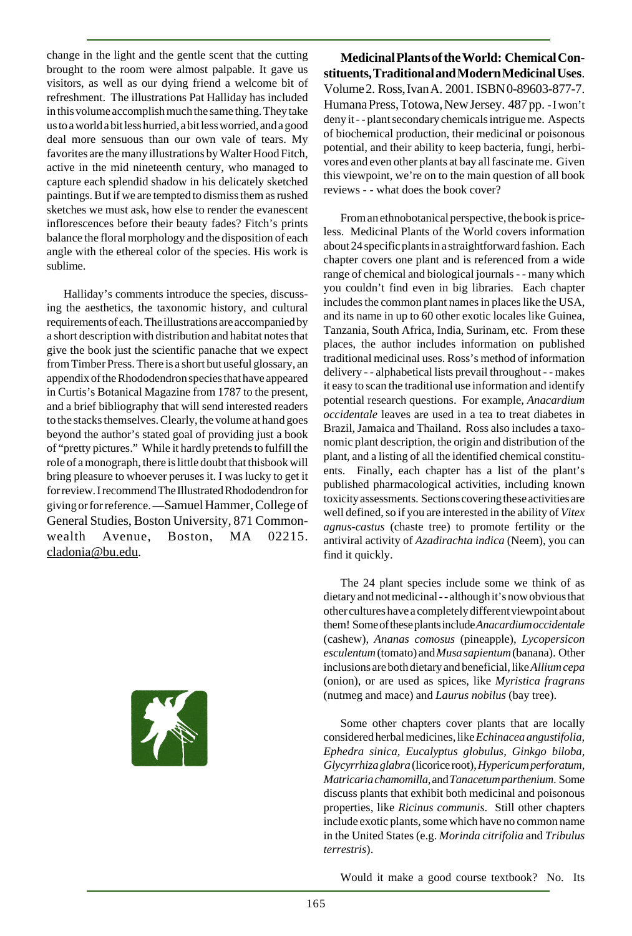change in the light and the gentle scent that the cutting brought to the room were almost palpable. It gave us visitors, as well as our dying friend a welcome bit of refreshment. The illustrations Pat Halliday has included in this volume accomplish much the same thing. They take us to a world a bit less hurried, a bit less worried, and a good deal more sensuous than our own vale of tears. My favorites are the many illustrations by Walter Hood Fitch, active in the mid nineteenth century, who managed to capture each splendid shadow in his delicately sketched paintings. But if we are tempted to dismiss them as rushed sketches we must ask, how else to render the evanescent inflorescences before their beauty fades? Fitch's prints balance the floral morphology and the disposition of each angle with the ethereal color of the species. His work is sublime.

Halliday's comments introduce the species, discussing the aesthetics, the taxonomic history, and cultural requirements of each. The illustrations are accompanied by a short description with distribution and habitat notes that give the book just the scientific panache that we expect from Timber Press. There is a short but useful glossary, an appendix of the Rhododendron species that have appeared in Curtis's Botanical Magazine from 1787 to the present, and a brief bibliography that will send interested readers to the stacks themselves. Clearly, the volume at hand goes beyond the author's stated goal of providing just a book of "pretty pictures." While it hardly pretends to fulfill the role of a monograph, there is little doubt that thisbook will bring pleasure to whoever peruses it. I was lucky to get it for review. I recommend The Illustrated Rhododendron for giving or for reference. —Samuel Hammer, College of General Studies, Boston University, 871 Commonwealth Avenue, Boston, MA 02215. cladonia@bu.edu.



**Medicinal Plants of the World: Chemical Constituents, Traditional and Modern Medicinal Uses**. Volume 2. Ross, Ivan A. 2001. ISBN 0-89603-877-7. Humana Press, Totowa, New Jersey. 487 pp. - I won't deny it - - plant secondary chemicals intrigue me. Aspects of biochemical production, their medicinal or poisonous potential, and their ability to keep bacteria, fungi, herbivores and even other plants at bay all fascinate me. Given this viewpoint, we're on to the main question of all book reviews - - what does the book cover?

From an ethnobotanical perspective, the book is priceless. Medicinal Plants of the World covers information about 24 specific plants in a straightforward fashion. Each chapter covers one plant and is referenced from a wide range of chemical and biological journals - - many which you couldn't find even in big libraries. Each chapter includes the common plant names in places like the USA, and its name in up to 60 other exotic locales like Guinea, Tanzania, South Africa, India, Surinam, etc. From these places, the author includes information on published traditional medicinal uses. Ross's method of information delivery - - alphabetical lists prevail throughout - - makes it easy to scan the traditional use information and identify potential research questions. For example, *Anacardium occidentale* leaves are used in a tea to treat diabetes in Brazil, Jamaica and Thailand. Ross also includes a taxonomic plant description, the origin and distribution of the plant, and a listing of all the identified chemical constituents. Finally, each chapter has a list of the plant's published pharmacological activities, including known toxicity assessments. Sections covering these activities are well defined, so if you are interested in the ability of *Vitex agnus-castus* (chaste tree) to promote fertility or the antiviral activity of *Azadirachta indica* (Neem), you can find it quickly.

The 24 plant species include some we think of as dietary and not medicinal - - although it's now obvious that other cultures have a completely different viewpoint about them! Some of these plants include *Anacardium occidentale* (cashew), *Ananas comosus* (pineapple), *Lycopersicon esculentum* (tomato) and *Musa sapientum* (banana). Other inclusions are both dietary and beneficial, like *Allium cepa* (onion), or are used as spices, like *Myristica fragrans* (nutmeg and mace) and *Laurus nobilus* (bay tree).

Some other chapters cover plants that are locally considered herbal medicines, like *Echinacea angustifolia, Ephedra sinica, Eucalyptus globulus, Ginkgo biloba, Glycyrrhiza glabra* (licorice root), *Hypericum perforatum, Matricaria chamomilla*, and *Tanacetum parthenium*. Some discuss plants that exhibit both medicinal and poisonous properties, like *Ricinus communis*. Still other chapters include exotic plants, some which have no common name in the United States (e.g. *Morinda citrifolia* and *Tribulus terrestris*).

Would it make a good course textbook? No. Its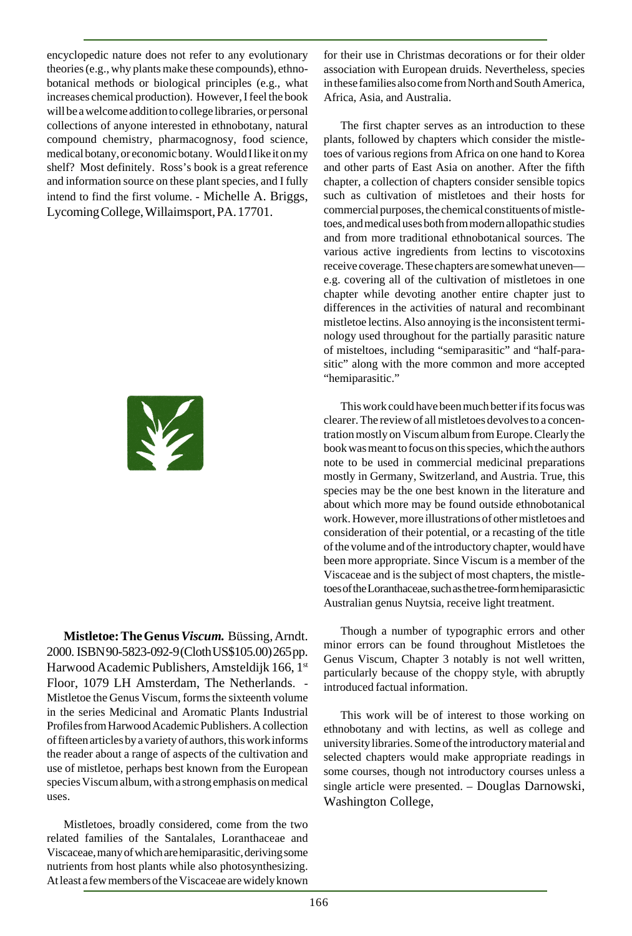encyclopedic nature does not refer to any evolutionary theories (e.g., why plants make these compounds), ethnobotanical methods or biological principles (e.g., what increases chemical production). However, I feel the book will be a welcome addition to college libraries, or personal collections of anyone interested in ethnobotany, natural compound chemistry, pharmacognosy, food science, medical botany, or economic botany. Would I like it on my shelf? Most definitely. Ross's book is a great reference and information source on these plant species, and I fully intend to find the first volume. - Michelle A. Briggs, Lycoming College, Willaimsport, PA. 17701.



**Mistletoe: The Genus** *Viscum.* Büssing, Arndt. 2000. ISBN 90-5823-092-9 (Cloth US\$105.00) 265 pp. Harwood Academic Publishers, Amsteldijk 166, 1st Floor, 1079 LH Amsterdam, The Netherlands. - Mistletoe the Genus Viscum, forms the sixteenth volume in the series Medicinal and Aromatic Plants Industrial Profiles from Harwood Academic Publishers. A collection of fifteen articles by a variety of authors, this work informs the reader about a range of aspects of the cultivation and use of mistletoe, perhaps best known from the European species Viscum album, with a strong emphasis on medical uses.

Mistletoes, broadly considered, come from the two related families of the Santalales, Loranthaceae and Viscaceae, many of which are hemiparasitic, deriving some nutrients from host plants while also photosynthesizing. At least a few members of the Viscaceae are widely known

for their use in Christmas decorations or for their older association with European druids. Nevertheless, species in these families also come from North and South America, Africa, Asia, and Australia.

The first chapter serves as an introduction to these plants, followed by chapters which consider the mistletoes of various regions from Africa on one hand to Korea and other parts of East Asia on another. After the fifth chapter, a collection of chapters consider sensible topics such as cultivation of mistletoes and their hosts for commercial purposes, the chemical constituents of mistletoes, and medical uses both from modern allopathic studies and from more traditional ethnobotanical sources. The various active ingredients from lectins to viscotoxins receive coverage. These chapters are somewhat uneven e.g. covering all of the cultivation of mistletoes in one chapter while devoting another entire chapter just to differences in the activities of natural and recombinant mistletoe lectins. Also annoying is the inconsistent terminology used throughout for the partially parasitic nature of misteltoes, including "semiparasitic" and "half-parasitic" along with the more common and more accepted "hemiparasitic."

This work could have been much better if its focus was clearer. The review of all mistletoes devolves to a concentration mostly on Viscum album from Europe. Clearly the book was meant to focus on this species, which the authors note to be used in commercial medicinal preparations mostly in Germany, Switzerland, and Austria. True, this species may be the one best known in the literature and about which more may be found outside ethnobotanical work. However, more illustrations of other mistletoes and consideration of their potential, or a recasting of the title of the volume and of the introductory chapter, would have been more appropriate. Since Viscum is a member of the Viscaceae and is the subject of most chapters, the mistletoes of the Loranthaceae, such as the tree-form hemiparasictic Australian genus Nuytsia, receive light treatment.

Though a number of typographic errors and other minor errors can be found throughout Mistletoes the Genus Viscum, Chapter 3 notably is not well written, particularly because of the choppy style, with abruptly introduced factual information.

This work will be of interest to those working on ethnobotany and with lectins, as well as college and university libraries. Some of the introductory material and selected chapters would make appropriate readings in some courses, though not introductory courses unless a single article were presented. – Douglas Darnowski, Washington College,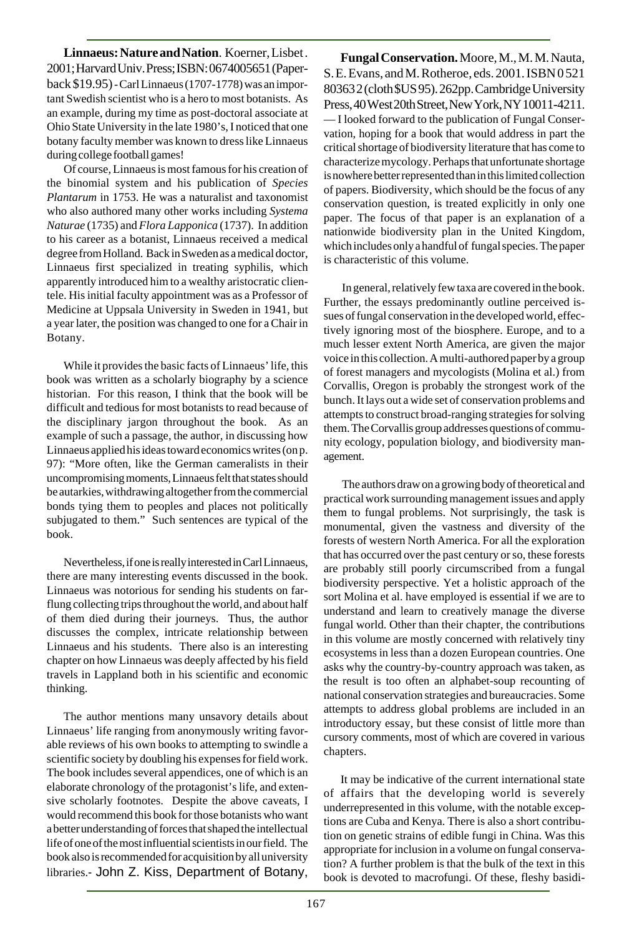**Linnaeus: Nature and Nation**. Koerner, Lisbet . 2001; Harvard Univ. Press; ISBN: 0674005651 (Paperback \$19.95) - Carl Linnaeus (1707-1778) was an important Swedish scientist who is a hero to most botanists. As an example, during my time as post-doctoral associate at Ohio State University in the late 1980's, I noticed that one botany faculty member was known to dress like Linnaeus during college football games!

Of course, Linnaeus is most famous for his creation of the binomial system and his publication of *Species Plantarum* in 1753. He was a naturalist and taxonomist who also authored many other works including *Systema Naturae* (1735) and *Flora Lapponica* (1737). In addition to his career as a botanist, Linnaeus received a medical degree from Holland. Back in Sweden as a medical doctor, Linnaeus first specialized in treating syphilis, which apparently introduced him to a wealthy aristocratic clientele. His initial faculty appointment was as a Professor of Medicine at Uppsala University in Sweden in 1941, but a year later, the position was changed to one for a Chair in Botany.

While it provides the basic facts of Linnaeus' life, this book was written as a scholarly biography by a science historian. For this reason, I think that the book will be difficult and tedious for most botanists to read because of the disciplinary jargon throughout the book. As an example of such a passage, the author, in discussing how Linnaeus applied his ideas toward economics writes (on p. 97): "More often, like the German cameralists in their uncompromising moments, Linnaeus felt that states should be autarkies, withdrawing altogether from the commercial bonds tying them to peoples and places not politically subjugated to them." Such sentences are typical of the book.

Nevertheless, if one is really interested in Carl Linnaeus, there are many interesting events discussed in the book. Linnaeus was notorious for sending his students on farflung collecting trips throughout the world, and about half of them died during their journeys. Thus, the author discusses the complex, intricate relationship between Linnaeus and his students. There also is an interesting chapter on how Linnaeus was deeply affected by his field travels in Lappland both in his scientific and economic thinking.

The author mentions many unsavory details about Linnaeus' life ranging from anonymously writing favorable reviews of his own books to attempting to swindle a scientific society by doubling his expenses for field work. The book includes several appendices, one of which is an elaborate chronology of the protagonist's life, and extensive scholarly footnotes. Despite the above caveats, I would recommend this book for those botanists who want a better understanding of forces that shaped the intellectual life of one of the most influential scientists in our field. The book also is recommended for acquisition by all university libraries.- John Z. Kiss, Department of Botany,

**Fungal Conservation.** Moore, M., M. M. Nauta, S. E. Evans, and M. Rotheroe, eds. 2001. ISBN 0 521 80363 2 (cloth \$US 95). 262pp. Cambridge University Press, 40 West 20th Street, New York, NY 10011-4211. — I looked forward to the publication of Fungal Conservation, hoping for a book that would address in part the critical shortage of biodiversity literature that has come to characterize mycology. Perhaps that unfortunate shortage is nowhere better represented than in this limited collection of papers. Biodiversity, which should be the focus of any conservation question, is treated explicitly in only one paper. The focus of that paper is an explanation of a nationwide biodiversity plan in the United Kingdom, which includes only a handful of fungal species. The paper is characteristic of this volume.

 In general, relatively few taxa are covered in the book. Further, the essays predominantly outline perceived issues of fungal conservation in the developed world, effectively ignoring most of the biosphere. Europe, and to a much lesser extent North America, are given the major voice in this collection. A multi-authored paper by a group of forest managers and mycologists (Molina et al.) from Corvallis, Oregon is probably the strongest work of the bunch. It lays out a wide set of conservation problems and attempts to construct broad-ranging strategies for solving them. The Corvallis group addresses questions of community ecology, population biology, and biodiversity management.

 The authors draw on a growing body of theoretical and practical work surrounding management issues and apply them to fungal problems. Not surprisingly, the task is monumental, given the vastness and diversity of the forests of western North America. For all the exploration that has occurred over the past century or so, these forests are probably still poorly circumscribed from a fungal biodiversity perspective. Yet a holistic approach of the sort Molina et al. have employed is essential if we are to understand and learn to creatively manage the diverse fungal world. Other than their chapter, the contributions in this volume are mostly concerned with relatively tiny ecosystems in less than a dozen European countries. One asks why the country-by-country approach was taken, as the result is too often an alphabet-soup recounting of national conservation strategies and bureaucracies. Some attempts to address global problems are included in an introductory essay, but these consist of little more than cursory comments, most of which are covered in various chapters.

It may be indicative of the current international state of affairs that the developing world is severely underrepresented in this volume, with the notable exceptions are Cuba and Kenya. There is also a short contribution on genetic strains of edible fungi in China. Was this appropriate for inclusion in a volume on fungal conservation? A further problem is that the bulk of the text in this book is devoted to macrofungi. Of these, fleshy basidi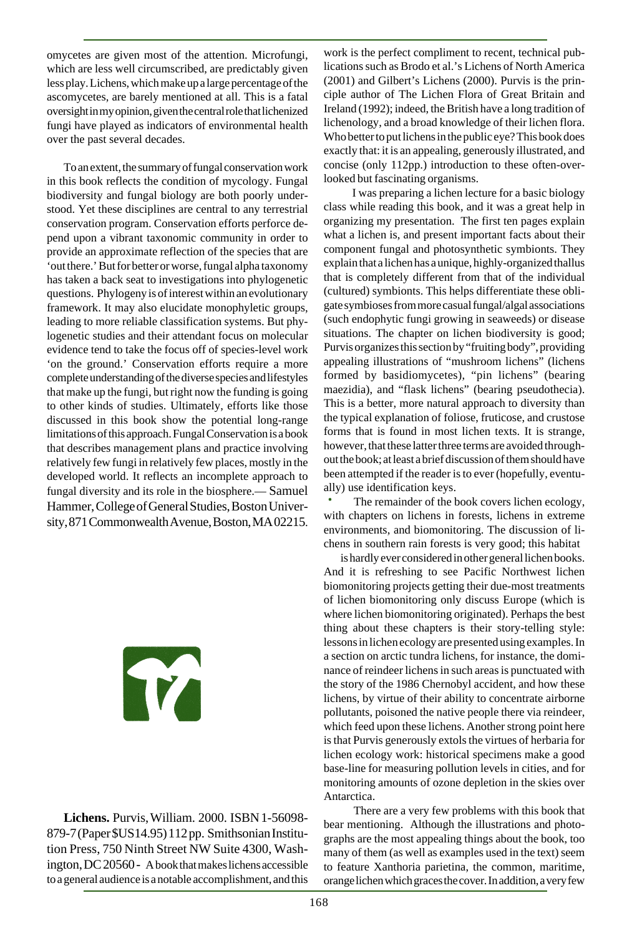omycetes are given most of the attention. Microfungi, which are less well circumscribed, are predictably given less play. Lichens, which make up a large percentage of the ascomycetes, are barely mentioned at all. This is a fatal oversight in my opinion, given the central role that lichenized fungi have played as indicators of environmental health over the past several decades.

To an extent, the summary of fungal conservation work in this book reflects the condition of mycology. Fungal biodiversity and fungal biology are both poorly understood. Yet these disciplines are central to any terrestrial conservation program. Conservation efforts perforce depend upon a vibrant taxonomic community in order to provide an approximate reflection of the species that are 'out there.' But for better or worse, fungal alpha taxonomy has taken a back seat to investigations into phylogenetic questions. Phylogeny is of interest within an evolutionary framework. It may also elucidate monophyletic groups, leading to more reliable classification systems. But phylogenetic studies and their attendant focus on molecular evidence tend to take the focus off of species-level work 'on the ground.' Conservation efforts require a more complete understanding of the diverse species and lifestyles that make up the fungi, but right now the funding is going to other kinds of studies. Ultimately, efforts like those discussed in this book show the potential long-range limitations of this approach. Fungal Conservation is a book that describes management plans and practice involving relatively few fungi in relatively few places, mostly in the developed world. It reflects an incomplete approach to fungal diversity and its role in the biosphere.— Samuel Hammer, College of General Studies, Boston University, 871 Commonwealth Avenue, Boston, MA 02215.

# T

**Lichens.** Purvis, William. 2000. ISBN 1-56098- 879-7 (Paper \$US14.95) 112 pp. Smithsonian Institution Press, 750 Ninth Street NW Suite 4300, Washington, DC 20560 - A book that makes lichens accessible to a general audience is a notable accomplishment, and this work is the perfect compliment to recent, technical publications such as Brodo et al.'s Lichens of North America (2001) and Gilbert's Lichens (2000). Purvis is the principle author of The Lichen Flora of Great Britain and Ireland (1992); indeed, the British have a long tradition of lichenology, and a broad knowledge of their lichen flora. Who better to put lichens in the public eye? This book does exactly that: it is an appealing, generously illustrated, and concise (only 112pp.) introduction to these often-overlooked but fascinating organisms.

 I was preparing a lichen lecture for a basic biology class while reading this book, and it was a great help in organizing my presentation. The first ten pages explain what a lichen is, and present important facts about their component fungal and photosynthetic symbionts. They explain that a lichen has a unique, highly-organized thallus that is completely different from that of the individual (cultured) symbionts. This helps differentiate these obligate symbioses from more casual fungal/algal associations (such endophytic fungi growing in seaweeds) or disease situations. The chapter on lichen biodiversity is good; Purvis organizes this section by "fruiting body", providing appealing illustrations of "mushroom lichens" (lichens formed by basidiomycetes), "pin lichens" (bearing maezidia), and "flask lichens" (bearing pseudothecia). This is a better, more natural approach to diversity than the typical explanation of foliose, fruticose, and crustose forms that is found in most lichen texts. It is strange, however, that these latter three terms are avoided throughout the book; at least a brief discussion of them should have been attempted if the reader is to ever (hopefully, eventually) use identification keys.

 The remainder of the book covers lichen ecology, with chapters on lichens in forests, lichens in extreme environments, and biomonitoring. The discussion of lichens in southern rain forests is very good; this habitat

is hardly ever considered in other general lichen books. And it is refreshing to see Pacific Northwest lichen biomonitoring projects getting their due-most treatments of lichen biomonitoring only discuss Europe (which is where lichen biomonitoring originated). Perhaps the best thing about these chapters is their story-telling style: lessons in lichen ecology are presented using examples. In a section on arctic tundra lichens, for instance, the dominance of reindeer lichens in such areas is punctuated with the story of the 1986 Chernobyl accident, and how these lichens, by virtue of their ability to concentrate airborne pollutants, poisoned the native people there via reindeer, which feed upon these lichens. Another strong point here is that Purvis generously extols the virtues of herbaria for lichen ecology work: historical specimens make a good base-line for measuring pollution levels in cities, and for monitoring amounts of ozone depletion in the skies over Antarctica.

 There are a very few problems with this book that bear mentioning. Although the illustrations and photographs are the most appealing things about the book, too many of them (as well as examples used in the text) seem to feature Xanthoria parietina, the common, maritime, orange lichen which graces the cover. In addition, a very few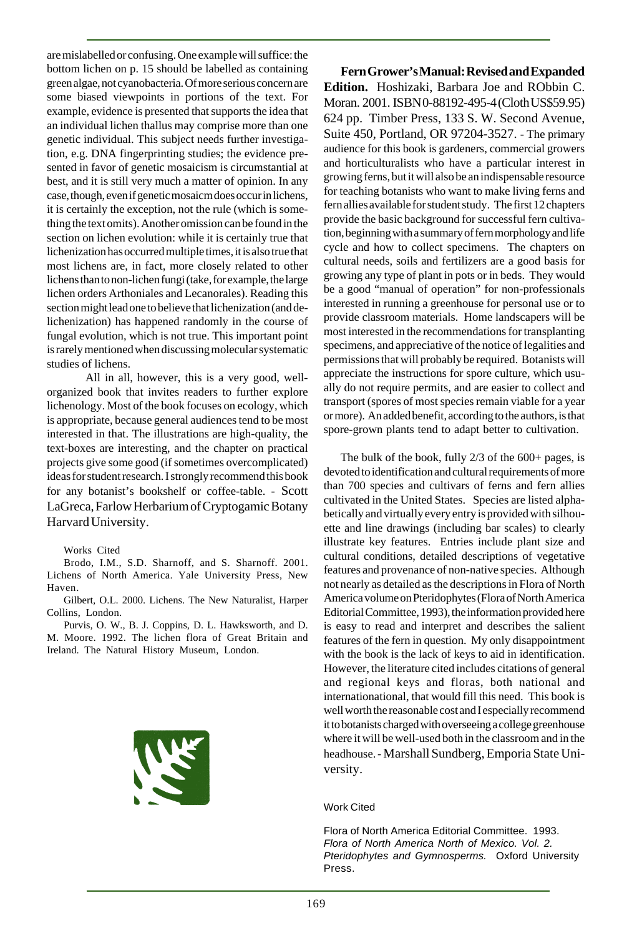are mislabelled or confusing. One example will suffice: the bottom lichen on p. 15 should be labelled as containing green algae, not cyanobacteria. Of more serious concern are some biased viewpoints in portions of the text. For example, evidence is presented that supports the idea that an individual lichen thallus may comprise more than one genetic individual. This subject needs further investigation, e.g. DNA fingerprinting studies; the evidence presented in favor of genetic mosaicism is circumstantial at best, and it is still very much a matter of opinion. In any case, though, even if genetic mosaicm does occur in lichens, it is certainly the exception, not the rule (which is something the text omits). Another omission can be found in the section on lichen evolution: while it is certainly true that lichenization has occurred multiple times, it is also true that most lichens are, in fact, more closely related to other lichens than to non-lichen fungi (take, for example, the large lichen orders Arthoniales and Lecanorales). Reading this section might lead one to believe that lichenization (and delichenization) has happened randomly in the course of fungal evolution, which is not true. This important point is rarely mentioned when discussing molecular systematic studies of lichens.

 All in all, however, this is a very good, wellorganized book that invites readers to further explore lichenology. Most of the book focuses on ecology, which is appropriate, because general audiences tend to be most interested in that. The illustrations are high-quality, the text-boxes are interesting, and the chapter on practical projects give some good (if sometimes overcomplicated) ideas for student research. I strongly recommend this book for any botanist's bookshelf or coffee-table. - Scott LaGreca, Farlow Herbarium of Cryptogamic Botany Harvard University.

Works Cited

Brodo, I.M., S.D. Sharnoff, and S. Sharnoff. 2001. Lichens of North America. Yale University Press, New Haven.

Gilbert, O.L. 2000. Lichens. The New Naturalist, Harper Collins, London.

Purvis, O. W., B. J. Coppins, D. L. Hawksworth, and D. M. Moore. 1992. The lichen flora of Great Britain and Ireland. The Natural History Museum, London.



**Fern Grower's Manual: Revised and Expanded Edition.** Hoshizaki, Barbara Joe and RObbin C. Moran. 2001. ISBN 0-88192-495-4 (Cloth US\$59.95) 624 pp. Timber Press, 133 S. W. Second Avenue, Suite 450, Portland, OR 97204-3527. - The primary audience for this book is gardeners, commercial growers and horticulturalists who have a particular interest in growing ferns, but it will also be an indispensable resource for teaching botanists who want to make living ferns and fern allies available for student study. The first 12 chapters provide the basic background for successful fern cultivation, beginning with a summary of fern morphology and life cycle and how to collect specimens. The chapters on cultural needs, soils and fertilizers are a good basis for growing any type of plant in pots or in beds. They would be a good "manual of operation" for non-professionals interested in running a greenhouse for personal use or to provide classroom materials. Home landscapers will be most interested in the recommendations for transplanting specimens, and appreciative of the notice of legalities and permissions that will probably be required. Botanists will appreciate the instructions for spore culture, which usually do not require permits, and are easier to collect and transport (spores of most species remain viable for a year or more). An added benefit, according to the authors, is that spore-grown plants tend to adapt better to cultivation.

The bulk of the book, fully 2/3 of the 600+ pages, is devoted to identification and cultural requirements of more than 700 species and cultivars of ferns and fern allies cultivated in the United States. Species are listed alphabetically and virtually every entry is provided with silhouette and line drawings (including bar scales) to clearly illustrate key features. Entries include plant size and cultural conditions, detailed descriptions of vegetative features and provenance of non-native species. Although not nearly as detailed as the descriptions in Flora of North America volume on Pteridophytes (Flora of North America Editorial Committee, 1993), the information provided here is easy to read and interpret and describes the salient features of the fern in question. My only disappointment with the book is the lack of keys to aid in identification. However, the literature cited includes citations of general and regional keys and floras, both national and internationational, that would fill this need. This book is well worth the reasonable cost and I especially recommend it to botanists charged with overseeing a college greenhouse where it will be well-used both in the classroom and in the headhouse. - Marshall Sundberg, Emporia State University.

#### Work Cited

Flora of North America Editorial Committee. 1993. Flora of North America North of Mexico. Vol. 2. Pteridophytes and Gymnosperms. Oxford University Press.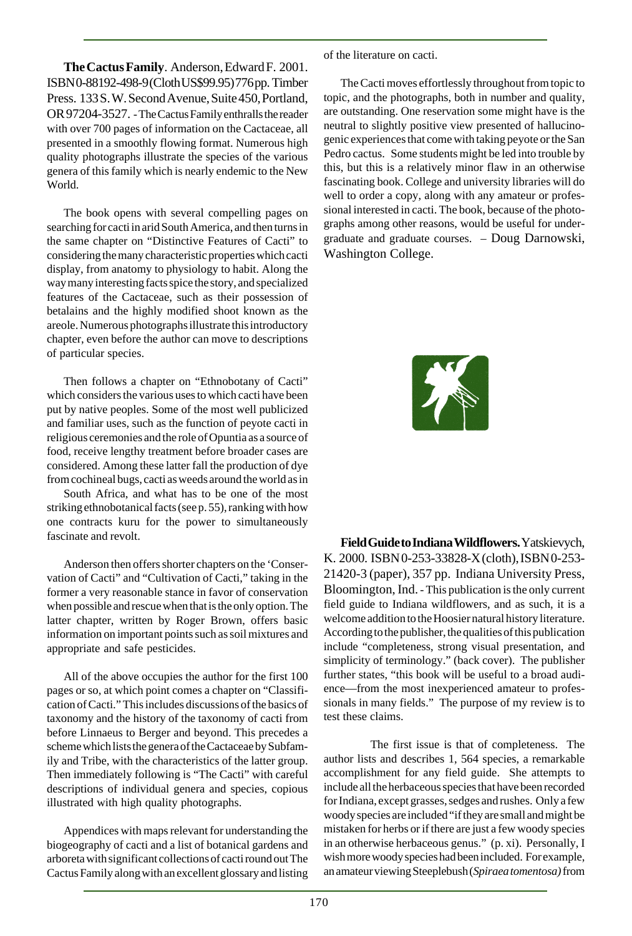**The Cactus Family**. Anderson, Edward F. 2001. ISBN 0-88192-498-9 (Cloth US\$99.95) 776 pp. Timber Press. 133 S. W. Second Avenue, Suite 450, Portland, OR 97204-3527. - The Cactus Family enthralls the reader with over 700 pages of information on the Cactaceae, all presented in a smoothly flowing format. Numerous high quality photographs illustrate the species of the various genera of this family which is nearly endemic to the New World.

The book opens with several compelling pages on searching for cacti in arid South America, and then turns in the same chapter on "Distinctive Features of Cacti" to considering the many characteristic properties which cacti display, from anatomy to physiology to habit. Along the way many interesting facts spice the story, and specialized features of the Cactaceae, such as their possession of betalains and the highly modified shoot known as the areole. Numerous photographs illustrate this introductory chapter, even before the author can move to descriptions of particular species.

Then follows a chapter on "Ethnobotany of Cacti" which considers the various uses to which cacti have been put by native peoples. Some of the most well publicized and familiar uses, such as the function of peyote cacti in religious ceremonies and the role of Opuntia as a source of food, receive lengthy treatment before broader cases are considered. Among these latter fall the production of dye from cochineal bugs, cacti as weeds around the world as in

South Africa, and what has to be one of the most striking ethnobotanical facts (see p. 55), ranking with how one contracts kuru for the power to simultaneously fascinate and revolt.

Anderson then offers shorter chapters on the 'Conservation of Cacti" and "Cultivation of Cacti," taking in the former a very reasonable stance in favor of conservation when possible and rescue when that is the only option. The latter chapter, written by Roger Brown, offers basic information on important points such as soil mixtures and appropriate and safe pesticides.

All of the above occupies the author for the first 100 pages or so, at which point comes a chapter on "Classification of Cacti." This includes discussions of the basics of taxonomy and the history of the taxonomy of cacti from before Linnaeus to Berger and beyond. This precedes a scheme which lists the genera of the Cactaceae by Subfamily and Tribe, with the characteristics of the latter group. Then immediately following is "The Cacti" with careful descriptions of individual genera and species, copious illustrated with high quality photographs.

Appendices with maps relevant for understanding the biogeography of cacti and a list of botanical gardens and arboreta with significant collections of cacti round out The Cactus Family along with an excellent glossary and listing of the literature on cacti.

The Cacti moves effortlessly throughout from topic to topic, and the photographs, both in number and quality, are outstanding. One reservation some might have is the neutral to slightly positive view presented of hallucinogenic experiences that come with taking peyote or the San Pedro cactus. Some students might be led into trouble by this, but this is a relatively minor flaw in an otherwise fascinating book. College and university libraries will do well to order a copy, along with any amateur or professional interested in cacti. The book, because of the photographs among other reasons, would be useful for undergraduate and graduate courses. – Doug Darnowski, Washington College.

不

**Field Guide to Indiana Wildflowers.** Yatskievych, K. 2000. ISBN 0-253-33828-X (cloth), ISBN 0-253- 21420-3 (paper), 357 pp. Indiana University Press, Bloomington, Ind. - This publication is the only current field guide to Indiana wildflowers, and as such, it is a welcome addition to the Hoosier natural history literature. According to the publisher, the qualities of this publication include "completeness, strong visual presentation, and simplicity of terminology." (back cover). The publisher further states, "this book will be useful to a broad audience—from the most inexperienced amateur to professionals in many fields." The purpose of my review is to test these claims.

The first issue is that of completeness. The author lists and describes 1, 564 species, a remarkable accomplishment for any field guide. She attempts to include all the herbaceous species that have been recorded for Indiana, except grasses, sedges and rushes. Only a few woody species are included "if they are small and might be mistaken for herbs or if there are just a few woody species in an otherwise herbaceous genus." (p. xi). Personally, I wish more woody species had been included. For example, an amateur viewing Steeplebush (*Spiraea tomentosa)* from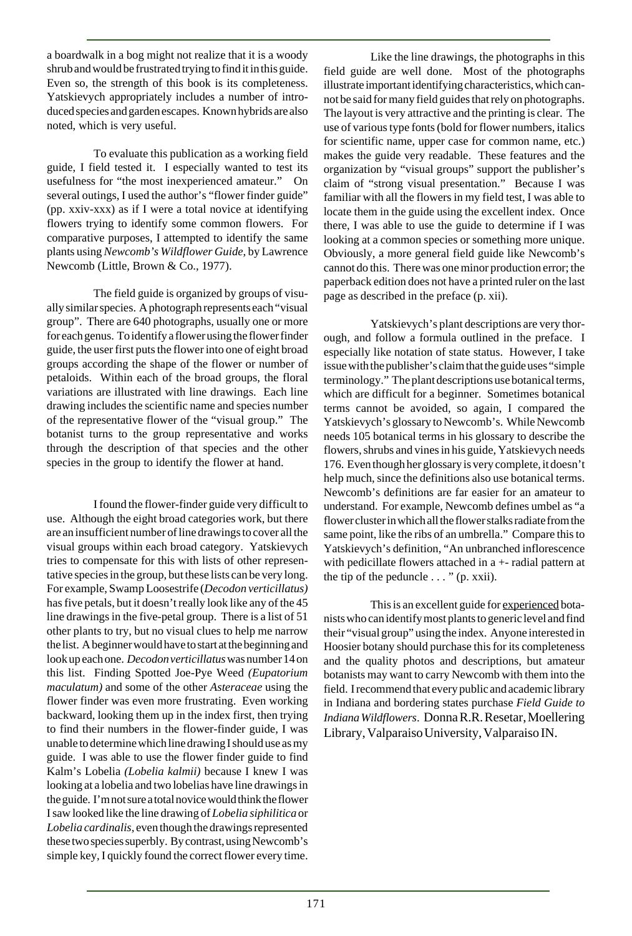a boardwalk in a bog might not realize that it is a woody shrub and would be frustrated trying to find it in this guide. Even so, the strength of this book is its completeness. Yatskievych appropriately includes a number of introduced species and garden escapes. Known hybrids are also noted, which is very useful.

To evaluate this publication as a working field guide, I field tested it. I especially wanted to test its usefulness for "the most inexperienced amateur." On several outings, I used the author's "flower finder guide" (pp. xxiv-xxx) as if I were a total novice at identifying flowers trying to identify some common flowers. For comparative purposes, I attempted to identify the same plants using *Newcomb's Wildflower Guide*, by Lawrence Newcomb (Little, Brown & Co., 1977).

The field guide is organized by groups of visually similar species. A photograph represents each "visual group". There are 640 photographs, usually one or more for each genus. To identify a flower using the flower finder guide, the user first puts the flower into one of eight broad groups according the shape of the flower or number of petaloids. Within each of the broad groups, the floral variations are illustrated with line drawings. Each line drawing includes the scientific name and species number of the representative flower of the "visual group." The botanist turns to the group representative and works through the description of that species and the other species in the group to identify the flower at hand.

I found the flower-finder guide very difficult to use. Although the eight broad categories work, but there are an insufficient number of line drawings to cover all the visual groups within each broad category. Yatskievych tries to compensate for this with lists of other representative species in the group, but these lists can be very long. For example, Swamp Loosestrife (*Decodon verticillatus)* has five petals, but it doesn't really look like any of the 45 line drawings in the five-petal group. There is a list of 51 other plants to try, but no visual clues to help me narrow the list. A beginner would have to start at the beginning and look up each one. *Decodonverticillatus* was number 14 on this list. Finding Spotted Joe-Pye Weed *(Eupatorium maculatum)* and some of the other *Asteraceae* using the flower finder was even more frustrating. Even working backward, looking them up in the index first, then trying to find their numbers in the flower-finder guide, I was unable to determine which line drawing I should use as my guide. I was able to use the flower finder guide to find Kalm's Lobelia *(Lobelia kalmii)* because I knew I was looking at a lobelia and two lobelias have line drawings in the guide. I'm not sure a total novice would think the flower I saw looked like the line drawing of *Lobelia siphilitica* or *Lobelia cardinalis,* even though the drawings represented these two species superbly. By contrast, using Newcomb's simple key, I quickly found the correct flower every time.

Like the line drawings, the photographs in this field guide are well done. Most of the photographs illustrate important identifying characteristics, which cannot be said for many field guides that rely on photographs. The layout is very attractive and the printing is clear. The use of various type fonts (bold for flower numbers, italics for scientific name, upper case for common name, etc.) makes the guide very readable. These features and the organization by "visual groups" support the publisher's claim of "strong visual presentation." Because I was familiar with all the flowers in my field test, I was able to locate them in the guide using the excellent index. Once there, I was able to use the guide to determine if I was looking at a common species or something more unique. Obviously, a more general field guide like Newcomb's cannot do this. There was one minor production error; the paperback edition does not have a printed ruler on the last page as described in the preface (p. xii).

Yatskievych's plant descriptions are very thorough, and follow a formula outlined in the preface. I especially like notation of state status. However, I take issue with the publisher's claim that the guide uses "simple terminology." The plant descriptions use botanical terms, which are difficult for a beginner. Sometimes botanical terms cannot be avoided, so again, I compared the Yatskievych's glossary to Newcomb's. While Newcomb needs 105 botanical terms in his glossary to describe the flowers, shrubs and vines in his guide, Yatskievych needs 176. Even though her glossary is very complete, it doesn't help much, since the definitions also use botanical terms. Newcomb's definitions are far easier for an amateur to understand. For example, Newcomb defines umbel as "a flower cluster in which all the flower stalks radiate from the same point, like the ribs of an umbrella." Compare this to Yatskievych's definition, "An unbranched inflorescence with pedicillate flowers attached in a +- radial pattern at the tip of the peduncle  $\ldots$  " (p. xxii).

This is an excellent guide for experienced botanists who can identify most plants to generic level and find their "visual group" using the index. Anyone interested in Hoosier botany should purchase this for its completeness and the quality photos and descriptions, but amateur botanists may want to carry Newcomb with them into the field. I recommend that every public and academic library in Indiana and bordering states purchase *Field Guide to Indiana Wildflowers*. Donna R.R. Resetar, Moellering Library, Valparaiso University, Valparaiso IN.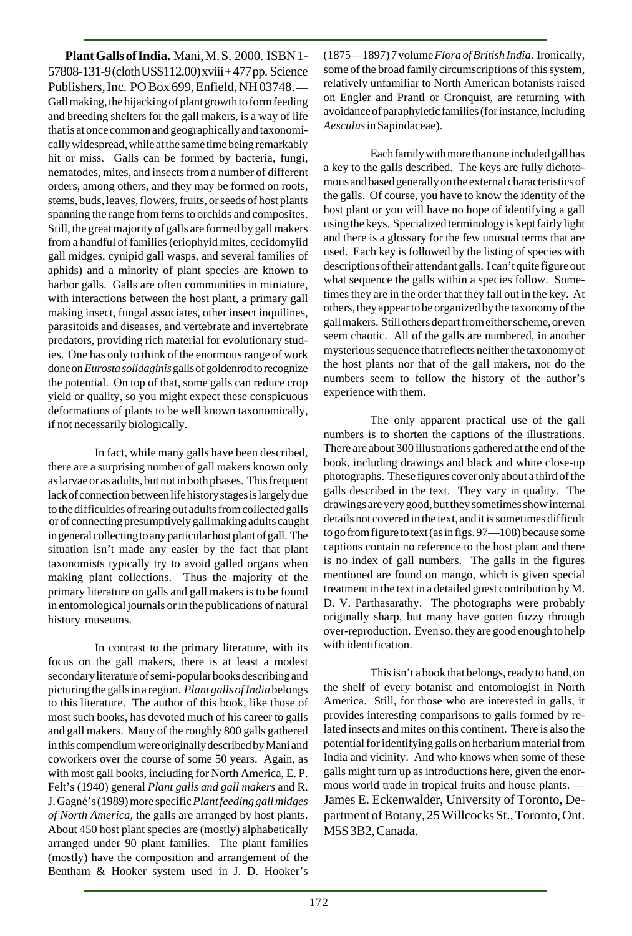**Plant Galls of India.** Mani, M. S. 2000. ISBN 1- 57808-131-9 (cloth US\$112.00) xviii + 477 pp. Science Publishers, Inc. PO Box 699, Enfield, NH 03748. — Gall making, the hijacking of plant growth to form feeding and breeding shelters for the gall makers, is a way of life that is at once common and geographically and taxonomically widespread, while at the same time being remarkably hit or miss. Galls can be formed by bacteria, fungi, nematodes, mites, and insects from a number of different orders, among others, and they may be formed on roots, stems, buds, leaves, flowers, fruits, or seeds of host plants spanning the range from ferns to orchids and composites. Still, the great majority of galls are formed by gall makers from a handful of families (eriophyid mites, cecidomyiid gall midges, cynipid gall wasps, and several families of aphids) and a minority of plant species are known to harbor galls. Galls are often communities in miniature, with interactions between the host plant, a primary gall making insect, fungal associates, other insect inquilines, parasitoids and diseases, and vertebrate and invertebrate predators, providing rich material for evolutionary studies. One has only to think of the enormous range of work done on *Eurosta solidaginis* galls of goldenrod to recognize the potential. On top of that, some galls can reduce crop yield or quality, so you might expect these conspicuous deformations of plants to be well known taxonomically, if not necessarily biologically.

In fact, while many galls have been described, there are a surprising number of gall makers known only as larvae or as adults, but not in both phases. This frequent lack of connection between life history stages is largely due to the difficulties of rearing out adults from collected galls or of connecting presumptively gall making adults caught in general collecting to any particular host plant of gall. The situation isn't made any easier by the fact that plant taxonomists typically try to avoid galled organs when making plant collections. Thus the majority of the primary literature on galls and gall makers is to be found in entomological journals or in the publications of natural history museums.

In contrast to the primary literature, with its focus on the gall makers, there is at least a modest secondary literature of semi-popular books describing and picturing the galls in a region. *Plant galls of India* belongs to this literature. The author of this book, like those of most such books, has devoted much of his career to galls and gall makers. Many of the roughly 800 galls gathered in this compendium were originally described by Mani and coworkers over the course of some 50 years. Again, as with most gall books, including for North America, E. P. Felt's (1940) general *Plant galls and gall makers* and R. J. Gagné's (1989) more specific *Plant feeding gall midges of North America,* the galls are arranged by host plants. About 450 host plant species are (mostly) alphabetically arranged under 90 plant families. The plant families (mostly) have the composition and arrangement of the Bentham & Hooker system used in J. D. Hooker's

(1875—1897) 7 volume *Flora of British India*. Ironically, some of the broad family circumscriptions of this system, relatively unfamiliar to North American botanists raised on Engler and Prantl or Cronquist, are returning with avoidance of paraphyletic families (for instance, including *Aesculus* in Sapindaceae).

Each family with more than one included gall has a key to the galls described. The keys are fully dichotomous and based generally on the external characteristics of the galls. Of course, you have to know the identity of the host plant or you will have no hope of identifying a gall using the keys. Specialized terminology is kept fairly light and there is a glossary for the few unusual terms that are used. Each key is followed by the listing of species with descriptions of their attendant galls. I can't quite figure out what sequence the galls within a species follow. Sometimes they are in the order that they fall out in the key. At others, they appear to be organized by the taxonomy of the gall makers. Still others depart from either scheme, or even seem chaotic. All of the galls are numbered, in another mysterious sequence that reflects neither the taxonomy of the host plants nor that of the gall makers, nor do the numbers seem to follow the history of the author's experience with them.

The only apparent practical use of the gall numbers is to shorten the captions of the illustrations. There are about 300 illustrations gathered at the end of the book, including drawings and black and white close-up photographs. These figures cover only about a third of the galls described in the text. They vary in quality. The drawings are very good, but they sometimes show internal details not covered in the text, and it is sometimes difficult to go from figure to text (as in figs. 97—108) because some captions contain no reference to the host plant and there is no index of gall numbers. The galls in the figures mentioned are found on mango, which is given special treatment in the text in a detailed guest contribution by M. D. V. Parthasarathy. The photographs were probably originally sharp, but many have gotten fuzzy through over-reproduction. Even so, they are good enough to help with identification.

This isn't a book that belongs, ready to hand, on the shelf of every botanist and entomologist in North America. Still, for those who are interested in galls, it provides interesting comparisons to galls formed by related insects and mites on this continent. There is also the potential for identifying galls on herbarium material from India and vicinity. And who knows when some of these galls might turn up as introductions here, given the enormous world trade in tropical fruits and house plants. — James E. Eckenwalder, University of Toronto, Department of Botany, 25 Willcocks St., Toronto, Ont. M5S 3B2, Canada.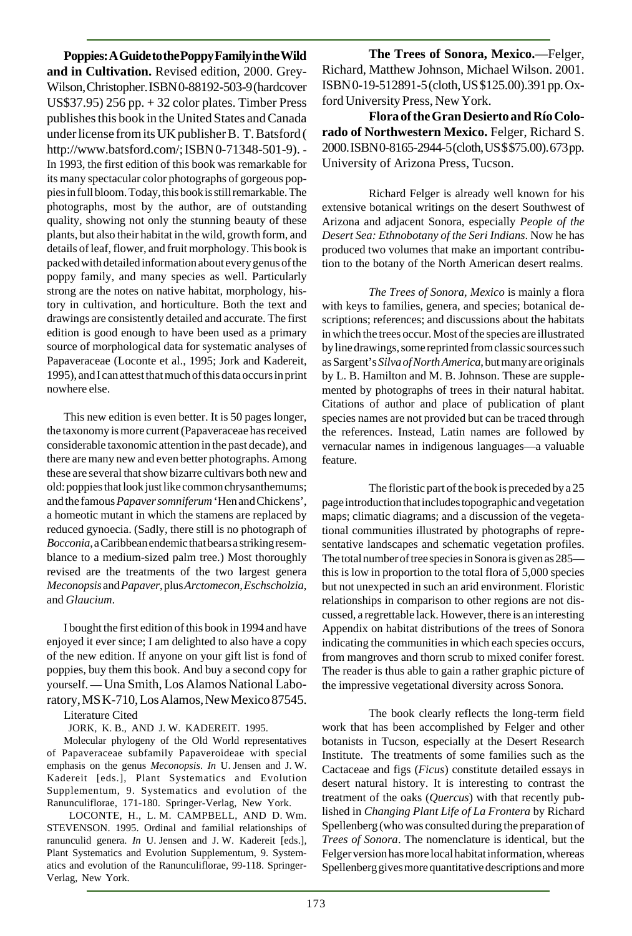**Poppies: A Guide to the Poppy Family in the Wild and in Cultivation.** Revised edition, 2000. Grey-Wilson, Christopher. ISBN 0-88192-503-9 (hardcover US\$37.95) 256 pp. + 32 color plates. Timber Press publishes this book in the United States and Canada under license from its UK publisher B. T. Batsford ( http://www.batsford.com/; ISBN 0-71348-501-9). - In 1993, the first edition of this book was remarkable for its many spectacular color photographs of gorgeous poppies in full bloom. Today, this book is still remarkable. The photographs, most by the author, are of outstanding quality, showing not only the stunning beauty of these plants, but also their habitat in the wild, growth form, and details of leaf, flower, and fruit morphology. This book is packed with detailed information about every genus of the poppy family, and many species as well. Particularly strong are the notes on native habitat, morphology, history in cultivation, and horticulture. Both the text and drawings are consistently detailed and accurate. The first edition is good enough to have been used as a primary source of morphological data for systematic analyses of Papaveraceae (Loconte et al., 1995; Jork and Kadereit, 1995), and I can attest that much of this data occurs in print nowhere else.

This new edition is even better. It is 50 pages longer, the taxonomy is more current (Papaveraceae has received considerable taxonomic attention in the past decade), and there are many new and even better photographs. Among these are several that show bizarre cultivars both new and old: poppies that look just like common chrysanthemums; and the famous *Papaver somniferum* 'Hen and Chickens', a homeotic mutant in which the stamens are replaced by reduced gynoecia. (Sadly, there still is no photograph of *Bocconia*, a Caribbean endemic that bears a striking resemblance to a medium-sized palm tree.) Most thoroughly revised are the treatments of the two largest genera *Meconopsis* and *Papaver*, plus *Arctomecon, Eschscholzia*, and *Glaucium*.

I bought the first edition of this book in 1994 and have enjoyed it ever since; I am delighted to also have a copy of the new edition. If anyone on your gift list is fond of poppies, buy them this book. And buy a second copy for yourself. — Una Smith, Los Alamos National Laboratory, MS K-710, Los Alamos, New Mexico 87545.

Literature Cited

JORK, K. B., AND J. W. KADEREIT. 1995.

Molecular phylogeny of the Old World representatives of Papaveraceae subfamily Papaveroideae with special emphasis on the genus *Meconopsis*. *In* U. Jensen and J. W. Kadereit [eds.], Plant Systematics and Evolution Supplementum, 9. Systematics and evolution of the Ranunculiflorae, 171-180. Springer-Verlag, New York.

 LOCONTE, H., L. M. CAMPBELL, AND D. Wm. STEVENSON. 1995. Ordinal and familial relationships of ranunculid genera. *In* U. Jensen and J. W. Kadereit [eds.], Plant Systematics and Evolution Supplementum, 9. Systematics and evolution of the Ranunculiflorae, 99-118. Springer-Verlag, New York.

**The Trees of Sonora, Mexico.**—Felger, Richard, Matthew Johnson, Michael Wilson. 2001. ISBN 0-19-512891-5 (cloth, US \$125.00).391 pp. Oxford University Press, New York.

**Flora of the Gran Desierto and Río Colorado of Northwestern Mexico.** Felger, Richard S. 2000. ISBN 0-8165-2944-5 (cloth, US \$ \$75.00). 673 pp. University of Arizona Press, Tucson.

Richard Felger is already well known for his extensive botanical writings on the desert Southwest of Arizona and adjacent Sonora, especially *People of the Desert Sea: Ethnobotany of the Seri Indians*. Now he has produced two volumes that make an important contribution to the botany of the North American desert realms.

*The Trees of Sonora, Mexico* is mainly a flora with keys to families, genera, and species; botanical descriptions; references; and discussions about the habitats in which the trees occur. Most of the species are illustrated by line drawings, some reprinted from classic sources such as Sargent's *Silva of North America*, but many are originals by L. B. Hamilton and M. B. Johnson. These are supplemented by photographs of trees in their natural habitat. Citations of author and place of publication of plant species names are not provided but can be traced through the references. Instead, Latin names are followed by vernacular names in indigenous languages—a valuable feature.

The floristic part of the book is preceded by a 25 page introduction that includes topographic and vegetation maps; climatic diagrams; and a discussion of the vegetational communities illustrated by photographs of representative landscapes and schematic vegetation profiles. The total number of tree species in Sonora is given as 285 this is low in proportion to the total flora of 5,000 species but not unexpected in such an arid environment. Floristic relationships in comparison to other regions are not discussed, a regrettable lack. However, there is an interesting Appendix on habitat distributions of the trees of Sonora indicating the communities in which each species occurs, from mangroves and thorn scrub to mixed conifer forest. The reader is thus able to gain a rather graphic picture of the impressive vegetational diversity across Sonora.

The book clearly reflects the long-term field work that has been accomplished by Felger and other botanists in Tucson, especially at the Desert Research Institute. The treatments of some families such as the Cactaceae and figs (*Ficus*) constitute detailed essays in desert natural history. It is interesting to contrast the treatment of the oaks (*Quercus*) with that recently published in *Changing Plant Life of La Frontera* by Richard Spellenberg (who was consulted during the preparation of *Trees of Sonora*. The nomenclature is identical, but the Felger version has more local habitat information, whereas Spellenberg gives more quantitative descriptions and more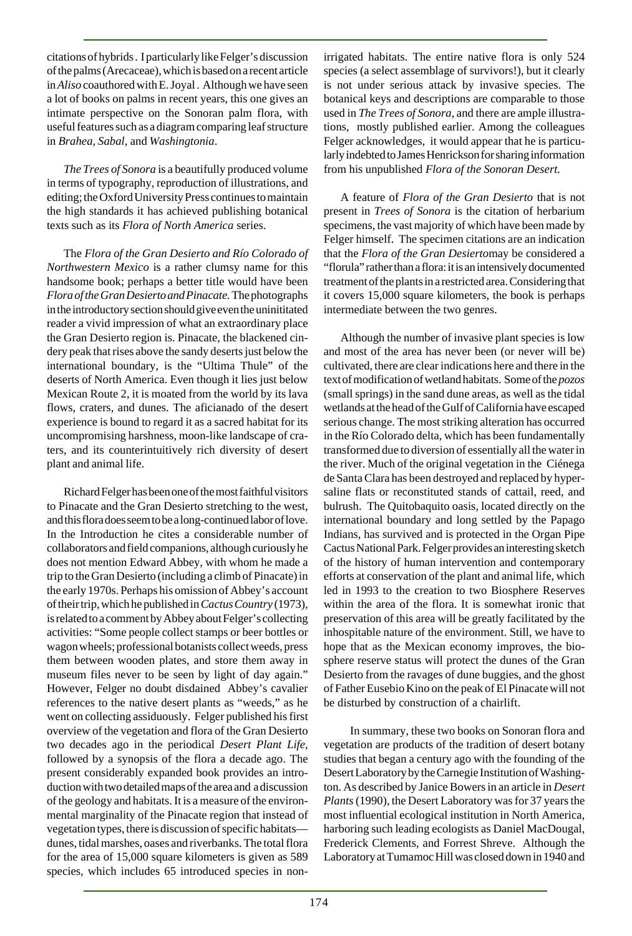citations of hybrids . I particularly like Felger's discussion of the palms (Arecaceae), which is based on a recent article in *Aliso* coauthored with E. Joyal . Although we have seen a lot of books on palms in recent years, this one gives an intimate perspective on the Sonoran palm flora, with useful features such as a diagram comparing leaf structure in *Brahea, Sabal,* and *Washingtonia*.

*The Trees of Sonora* is a beautifully produced volume in terms of typography, reproduction of illustrations, and editing; the Oxford University Press continues to maintain the high standards it has achieved publishing botanical texts such as its *Flora of North America* series.

The *Flora of the Gran Desierto and Río Colorado of Northwestern Mexico* is a rather clumsy name for this handsome book; perhaps a better title would have been *Flora of the Gran Desierto and Pinacate.* The photographs in the introductory section should give even the uninititated reader a vivid impression of what an extraordinary place the Gran Desierto region is. Pinacate, the blackened cindery peak that rises above the sandy deserts just below the international boundary, is the "Ultima Thule" of the deserts of North America. Even though it lies just below Mexican Route 2, it is moated from the world by its lava flows, craters, and dunes. The aficianado of the desert experience is bound to regard it as a sacred habitat for its uncompromising harshness, moon-like landscape of craters, and its counterintuitively rich diversity of desert plant and animal life.

Richard Felger has been one of the most faithful visitors to Pinacate and the Gran Desierto stretching to the west, and this flora does seem to be a long-continued labor of love. In the Introduction he cites a considerable number of collaborators and field companions, although curiously he does not mention Edward Abbey, with whom he made a trip to the Gran Desierto (including a climb of Pinacate) in the early 1970s. Perhaps his omission of Abbey's account of their trip, which he published in *Cactus Country* (1973), is related to a comment by Abbey about Felger's collecting activities: "Some people collect stamps or beer bottles or wagon wheels; professional botanists collect weeds, press them between wooden plates, and store them away in museum files never to be seen by light of day again." However, Felger no doubt disdained Abbey's cavalier references to the native desert plants as "weeds," as he went on collecting assiduously. Felger published his first overview of the vegetation and flora of the Gran Desierto two decades ago in the periodical *Desert Plant Life*, followed by a synopsis of the flora a decade ago. The present considerably expanded book provides an introduction with two detailed maps of the area and a discussion of the geology and habitats. It is a measure of the environmental marginality of the Pinacate region that instead of vegetation types, there is discussion of specific habitats dunes, tidal marshes, oases and riverbanks. The total flora for the area of 15,000 square kilometers is given as 589 species, which includes 65 introduced species in nonirrigated habitats. The entire native flora is only 524 species (a select assemblage of survivors!), but it clearly is not under serious attack by invasive species. The botanical keys and descriptions are comparable to those used in *The Trees of Sonora*, and there are ample illustrations, mostly published earlier. Among the colleagues Felger acknowledges, it would appear that he is particularly indebted to James Henrickson for sharing information from his unpublished *Flora of the Sonoran Desert.*

A feature of *Flora of the Gran Desierto* that is not present in *Trees of Sonora* is the citation of herbarium specimens, the vast majority of which have been made by Felger himself. The specimen citations are an indication that the *Flora of the Gran Desierto*may be considered a "florula" rather than a flora: it is an intensively documented treatment of the plants in a restricted area. Considering that it covers 15,000 square kilometers, the book is perhaps intermediate between the two genres.

Although the number of invasive plant species is low and most of the area has never been (or never will be) cultivated, there are clear indications here and there in the text of modification of wetland habitats. Some of the *pozos* (small springs) in the sand dune areas, as well as the tidal wetlands at the head of the Gulf of California have escaped serious change. The most striking alteration has occurred in the Río Colorado delta, which has been fundamentally transformed due to diversion of essentially all the water in the river. Much of the original vegetation in the Ciénega de Santa Clara has been destroyed and replaced by hypersaline flats or reconstituted stands of cattail, reed, and bulrush. The Quitobaquito oasis, located directly on the international boundary and long settled by the Papago Indians, has survived and is protected in the Organ Pipe Cactus National Park. Felger provides an interesting sketch of the history of human intervention and contemporary efforts at conservation of the plant and animal life, which led in 1993 to the creation to two Biosphere Reserves within the area of the flora. It is somewhat ironic that preservation of this area will be greatly facilitated by the inhospitable nature of the environment. Still, we have to hope that as the Mexican economy improves, the biosphere reserve status will protect the dunes of the Gran Desierto from the ravages of dune buggies, and the ghost of Father Eusebio Kino on the peak of El Pinacate will not be disturbed by construction of a chairlift.

 In summary, these two books on Sonoran flora and vegetation are products of the tradition of desert botany studies that began a century ago with the founding of the Desert Laboratory by the Carnegie Institution of Washington. As described by Janice Bowers in an article in *Desert Plants* (1990), the Desert Laboratory was for 37 years the most influential ecological institution in North America, harboring such leading ecologists as Daniel MacDougal, Frederick Clements, and Forrest Shreve. Although the Laboratory at Tumamoc Hill was closed down in 1940 and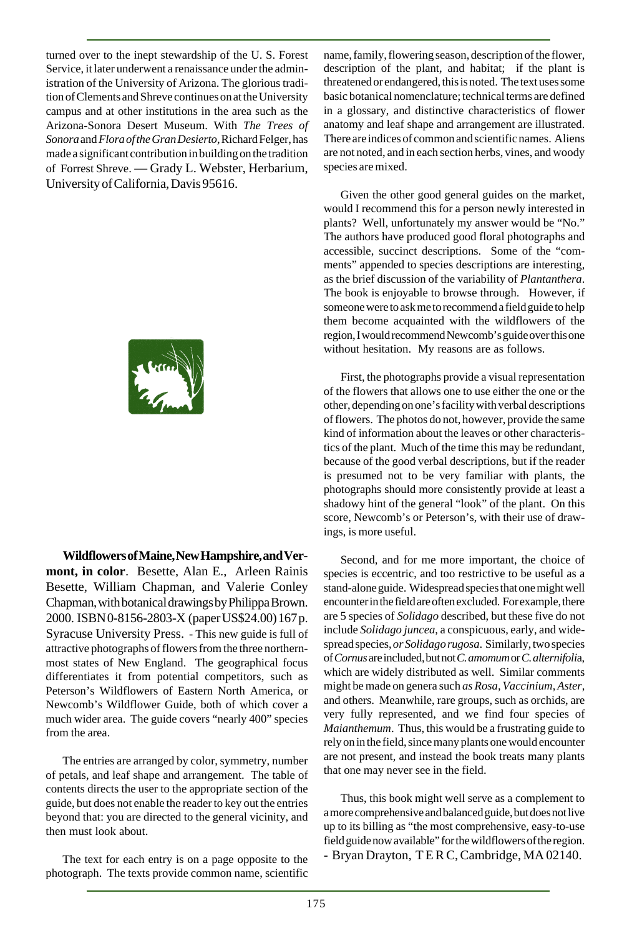turned over to the inept stewardship of the U. S. Forest Service, it later underwent a renaissance under the administration of the University of Arizona. The glorious tradition of Clements and Shreve continues on at the University campus and at other institutions in the area such as the Arizona-Sonora Desert Museum. With *The Trees of Sonora* and *Flora of the Gran Desierto*, Richard Felger, has made a significant contribution in building on the tradition of Forrest Shreve. — Grady L. Webster, Herbarium, University of California, Davis 95616.



**Wildflowers of Maine, New Hampshire, and Vermont, in color**. Besette, Alan E., Arleen Rainis Besette, William Chapman, and Valerie Conley Chapman, with botanical drawings by Philippa Brown. 2000. ISBN 0-8156-2803-X (paper US\$24.00) 167 p. Syracuse University Press. - This new guide is full of attractive photographs of flowers from the three northernmost states of New England. The geographical focus differentiates it from potential competitors, such as Peterson's Wildflowers of Eastern North America, or Newcomb's Wildflower Guide, both of which cover a much wider area. The guide covers "nearly 400" species from the area.

The entries are arranged by color, symmetry, number of petals, and leaf shape and arrangement. The table of contents directs the user to the appropriate section of the guide, but does not enable the reader to key out the entries beyond that: you are directed to the general vicinity, and then must look about.

The text for each entry is on a page opposite to the photograph. The texts provide common name, scientific name, family, flowering season, description of the flower, description of the plant, and habitat; if the plant is threatened or endangered, this is noted. The text uses some basic botanical nomenclature; technical terms are defined in a glossary, and distinctive characteristics of flower anatomy and leaf shape and arrangement are illustrated. There are indices of common and scientific names. Aliens are not noted, and in each section herbs, vines, and woody species are mixed.

Given the other good general guides on the market, would I recommend this for a person newly interested in plants? Well, unfortunately my answer would be "No." The authors have produced good floral photographs and accessible, succinct descriptions. Some of the "comments" appended to species descriptions are interesting, as the brief discussion of the variability of *Plantanthera*. The book is enjoyable to browse through. However, if someone were to ask me to recommend a field guide to help them become acquainted with the wildflowers of the region, I would recommend Newcomb's guide over this one without hesitation. My reasons are as follows.

First, the photographs provide a visual representation of the flowers that allows one to use either the one or the other, depending on one's facility with verbal descriptions of flowers. The photos do not, however, provide the same kind of information about the leaves or other characteristics of the plant. Much of the time this may be redundant, because of the good verbal descriptions, but if the reader is presumed not to be very familiar with plants, the photographs should more consistently provide at least a shadowy hint of the general "look" of the plant. On this score, Newcomb's or Peterson's, with their use of drawings, is more useful.

Second, and for me more important, the choice of species is eccentric, and too restrictive to be useful as a stand-alone guide. Widespread species that one might well encounter in the field are often excluded. For example, there are 5 species of *Solidago* described, but these five do not include *Solidago juncea*, a conspicuous, early, and widespread species, *or Solidago rugosa*. Similarly, two species of *Cornus* are included, but not *C. amomum* or *C. alternifoli*a, which are widely distributed as well. Similar comments might be made on genera such *as Rosa*, Vaccinium, Aster, and others. Meanwhile, rare groups, such as orchids, are very fully represented, and we find four species of *Maianthemum*. Thus, this would be a frustrating guide to rely on in the field, since many plants one would encounter are not present, and instead the book treats many plants that one may never see in the field.

Thus, this book might well serve as a complement to a more comprehensive and balanced guide, but does not live up to its billing as "the most comprehensive, easy-to-use field guide now available" for the wildflowers of the region. - Bryan Drayton, T E R C, Cambridge, MA 02140.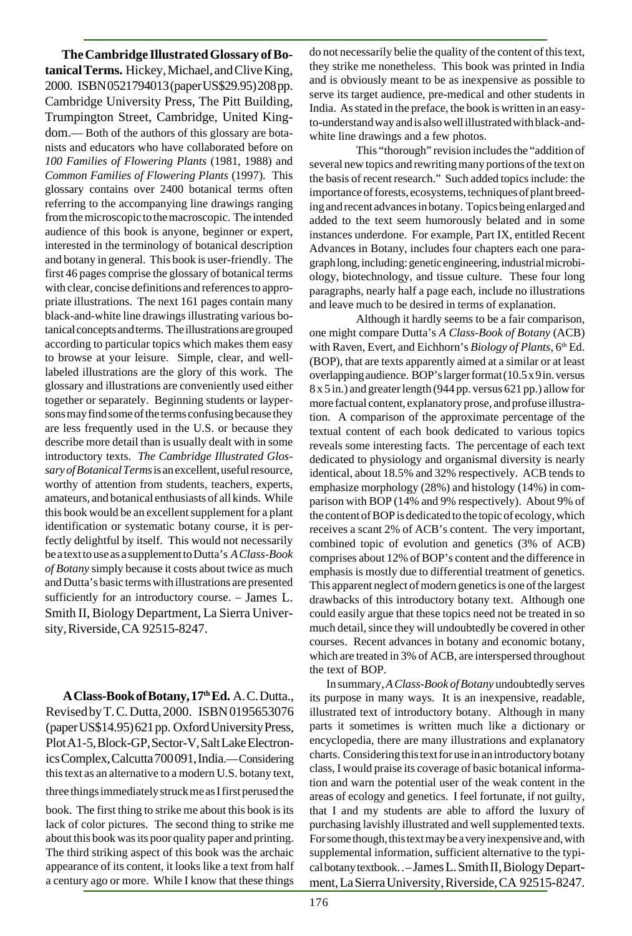**The Cambridge Illustrated Glossary of Botanical Terms.** Hickey, Michael, and Clive King, 2000. ISBN 0521794013 (paper US\$29.95) 208 pp. Cambridge University Press, The Pitt Building, Trumpington Street, Cambridge, United Kingdom.— Both of the authors of this glossary are botanists and educators who have collaborated before on *100 Families of Flowering Plants* (1981, 1988) and *Common Families of Flowering Plants* (1997). This glossary contains over 2400 botanical terms often referring to the accompanying line drawings ranging from the microscopic to the macroscopic. The intended audience of this book is anyone, beginner or expert, interested in the terminology of botanical description and botany in general. This book is user-friendly. The first 46 pages comprise the glossary of botanical terms with clear, concise definitions and references to appropriate illustrations. The next 161 pages contain many black-and-white line drawings illustrating various botanical concepts and terms. The illustrations are grouped according to particular topics which makes them easy to browse at your leisure. Simple, clear, and welllabeled illustrations are the glory of this work. The glossary and illustrations are conveniently used either together or separately. Beginning students or laypersons may find some of the terms confusing because they are less frequently used in the U.S. or because they describe more detail than is usually dealt with in some introductory texts. *The Cambridge Illustrated Glossary of Botanical Terms* is an excellent, useful resource, worthy of attention from students, teachers, experts, amateurs, and botanical enthusiasts of all kinds. While this book would be an excellent supplement for a plant identification or systematic botany course, it is perfectly delightful by itself. This would not necessarily be a text to use as a supplement to Dutta's *A Class-Book of Botany* simply because it costs about twice as much and Dutta's basic terms with illustrations are presented sufficiently for an introductory course. – James L. Smith II, Biology Department, La Sierra University, Riverside, CA 92515-8247.

**A Class-Book of Botany, 17th Ed.** A. C. Dutta., Revised by T. C. Dutta, 2000. ISBN 0195653076 (paper US\$14.95) 621 pp. Oxford University Press, Plot A1-5, Block-GP, Sector-V, Salt Lake Electronics Complex, Calcutta 700 091, India.— Considering this text as an alternative to a modern U.S. botany text, three things immediately struck me as I first perused the

book. The first thing to strike me about this book is its lack of color pictures. The second thing to strike me about this book was its poor quality paper and printing. The third striking aspect of this book was the archaic appearance of its content, it looks like a text from half a century ago or more. While I know that these things do not necessarily belie the quality of the content of this text, they strike me nonetheless. This book was printed in India and is obviously meant to be as inexpensive as possible to serve its target audience, pre-medical and other students in India. As stated in the preface, the book is written in an easyto-understand way and is also well illustrated with black-andwhite line drawings and a few photos.

This "thorough" revision includes the "addition of several new topics and rewriting many portions of the text on the basis of recent research." Such added topics include: the importance of forests, ecosystems, techniques of plant breeding and recent advances in botany. Topics being enlarged and added to the text seem humorously belated and in some instances underdone. For example, Part IX, entitled Recent Advances in Botany, includes four chapters each one paragraph long, including: genetic engineering, industrial microbiology, biotechnology, and tissue culture. These four long paragraphs, nearly half a page each, include no illustrations and leave much to be desired in terms of explanation.

Although it hardly seems to be a fair comparison, one might compare Dutta's *A Class-Book of Botany* (ACB) with Raven, Evert, and Eichhorn's *Biology of Plants*, 6<sup>th</sup> Ed. (BOP), that are texts apparently aimed at a similar or at least overlapping audience. BOP's larger format (10.5 x 9 in. versus 8 x 5 in.) and greater length (944 pp. versus 621 pp.) allow for more factual content, explanatory prose, and profuse illustration. A comparison of the approximate percentage of the textual content of each book dedicated to various topics reveals some interesting facts. The percentage of each text dedicated to physiology and organismal diversity is nearly identical, about 18.5% and 32% respectively. ACB tends to emphasize morphology (28%) and histology (14%) in comparison with BOP (14% and 9% respectively). About 9% of the content of BOP is dedicated to the topic of ecology, which receives a scant 2% of ACB's content. The very important, combined topic of evolution and genetics (3% of ACB) comprises about 12% of BOP's content and the difference in emphasis is mostly due to differential treatment of genetics. This apparent neglect of modern genetics is one of the largest drawbacks of this introductory botany text. Although one could easily argue that these topics need not be treated in so much detail, since they will undoubtedly be covered in other courses. Recent advances in botany and economic botany, which are treated in 3% of ACB, are interspersed throughout the text of BOP.

In summary, *A Class-Book of Botany* undoubtedly serves its purpose in many ways. It is an inexpensive, readable, illustrated text of introductory botany. Although in many parts it sometimes is written much like a dictionary or encyclopedia, there are many illustrations and explanatory charts. Considering this text for use in an introductory botany class, I would praise its coverage of basic botanical information and warn the potential user of the weak content in the areas of ecology and genetics. I feel fortunate, if not guilty, that I and my students are able to afford the luxury of purchasing lavishly illustrated and well supplemented texts. For some though, this text may be a very inexpensive and, with supplemental information, sufficient alternative to the typical botany textbook. . – James L. Smith II, Biology Department, La Sierra University, Riverside, CA 92515-8247.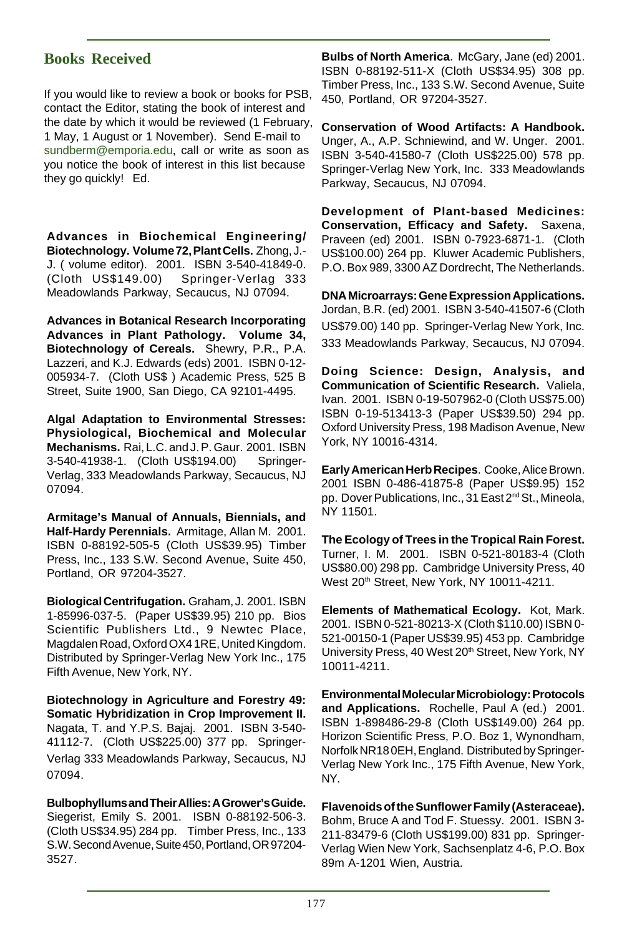# **Books Received**

If you would like to review a book or books for PSB, contact the Editor, stating the book of interest and the date by which it would be reviewed (1 February, 1 May, 1 August or 1 November). Send E-mail to sundberm@emporia.edu, call or write as soon as you notice the book of interest in this list because they go quickly! Ed.

**Advances in Biochemical Engineering/ Biotechnology. Volume 72, Plant Cells.** Zhong, J.- J. ( volume editor). 2001. ISBN 3-540-41849-0. (Cloth US\$149.00) Springer-Verlag 333 Meadowlands Parkway, Secaucus, NJ 07094.

**Advances in Botanical Research Incorporating Advances in Plant Pathology. Volume 34, Biotechnology of Cereals.** Shewry, P.R., P.A. Lazzeri, and K.J. Edwards (eds) 2001. ISBN 0-12- 005934-7. (Cloth US\$ ) Academic Press, 525 B Street, Suite 1900, San Diego, CA 92101-4495.

**Algal Adaptation to Environmental Stresses: Physiological, Biochemical and Molecular Mechanisms.** Rai, L.C. and J. P. Gaur. 2001. ISBN 3-540-41938-1. (Cloth US\$194.00) Springer-Verlag, 333 Meadowlands Parkway, Secaucus, NJ 07094.

**Armitage's Manual of Annuals, Biennials, and Half-Hardy Perennials.** Armitage, Allan M. 2001. ISBN 0-88192-505-5 (Cloth US\$39.95) Timber Press, Inc., 133 S.W. Second Avenue, Suite 450, Portland, OR 97204-3527.

**Biological Centrifugation.** Graham, J. 2001. ISBN 1-85996-037-5. (Paper US\$39.95) 210 pp. Bios Scientific Publishers Ltd., 9 Newtec Place, Magdalen Road, Oxford OX4 1RE, United Kingdom. Distributed by Springer-Verlag New York Inc., 175 Fifth Avenue, New York, NY.

**Biotechnology in Agriculture and Forestry 49: Somatic Hybridization in Crop Improvement II.** Nagata, T. and Y.P.S. Bajaj. 2001. ISBN 3-540- 41112-7. (Cloth US\$225.00) 377 pp. Springer-Verlag 333 Meadowlands Parkway, Secaucus, NJ 07094.

**Bulbophyllums and Their Allies: A Grower's Guide.** Siegerist, Emily S. 2001. ISBN 0-88192-506-3. (Cloth US\$34.95) 284 pp. Timber Press, Inc., 133 S.W. Second Avenue, Suite 450, Portland, OR 97204- 3527.

**Bulbs of North America**. McGary, Jane (ed) 2001. ISBN 0-88192-511-X (Cloth US\$34.95) 308 pp. Timber Press, Inc., 133 S.W. Second Avenue, Suite 450, Portland, OR 97204-3527.

**Conservation of Wood Artifacts: A Handbook.** Unger, A., A.P. Schniewind, and W. Unger. 2001. ISBN 3-540-41580-7 (Cloth US\$225.00) 578 pp. Springer-Verlag New York, Inc. 333 Meadowlands Parkway, Secaucus, NJ 07094.

**Development of Plant-based Medicines: Conservation, Efficacy and Safety.** Saxena, Praveen (ed) 2001. ISBN 0-7923-6871-1. (Cloth US\$100.00) 264 pp. Kluwer Academic Publishers, P.O. Box 989, 3300 AZ Dordrecht, The Netherlands.

**DNA Microarrays: Gene Expression Applications.** Jordan, B.R. (ed) 2001. ISBN 3-540-41507-6 (Cloth US\$79.00) 140 pp. Springer-Verlag New York, Inc. 333 Meadowlands Parkway, Secaucus, NJ 07094.

**Doing Science: Design, Analysis, and Communication of Scientific Research.** Valiela, Ivan. 2001. ISBN 0-19-507962-0 (Cloth US\$75.00) ISBN 0-19-513413-3 (Paper US\$39.50) 294 pp. Oxford University Press, 198 Madison Avenue, New York, NY 10016-4314.

**Early American Herb Recipes**. Cooke, Alice Brown. 2001 ISBN 0-486-41875-8 (Paper US\$9.95) 152 pp. Dover Publications, Inc., 31 East 2nd St., Mineola, NY 11501.

**The Ecology of Trees in the Tropical Rain Forest.** Turner, I. M. 2001. ISBN 0-521-80183-4 (Cloth US\$80.00) 298 pp. Cambridge University Press, 40 West 20<sup>th</sup> Street, New York, NY 10011-4211.

**Elements of Mathematical Ecology.** Kot, Mark. 2001. ISBN 0-521-80213-X (Cloth \$110.00) ISBN 0- 521-00150-1 (Paper US\$39.95) 453 pp. Cambridge University Press, 40 West 20<sup>th</sup> Street, New York, NY 10011-4211.

**Environmental Molecular Microbiology: Protocols and Applications.** Rochelle, Paul A (ed.) 2001. ISBN 1-898486-29-8 (Cloth US\$149.00) 264 pp. Horizon Scientific Press, P.O. Boz 1, Wynondham, Norfolk NR18 0EH, England. Distributed by Springer-Verlag New York Inc., 175 Fifth Avenue, New York, NY.

**Flavenoids of the Sunflower Family (Asteraceae).** Bohm, Bruce A and Tod F. Stuessy. 2001. ISBN 3- 211-83479-6 (Cloth US\$199.00) 831 pp. Springer-Verlag Wien New York, Sachsenplatz 4-6, P.O. Box 89m A-1201 Wien, Austria.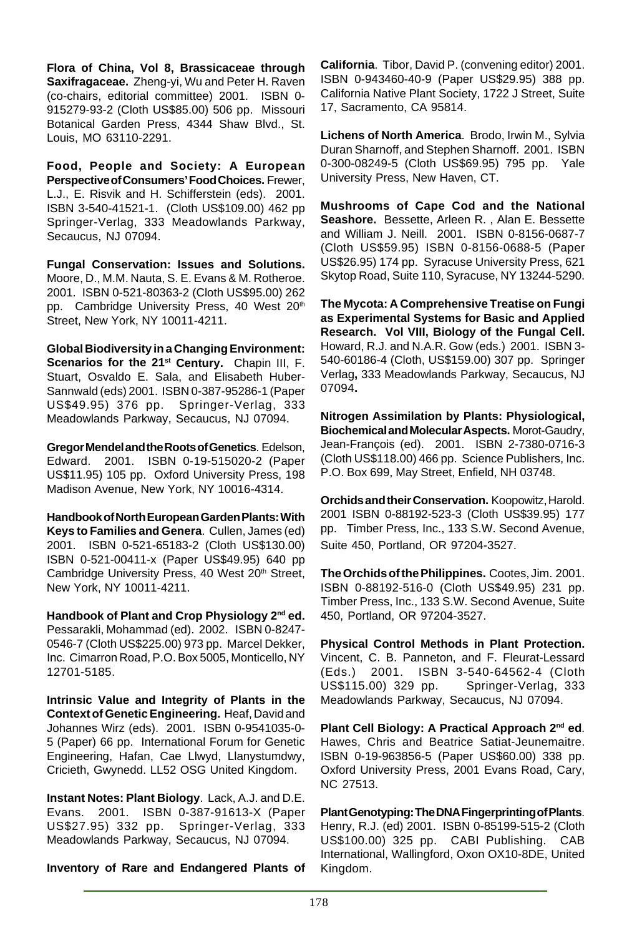**Flora of China, Vol 8, Brassicaceae through Saxifragaceae.** Zheng-yi, Wu and Peter H. Raven (co-chairs, editorial committee) 2001. ISBN 0- 915279-93-2 (Cloth US\$85.00) 506 pp. Missouri Botanical Garden Press, 4344 Shaw Blvd., St. Louis, MO 63110-2291.

**Food, People and Society: A European Perspective of Consumers' Food Choices.** Frewer, L.J., E. Risvik and H. Schifferstein (eds). 2001. ISBN 3-540-41521-1. (Cloth US\$109.00) 462 pp Springer-Verlag, 333 Meadowlands Parkway, Secaucus, NJ 07094.

**Fungal Conservation: Issues and Solutions.** Moore, D., M.M. Nauta, S. E. Evans & M. Rotheroe. 2001. ISBN 0-521-80363-2 (Cloth US\$95.00) 262 pp. Cambridge University Press, 40 West 20<sup>th</sup> Street, New York, NY 10011-4211.

**Global Biodiversity in a Changing Environment:** Scenarios for the 21<sup>st</sup> Century. Chapin III, F. Stuart, Osvaldo E. Sala, and Elisabeth Huber-Sannwald (eds) 2001. ISBN 0-387-95286-1 (Paper US\$49.95) 376 pp. Springer-Verlag, 333 Meadowlands Parkway, Secaucus, NJ 07094.

**Gregor Mendel and the Roots of Genetics**. Edelson, Edward. 2001. ISBN 0-19-515020-2 (Paper US\$11.95) 105 pp. Oxford University Press, 198 Madison Avenue, New York, NY 10016-4314.

**Handbook of North European Garden Plants: With Keys to Families and Genera**. Cullen, James (ed) 2001. ISBN 0-521-65183-2 (Cloth US\$130.00) ISBN 0-521-00411-x (Paper US\$49.95) 640 pp Cambridge University Press, 40 West 20<sup>th</sup> Street, New York, NY 10011-4211.

**Handbook of Plant and Crop Physiology 2nd ed.** Pessarakli, Mohammad (ed). 2002. ISBN 0-8247- 0546-7 (Cloth US\$225.00) 973 pp. Marcel Dekker, Inc. Cimarron Road, P.O. Box 5005, Monticello, NY 12701-5185.

**Intrinsic Value and Integrity of Plants in the Context of Genetic Engineering.** Heaf, David and Johannes Wirz (eds). 2001. ISBN 0-9541035-0- 5 (Paper) 66 pp. International Forum for Genetic Engineering, Hafan, Cae Llwyd, Llanystumdwy, Cricieth, Gwynedd. LL52 OSG United Kingdom.

**Instant Notes: Plant Biology**. Lack, A.J. and D.E. Evans. 2001. ISBN 0-387-91613-X (Paper US\$27.95) 332 pp. Springer-Verlag, 333 Meadowlands Parkway, Secaucus, NJ 07094.

**Inventory of Rare and Endangered Plants of**

**California**. Tibor, David P. (convening editor) 2001. ISBN 0-943460-40-9 (Paper US\$29.95) 388 pp. California Native Plant Society, 1722 J Street, Suite 17, Sacramento, CA 95814.

**Lichens of North America**. Brodo, Irwin M., Sylvia Duran Sharnoff, and Stephen Sharnoff. 2001. ISBN 0-300-08249-5 (Cloth US\$69.95) 795 pp. Yale University Press, New Haven, CT.

**Mushrooms of Cape Cod and the National Seashore.** Bessette, Arleen R. , Alan E. Bessette and William J. Neill. 2001. ISBN 0-8156-0687-7 (Cloth US\$59.95) ISBN 0-8156-0688-5 (Paper US\$26.95) 174 pp. Syracuse University Press, 621 Skytop Road, Suite 110, Syracuse, NY 13244-5290.

**The Mycota: A Comprehensive Treatise on Fungi as Experimental Systems for Basic and Applied Research. Vol VIII, Biology of the Fungal Cell.** Howard, R.J. and N.A.R. Gow (eds.) 2001. ISBN 3- 540-60186-4 (Cloth, US\$159.00) 307 pp. Springer Verlag**,** 333 Meadowlands Parkway, Secaucus, NJ 07094**.**

**Nitrogen Assimilation by Plants: Physiological, Biochemical and Molecular Aspects.** Morot-Gaudry, Jean-François (ed). 2001. ISBN 2-7380-0716-3 (Cloth US\$118.00) 466 pp. Science Publishers, Inc. P.O. Box 699, May Street, Enfield, NH 03748.

**Orchids and their Conservation.** Koopowitz, Harold. 2001 ISBN 0-88192-523-3 (Cloth US\$39.95) 177 pp. Timber Press, Inc., 133 S.W. Second Avenue, Suite 450, Portland, OR 97204-3527.

**The Orchids of the Philippines.** Cootes, Jim. 2001. ISBN 0-88192-516-0 (Cloth US\$49.95) 231 pp. Timber Press, Inc., 133 S.W. Second Avenue, Suite 450, Portland, OR 97204-3527.

**Physical Control Methods in Plant Protection.** Vincent, C. B. Panneton, and F. Fleurat-Lessard (Eds.) 2001. ISBN 3-540-64562-4 (Cloth US\$115.00) 329 pp. Springer-Verlag, 333 Meadowlands Parkway, Secaucus, NJ 07094.

**Plant Cell Biology: A Practical Approach 2nd ed**. Hawes, Chris and Beatrice Satiat-Jeunemaitre. ISBN 0-19-963856-5 (Paper US\$60.00) 338 pp. Oxford University Press, 2001 Evans Road, Cary, NC 27513.

**Plant Genotyping: The DNA Fingerprinting of Plants**. Henry, R.J. (ed) 2001. ISBN 0-85199-515-2 (Cloth US\$100.00) 325 pp. CABI Publishing. CAB International, Wallingford, Oxon OX10-8DE, United Kingdom.